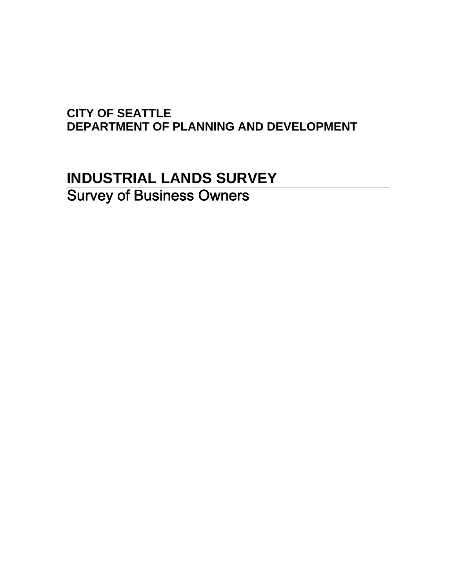### **CITY OF SEATTLE DEPARTMENT OF PLANNING AND DEVELOPMENT**

# **INDUSTRIAL LANDS SURVEY**  Survey of Business Owners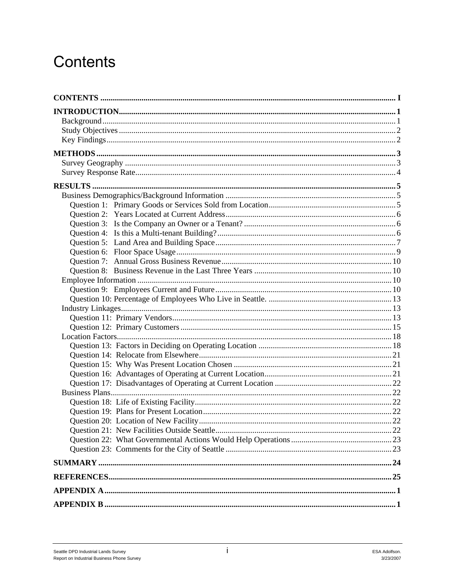# Contents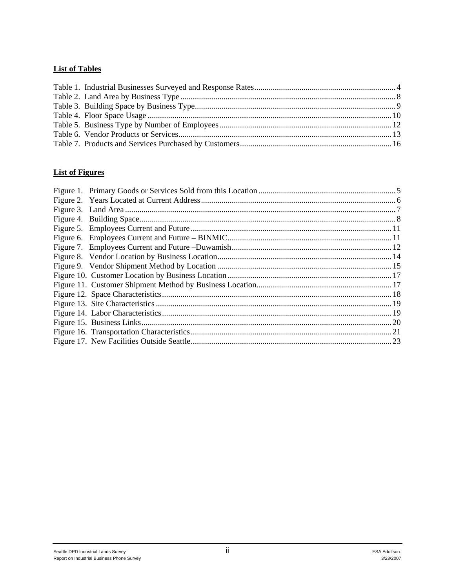#### **List of Tables**

#### **List of Figures**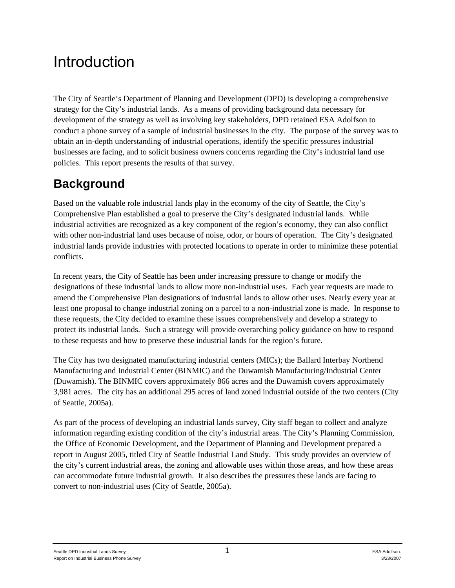# Introduction

The City of Seattle's Department of Planning and Development (DPD) is developing a comprehensive strategy for the City's industrial lands. As a means of providing background data necessary for development of the strategy as well as involving key stakeholders, DPD retained ESA Adolfson to conduct a phone survey of a sample of industrial businesses in the city. The purpose of the survey was to obtain an in-depth understanding of industrial operations, identify the specific pressures industrial businesses are facing, and to solicit business owners concerns regarding the City's industrial land use policies. This report presents the results of that survey.

## **Background**

Based on the valuable role industrial lands play in the economy of the city of Seattle, the City's Comprehensive Plan established a goal to preserve the City's designated industrial lands. While industrial activities are recognized as a key component of the region's economy, they can also conflict with other non-industrial land uses because of noise, odor, or hours of operation. The City's designated industrial lands provide industries with protected locations to operate in order to minimize these potential conflicts.

In recent years, the City of Seattle has been under increasing pressure to change or modify the designations of these industrial lands to allow more non-industrial uses. Each year requests are made to amend the Comprehensive Plan designations of industrial lands to allow other uses. Nearly every year at least one proposal to change industrial zoning on a parcel to a non-industrial zone is made. In response to these requests, the City decided to examine these issues comprehensively and develop a strategy to protect its industrial lands. Such a strategy will provide overarching policy guidance on how to respond to these requests and how to preserve these industrial lands for the region's future.

The City has two designated manufacturing industrial centers (MICs); the Ballard Interbay Northend Manufacturing and Industrial Center (BINMIC) and the Duwamish Manufacturing/Industrial Center (Duwamish). The BINMIC covers approximately 866 acres and the Duwamish covers approximately 3,981 acres. The city has an additional 295 acres of land zoned industrial outside of the two centers (City of Seattle, 2005a).

As part of the process of developing an industrial lands survey, City staff began to collect and analyze information regarding existing condition of the city's industrial areas. The City's Planning Commission, the Office of Economic Development, and the Department of Planning and Development prepared a report in August 2005, titled City of Seattle Industrial Land Study. This study provides an overview of the city's current industrial areas, the zoning and allowable uses within those areas, and how these areas can accommodate future industrial growth. It also describes the pressures these lands are facing to convert to non-industrial uses (City of Seattle, 2005a).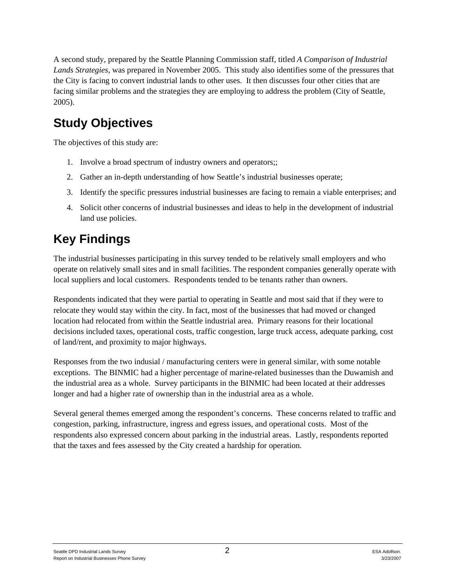A second study, prepared by the Seattle Planning Commission staff, titled *A Comparison of Industrial Lands Strategies*, was prepared in November 2005. This study also identifies some of the pressures that the City is facing to convert industrial lands to other uses. It then discusses four other cities that are facing similar problems and the strategies they are employing to address the problem (City of Seattle, 2005).

## **Study Objectives**

The objectives of this study are:

- 1. Involve a broad spectrum of industry owners and operators;;
- 2. Gather an in-depth understanding of how Seattle's industrial businesses operate;
- 3. Identify the specific pressures industrial businesses are facing to remain a viable enterprises; and
- 4. Solicit other concerns of industrial businesses and ideas to help in the development of industrial land use policies.

## **Key Findings**

The industrial businesses participating in this survey tended to be relatively small employers and who operate on relatively small sites and in small facilities. The respondent companies generally operate with local suppliers and local customers. Respondents tended to be tenants rather than owners.

Respondents indicated that they were partial to operating in Seattle and most said that if they were to relocate they would stay within the city. In fact, most of the businesses that had moved or changed location had relocated from within the Seattle industrial area. Primary reasons for their locational decisions included taxes, operational costs, traffic congestion, large truck access, adequate parking, cost of land/rent, and proximity to major highways.

Responses from the two indusial / manufacturing centers were in general similar, with some notable exceptions. The BINMIC had a higher percentage of marine-related businesses than the Duwamish and the industrial area as a whole. Survey participants in the BINMIC had been located at their addresses longer and had a higher rate of ownership than in the industrial area as a whole.

Several general themes emerged among the respondent's concerns. These concerns related to traffic and congestion, parking, infrastructure, ingress and egress issues, and operational costs. Most of the respondents also expressed concern about parking in the industrial areas. Lastly, respondents reported that the taxes and fees assessed by the City created a hardship for operation.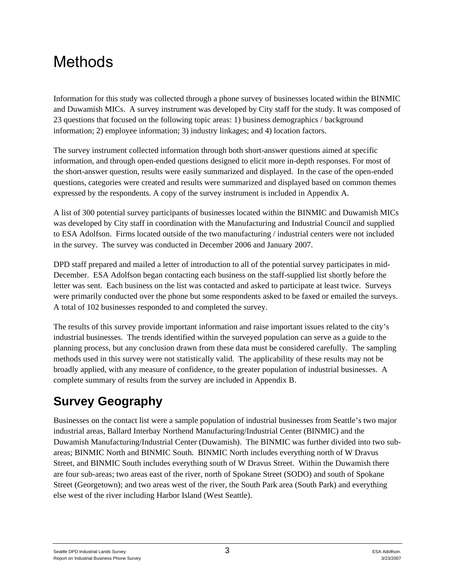# **Methods**

Information for this study was collected through a phone survey of businesses located within the BINMIC and Duwamish MICs. A survey instrument was developed by City staff for the study. It was composed of 23 questions that focused on the following topic areas: 1) business demographics / background information; 2) employee information; 3) industry linkages; and 4) location factors.

The survey instrument collected information through both short-answer questions aimed at specific information, and through open-ended questions designed to elicit more in-depth responses. For most of the short-answer question, results were easily summarized and displayed. In the case of the open-ended questions, categories were created and results were summarized and displayed based on common themes expressed by the respondents. A copy of the survey instrument is included in Appendix A.

A list of 300 potential survey participants of businesses located within the BINMIC and Duwamish MICs was developed by City staff in coordination with the Manufacturing and Industrial Council and supplied to ESA Adolfson. Firms located outside of the two manufacturing / industrial centers were not included in the survey. The survey was conducted in December 2006 and January 2007.

DPD staff prepared and mailed a letter of introduction to all of the potential survey participates in mid-December. ESA Adolfson began contacting each business on the staff-supplied list shortly before the letter was sent. Each business on the list was contacted and asked to participate at least twice. Surveys were primarily conducted over the phone but some respondents asked to be faxed or emailed the surveys. A total of 102 businesses responded to and completed the survey.

The results of this survey provide important information and raise important issues related to the city's industrial businesses. The trends identified within the surveyed population can serve as a guide to the planning process, but any conclusion drawn from these data must be considered carefully. The sampling methods used in this survey were not statistically valid. The applicability of these results may not be broadly applied, with any measure of confidence, to the greater population of industrial businesses. A complete summary of results from the survey are included in Appendix B.

## **Survey Geography**

Businesses on the contact list were a sample population of industrial businesses from Seattle's two major industrial areas, Ballard Interbay Northend Manufacturing/Industrial Center (BINMIC) and the Duwamish Manufacturing/Industrial Center (Duwamish). The BINMIC was further divided into two subareas; BINMIC North and BINMIC South. BINMIC North includes everything north of W Dravus Street, and BINMIC South includes everything south of W Dravus Street. Within the Duwamish there are four sub-areas; two areas east of the river, north of Spokane Street (SODO) and south of Spokane Street (Georgetown); and two areas west of the river, the South Park area (South Park) and everything else west of the river including Harbor Island (West Seattle).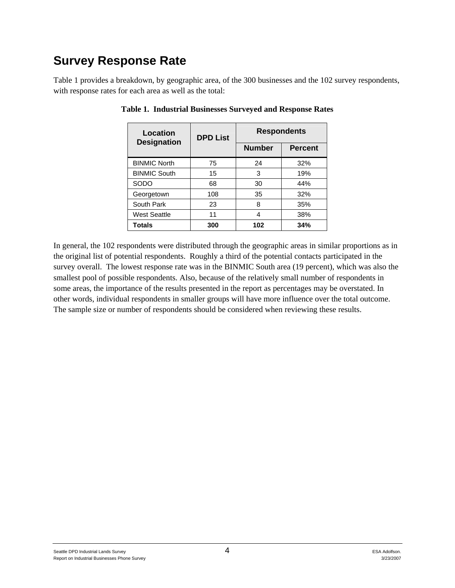## **Survey Response Rate**

Table 1 provides a breakdown, by geographic area, of the 300 businesses and the 102 survey respondents, with response rates for each area as well as the total:

| Location<br><b>Designation</b> | <b>DPD List</b> | <b>Respondents</b> |                |  |  |
|--------------------------------|-----------------|--------------------|----------------|--|--|
|                                |                 | <b>Number</b>      | <b>Percent</b> |  |  |
| <b>BINMIC North</b>            | 75              | 24                 | 32%            |  |  |
| <b>BINMIC South</b>            | 15              | 3                  | 19%            |  |  |
| SODO                           | 68              | 30                 | 44%            |  |  |
| Georgetown                     | 108             | 35                 | 32%            |  |  |
| South Park                     | 23              | 8                  | 35%            |  |  |
| <b>West Seattle</b>            | 11              | 4                  | 38%            |  |  |
| <b>Totals</b>                  | 300             | 102                | 34%            |  |  |

**Table 1. Industrial Businesses Surveyed and Response Rates** 

In general, the 102 respondents were distributed through the geographic areas in similar proportions as in the original list of potential respondents. Roughly a third of the potential contacts participated in the survey overall. The lowest response rate was in the BINMIC South area (19 percent), which was also the smallest pool of possible respondents. Also, because of the relatively small number of respondents in some areas, the importance of the results presented in the report as percentages may be overstated. In other words, individual respondents in smaller groups will have more influence over the total outcome. The sample size or number of respondents should be considered when reviewing these results.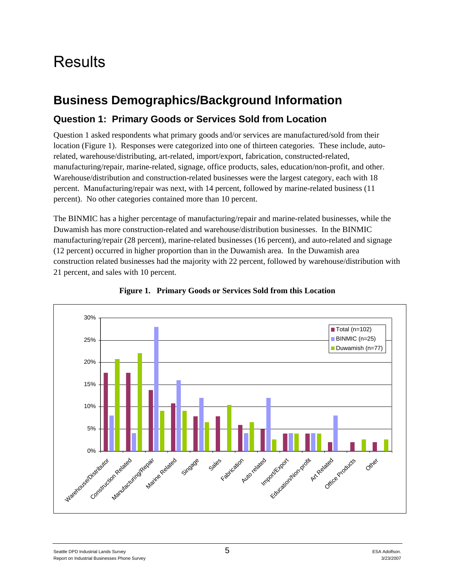# **Results**

### **Business Demographics/Background Information**

### **Question 1: Primary Goods or Services Sold from Location**

Question 1 asked respondents what primary goods and/or services are manufactured/sold from their location (Figure 1). Responses were categorized into one of thirteen categories. These include, autorelated, warehouse/distributing, art-related, import/export, fabrication, constructed-related, manufacturing/repair, marine-related, signage, office products, sales, education/non-profit, and other. Warehouse/distribution and construction-related businesses were the largest category, each with 18 percent. Manufacturing/repair was next, with 14 percent, followed by marine-related business (11 percent). No other categories contained more than 10 percent.

The BINMIC has a higher percentage of manufacturing/repair and marine-related businesses, while the Duwamish has more construction-related and warehouse/distribution businesses. In the BINMIC manufacturing/repair (28 percent), marine-related businesses (16 percent), and auto-related and signage (12 percent) occurred in higher proportion than in the Duwamish area. In the Duwamish area construction related businesses had the majority with 22 percent, followed by warehouse/distribution with 21 percent, and sales with 10 percent.



**Figure 1. Primary Goods or Services Sold from this Location**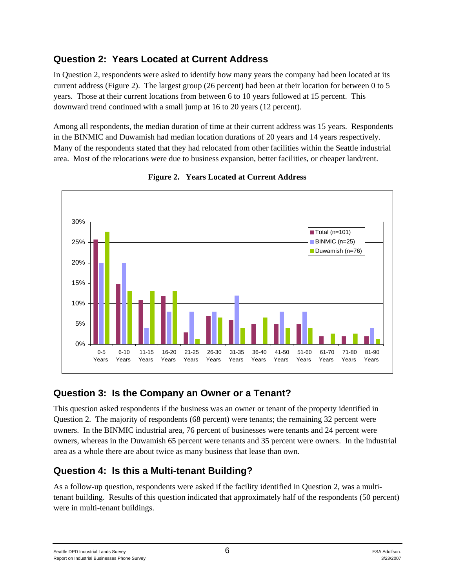### **Question 2: Years Located at Current Address**

In Question 2, respondents were asked to identify how many years the company had been located at its current address (Figure 2). The largest group (26 percent) had been at their location for between 0 to 5 years. Those at their current locations from between 6 to 10 years followed at 15 percent. This downward trend continued with a small jump at 16 to 20 years (12 percent).

Among all respondents, the median duration of time at their current address was 15 years. Respondents in the BINMIC and Duwamish had median location durations of 20 years and 14 years respectively. Many of the respondents stated that they had relocated from other facilities within the Seattle industrial area. Most of the relocations were due to business expansion, better facilities, or cheaper land/rent.





### **Question 3: Is the Company an Owner or a Tenant?**

This question asked respondents if the business was an owner or tenant of the property identified in Question 2. The majority of respondents (68 percent) were tenants; the remaining 32 percent were owners. In the BINMIC industrial area, 76 percent of businesses were tenants and 24 percent were owners, whereas in the Duwamish 65 percent were tenants and 35 percent were owners. In the industrial area as a whole there are about twice as many business that lease than own.

### **Question 4: Is this a Multi-tenant Building?**

As a follow-up question, respondents were asked if the facility identified in Question 2, was a multitenant building. Results of this question indicated that approximately half of the respondents (50 percent) were in multi-tenant buildings.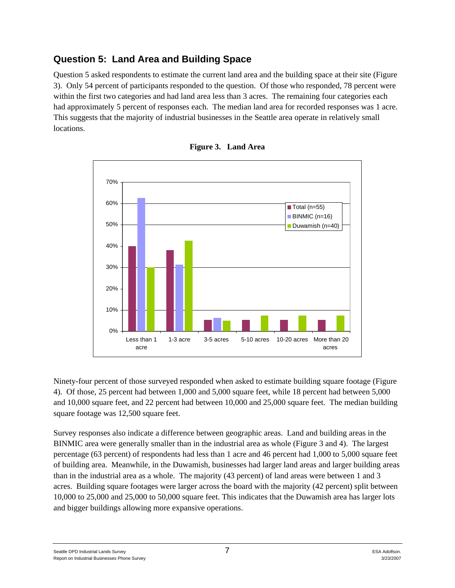### **Question 5: Land Area and Building Space**

Question 5 asked respondents to estimate the current land area and the building space at their site (Figure 3). Only 54 percent of participants responded to the question. Of those who responded, 78 percent were within the first two categories and had land area less than 3 acres. The remaining four categories each had approximately 5 percent of responses each. The median land area for recorded responses was 1 acre. This suggests that the majority of industrial businesses in the Seattle area operate in relatively small locations.





Ninety-four percent of those surveyed responded when asked to estimate building square footage (Figure 4). Of those, 25 percent had between 1,000 and 5,000 square feet, while 18 percent had between 5,000 and 10,000 square feet, and 22 percent had between 10,000 and 25,000 square feet. The median building square footage was 12,500 square feet.

Survey responses also indicate a difference between geographic areas. Land and building areas in the BINMIC area were generally smaller than in the industrial area as whole (Figure 3 and 4). The largest percentage (63 percent) of respondents had less than 1 acre and 46 percent had 1,000 to 5,000 square feet of building area. Meanwhile, in the Duwamish, businesses had larger land areas and larger building areas than in the industrial area as a whole. The majority (43 percent) of land areas were between 1 and 3 acres. Building square footages were larger across the board with the majority (42 percent) split between 10,000 to 25,000 and 25,000 to 50,000 square feet. This indicates that the Duwamish area has larger lots and bigger buildings allowing more expansive operations.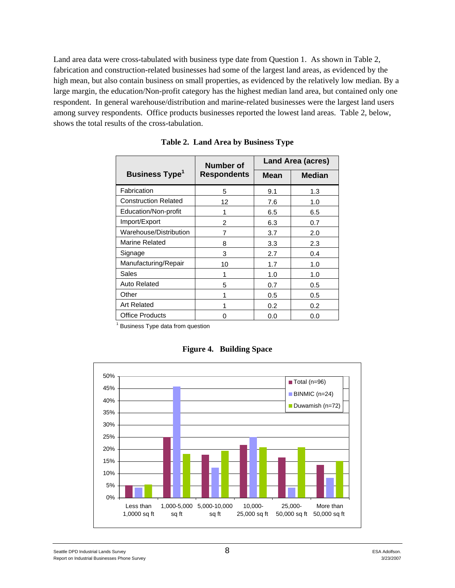Land area data were cross-tabulated with business type date from Question 1. As shown in Table 2, fabrication and construction-related businesses had some of the largest land areas, as evidenced by the high mean, but also contain business on small properties, as evidenced by the relatively low median. By a large margin, the education/Non-profit category has the highest median land area, but contained only one respondent. In general warehouse/distribution and marine-related businesses were the largest land users among survey respondents. Office products businesses reported the lowest land areas. Table 2, below, shows the total results of the cross-tabulation.

|                                  | Number of          | <b>Land Area (acres)</b> |               |  |  |
|----------------------------------|--------------------|--------------------------|---------------|--|--|
| <b>Business Type<sup>1</sup></b> | <b>Respondents</b> | Mean                     | <b>Median</b> |  |  |
| Fabrication                      | 5                  | 9.1                      | 1.3           |  |  |
| <b>Construction Related</b>      | 12                 | 7.6                      | 1.0           |  |  |
| Education/Non-profit             | 1                  | 6.5                      | 6.5           |  |  |
| Import/Export                    | 2                  | 6.3                      | 0.7           |  |  |
| Warehouse/Distribution           | 7                  | 3.7                      | 2.0           |  |  |
| Marine Related                   | 8                  | 3.3                      | 2.3           |  |  |
| Signage                          | 3                  | 2.7                      | 0.4           |  |  |
| Manufacturing/Repair             | 10                 | 1.7                      | 1.0           |  |  |
| Sales                            | 1                  | 1.0                      | 1.0           |  |  |
| Auto Related                     | 5                  | 0.7                      | 0.5           |  |  |
| Other                            | 1                  | 0.5                      | 0.5           |  |  |
| <b>Art Related</b>               | 1                  | 0.2                      | 0.2           |  |  |
| <b>Office Products</b>           | O                  | 0.0                      | 0.0           |  |  |
| Business Type data from question |                    |                          |               |  |  |

**Table 2. Land Area by Business Type** 

|     |           |  |             |  |              |  |         |  |         | $\blacksquare$ Total (n=96) |  |           |
|-----|-----------|--|-------------|--|--------------|--|---------|--|---------|-----------------------------|--|-----------|
| 45% |           |  |             |  |              |  |         |  |         | BINMIC (n=24)               |  |           |
| 40% |           |  |             |  |              |  |         |  |         | Duwamish ( $n=72$ )         |  |           |
| 35% |           |  |             |  |              |  |         |  |         |                             |  |           |
| 30% |           |  |             |  |              |  |         |  |         |                             |  |           |
| 25% |           |  |             |  |              |  |         |  |         |                             |  |           |
| 20% |           |  |             |  |              |  |         |  |         |                             |  |           |
| 15% |           |  |             |  |              |  |         |  |         |                             |  |           |
| 10% |           |  |             |  |              |  |         |  |         |                             |  |           |
| 5%  |           |  |             |  |              |  |         |  |         |                             |  |           |
| 0%  |           |  |             |  |              |  |         |  |         |                             |  |           |
|     | Less than |  | 1,000-5,000 |  | 5,000-10,000 |  | 10,000- |  | 25,000- |                             |  | More than |

**Figure 4. Building Space**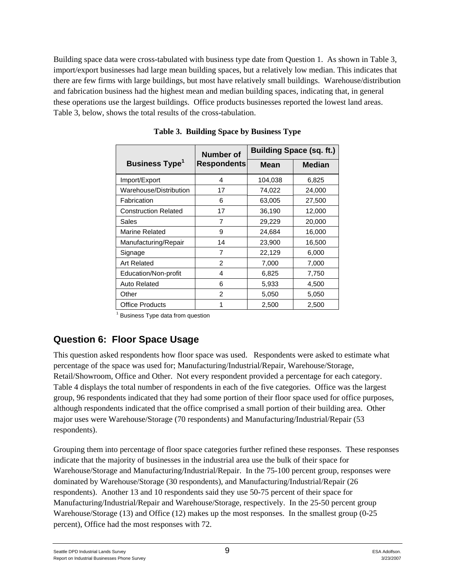Building space data were cross-tabulated with business type date from Question 1. As shown in Table 3, import/export businesses had large mean building spaces, but a relatively low median. This indicates that there are few firms with large buildings, but most have relatively small buildings. Warehouse/distribution and fabrication business had the highest mean and median building spaces, indicating that, in general these operations use the largest buildings. Office products businesses reported the lowest land areas. Table 3, below, shows the total results of the cross-tabulation.

|                                  | <b>Number of</b>   | <b>Building Space (sq. ft.)</b> |               |  |  |
|----------------------------------|--------------------|---------------------------------|---------------|--|--|
| <b>Business Type<sup>1</sup></b> | <b>Respondents</b> | Mean                            | <b>Median</b> |  |  |
| Import/Export                    | 4                  | 104,038                         | 6,825         |  |  |
| Warehouse/Distribution           | 17                 | 74,022                          | 24,000        |  |  |
| Fabrication                      | 6                  | 63,005                          | 27,500        |  |  |
| <b>Construction Related</b>      | 17                 | 36,190                          | 12,000        |  |  |
| Sales                            | 7                  | 29,229                          | 20,000        |  |  |
| <b>Marine Related</b>            | 9                  | 24,684                          | 16,000        |  |  |
| Manufacturing/Repair             | 14                 | 23,900                          | 16,500        |  |  |
| Signage                          | 7                  | 22,129                          | 6,000         |  |  |
| <b>Art Related</b>               | 2                  | 7,000                           | 7,000         |  |  |
| Education/Non-profit             | 4                  | 6,825                           | 7,750         |  |  |
| <b>Auto Related</b>              | 6                  | 5,933                           | 4,500         |  |  |
| Other                            | $\overline{2}$     | 5,050                           | 5,050         |  |  |
| <b>Office Products</b>           |                    | 2,500                           | 2,500         |  |  |

**Table 3. Building Space by Business Type** 

<sup>1</sup> Business Type data from question

### **Question 6: Floor Space Usage**

This question asked respondents how floor space was used. Respondents were asked to estimate what percentage of the space was used for; Manufacturing/Industrial/Repair, Warehouse/Storage, Retail/Showroom, Office and Other. Not every respondent provided a percentage for each category. Table 4 displays the total number of respondents in each of the five categories. Office was the largest group, 96 respondents indicated that they had some portion of their floor space used for office purposes, although respondents indicated that the office comprised a small portion of their building area. Other major uses were Warehouse/Storage (70 respondents) and Manufacturing/Industrial/Repair (53 respondents).

Grouping them into percentage of floor space categories further refined these responses. These responses indicate that the majority of businesses in the industrial area use the bulk of their space for Warehouse/Storage and Manufacturing/Industrial/Repair. In the 75-100 percent group, responses were dominated by Warehouse/Storage (30 respondents), and Manufacturing/Industrial/Repair (26 respondents). Another 13 and 10 respondents said they use 50-75 percent of their space for Manufacturing/Industrial/Repair and Warehouse/Storage, respectively. In the 25-50 percent group Warehouse/Storage (13) and Office (12) makes up the most responses. In the smallest group (0-25 percent), Office had the most responses with 72.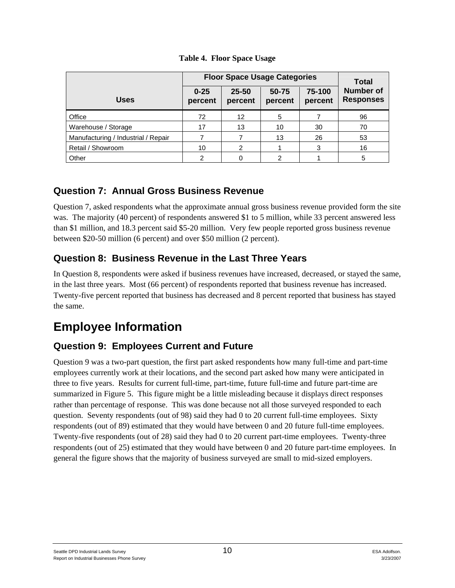|                                     |                     | <b>Floor Space Usage Categories</b> |                  |                   |                                      |  |  |  |
|-------------------------------------|---------------------|-------------------------------------|------------------|-------------------|--------------------------------------|--|--|--|
| <b>Uses</b>                         | $0 - 25$<br>percent | $25 - 50$<br>percent                | 50-75<br>percent | 75-100<br>percent | <b>Number of</b><br><b>Responses</b> |  |  |  |
| Office                              | 72                  | 12                                  | 5                |                   | 96                                   |  |  |  |
| Warehouse / Storage                 | 17                  | 13                                  | 10               | 30                | 70                                   |  |  |  |
| Manufacturing / Industrial / Repair |                     |                                     | 13               | 26                | 53                                   |  |  |  |
| Retail / Showroom                   | 10                  | 2                                   |                  | 3                 | 16                                   |  |  |  |
| Other                               | 2                   | 0                                   | 2                |                   | 5                                    |  |  |  |

**Table 4. Floor Space Usage** 

### **Question 7: Annual Gross Business Revenue**

Question 7, asked respondents what the approximate annual gross business revenue provided form the site was. The majority (40 percent) of respondents answered \$1 to 5 million, while 33 percent answered less than \$1 million, and 18.3 percent said \$5-20 million. Very few people reported gross business revenue between \$20-50 million (6 percent) and over \$50 million (2 percent).

### **Question 8: Business Revenue in the Last Three Years**

In Question 8, respondents were asked if business revenues have increased, decreased, or stayed the same, in the last three years. Most (66 percent) of respondents reported that business revenue has increased. Twenty-five percent reported that business has decreased and 8 percent reported that business has stayed the same.

## **Employee Information**

### **Question 9: Employees Current and Future**

Question 9 was a two-part question, the first part asked respondents how many full-time and part-time employees currently work at their locations, and the second part asked how many were anticipated in three to five years. Results for current full-time, part-time, future full-time and future part-time are summarized in Figure 5. This figure might be a little misleading because it displays direct responses rather than percentage of response. This was done because not all those surveyed responded to each question. Seventy respondents (out of 98) said they had 0 to 20 current full-time employees. Sixty respondents (out of 89) estimated that they would have between 0 and 20 future full-time employees. Twenty-five respondents (out of 28) said they had 0 to 20 current part-time employees. Twenty-three respondents (out of 25) estimated that they would have between 0 and 20 future part-time employees. In general the figure shows that the majority of business surveyed are small to mid-sized employers.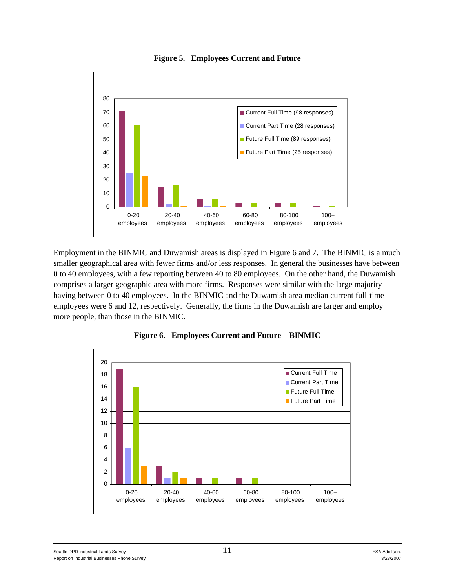

**Figure 5. Employees Current and Future** 

Employment in the BINMIC and Duwamish areas is displayed in Figure 6 and 7. The BINMIC is a much smaller geographical area with fewer firms and/or less responses. In general the businesses have between 0 to 40 employees, with a few reporting between 40 to 80 employees. On the other hand, the Duwamish comprises a larger geographic area with more firms. Responses were similar with the large majority having between 0 to 40 employees. In the BINMIC and the Duwamish area median current full-time employees were 6 and 12, respectively. Generally, the firms in the Duwamish are larger and employ more people, than those in the BINMIC.



**Figure 6. Employees Current and Future – BINMIC**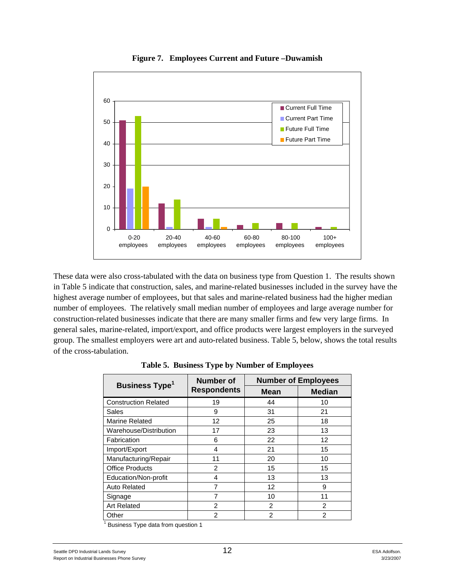

**Figure 7. Employees Current and Future –Duwamish** 

These data were also cross-tabulated with the data on business type from Question 1. The results shown in Table 5 indicate that construction, sales, and marine-related businesses included in the survey have the highest average number of employees, but that sales and marine-related business had the higher median number of employees. The relatively small median number of employees and large average number for construction-related businesses indicate that there are many smaller firms and few very large firms. In general sales, marine-related, import/export, and office products were largest employers in the surveyed group. The smallest employers were art and auto-related business. Table 5, below, shows the total results of the cross-tabulation.

| <b>Business Type<sup>1</sup></b> | <b>Number of</b>   | <b>Number of Employees</b> |               |  |  |  |
|----------------------------------|--------------------|----------------------------|---------------|--|--|--|
|                                  | <b>Respondents</b> | <b>Mean</b>                | <b>Median</b> |  |  |  |
| <b>Construction Related</b>      | 19                 | 44                         | 10            |  |  |  |
| Sales                            | 9                  | 31                         | 21            |  |  |  |
| <b>Marine Related</b>            | $12 \overline{ }$  | 25                         | 18            |  |  |  |
| Warehouse/Distribution           | 17                 | 23                         | 13            |  |  |  |
| Fabrication                      | 6                  | 22                         | 12            |  |  |  |
| Import/Export                    | 4                  | 21                         | 15            |  |  |  |
| Manufacturing/Repair             | 11                 | 20                         | 10            |  |  |  |
| <b>Office Products</b>           | 2                  | 15                         | 15            |  |  |  |
| Education/Non-profit             | 4                  | 13                         | 13            |  |  |  |
| Auto Related                     |                    | 12                         | 9             |  |  |  |
| Signage                          | 7                  | 10                         | 11            |  |  |  |
| <b>Art Related</b>               | 2                  | 2                          | 2             |  |  |  |
| Other                            | $\mathfrak{p}$     | $\mathfrak{p}$             | 2             |  |  |  |

**Table 5. Business Type by Number of Employees** 

<sup>1</sup> Business Type data from question 1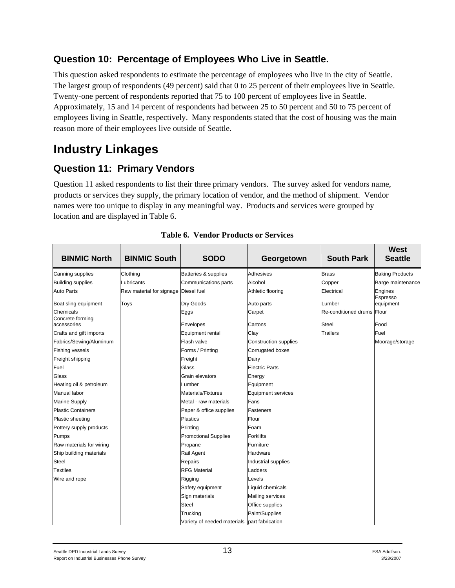### **Question 10: Percentage of Employees Who Live in Seattle.**

This question asked respondents to estimate the percentage of employees who live in the city of Seattle. The largest group of respondents (49 percent) said that 0 to 25 percent of their employees live in Seattle. Twenty-one percent of respondents reported that 75 to 100 percent of employees live in Seattle. Approximately, 15 and 14 percent of respondents had between 25 to 50 percent and 50 to 75 percent of employees living in Seattle, respectively. Many respondents stated that the cost of housing was the main reason more of their employees live outside of Seattle.

## **Industry Linkages**

### **Question 11: Primary Vendors**

Question 11 asked respondents to list their three primary vendors. The survey asked for vendors name, products or services they supply, the primary location of vendor, and the method of shipment. Vendor names were too unique to display in any meaningful way. Products and services were grouped by location and are displayed in Table 6.

| <b>BINMIC North</b>           | <b>BINMIC South</b>                  | <b>SODO</b>                                  | Georgetown                   | <b>South Park</b>          | <b>West</b><br><b>Seattle</b> |
|-------------------------------|--------------------------------------|----------------------------------------------|------------------------------|----------------------------|-------------------------------|
| Canning supplies              | Clothing                             | Batteries & supplies                         | <b>Adhesives</b>             | <b>Brass</b>               | <b>Baking Products</b>        |
| <b>Building supplies</b>      | Lubricants                           | Communications parts                         | Alcohol                      | Copper                     | Barge maintenance             |
| <b>Auto Parts</b>             | Raw material for signage Diesel fuel |                                              | Athletic flooring            | Electrical                 | Engines                       |
| Boat sling equipment          | Toys                                 | Dry Goods                                    | Auto parts                   | Lumber                     | Espresso<br>equipment         |
| Chemicals<br>Concrete forming |                                      | Eggs                                         | Carpet                       | Re-conditioned drums Flour |                               |
| accessories                   |                                      | Envelopes                                    | Cartons                      | <b>Steel</b>               | Food                          |
| Crafts and gift imports       |                                      | Equipment rental                             | Clay                         | <b>Trailers</b>            | Fuel                          |
| Fabrics/Sewing/Aluminum       |                                      | Flash valve                                  | <b>Construction supplies</b> |                            | Moorage/storage               |
| <b>Fishing vessels</b>        |                                      | Forms / Printing                             | Corrugated boxes             |                            |                               |
| Freight shipping              |                                      | Freight                                      | Dairy                        |                            |                               |
| Fuel                          |                                      | Glass                                        | <b>Electric Parts</b>        |                            |                               |
| Glass                         |                                      | Grain elevators                              | Energy                       |                            |                               |
| Heating oil & petroleum       |                                      | Lumber                                       | Equipment                    |                            |                               |
| Manual labor                  |                                      | Materials/Fixtures                           | Equipment services           |                            |                               |
| <b>Marine Supply</b>          |                                      | Metal - raw materials                        | Fans                         |                            |                               |
| <b>Plastic Containers</b>     |                                      | Paper & office supplies                      | <b>Fasteners</b>             |                            |                               |
| Plastic sheeting              |                                      | <b>Plastics</b>                              | Flour                        |                            |                               |
| Pottery supply products       |                                      | Printing                                     | Foam                         |                            |                               |
| Pumps                         |                                      | <b>Promotional Supplies</b>                  | <b>Forklifts</b>             |                            |                               |
| Raw materials for wiring      |                                      | Propane                                      | Furniture                    |                            |                               |
| Ship building materials       |                                      | Rail Agent                                   | Hardware                     |                            |                               |
| <b>Steel</b>                  |                                      | Repairs                                      | Industrial supplies          |                            |                               |
| <b>Textiles</b>               |                                      | <b>RFG Material</b>                          | Ladders                      |                            |                               |
| Wire and rope                 |                                      | Rigging                                      | Levels                       |                            |                               |
|                               |                                      | Safety equipment                             | Liquid chemicals             |                            |                               |
|                               |                                      | Sign materials                               | Mailing services             |                            |                               |
|                               |                                      | <b>Steel</b>                                 | Office supplies              |                            |                               |
|                               |                                      | Trucking                                     | Paint/Supplies               |                            |                               |
|                               |                                      | Variety of needed materials part fabrication |                              |                            |                               |

| <b>Table 6. Vendor Products or Services</b> |
|---------------------------------------------|
|---------------------------------------------|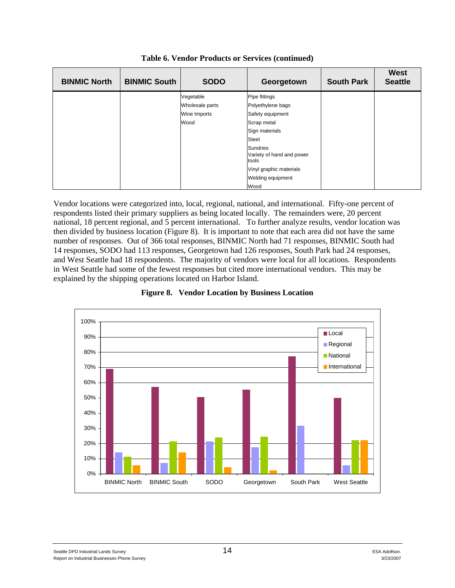| <b>BINMIC North</b> | <b>BINMIC South</b> | <b>SODO</b>     | Georgetown                                            | <b>South Park</b> | <b>West</b><br><b>Seattle</b> |
|---------------------|---------------------|-----------------|-------------------------------------------------------|-------------------|-------------------------------|
|                     |                     | Vegetable       | Pipe fittings                                         |                   |                               |
|                     |                     | Wholesale parts | Polyethylene bags                                     |                   |                               |
|                     |                     | Wine Imports    | Safety equipment                                      |                   |                               |
|                     |                     | Wood            | Scrap metal                                           |                   |                               |
|                     |                     |                 | Sign materials                                        |                   |                               |
|                     |                     |                 | Steel                                                 |                   |                               |
|                     |                     |                 | <b>Sundries</b><br>Variety of hand and power<br>tools |                   |                               |
|                     |                     |                 | Vinyl graphic materials                               |                   |                               |
|                     |                     |                 | Welding equipment                                     |                   |                               |
|                     |                     |                 | Wood                                                  |                   |                               |

**Table 6. Vendor Products or Services (continued)** 

Vendor locations were categorized into, local, regional, national, and international. Fifty-one percent of respondents listed their primary suppliers as being located locally. The remainders were, 20 percent national, 18 percent regional, and 5 percent international. To further analyze results, vendor location was then divided by business location (Figure 8). It is important to note that each area did not have the same number of responses. Out of 366 total responses, BINMIC North had 71 responses, BINMIC South had 14 responses, SODO had 113 responses, Georgetown had 126 responses, South Park had 24 responses, and West Seattle had 18 respondents. The majority of vendors were local for all locations. Respondents in West Seattle had some of the fewest responses but cited more international vendors. This may be explained by the shipping operations located on Harbor Island.



**Figure 8. Vendor Location by Business Location**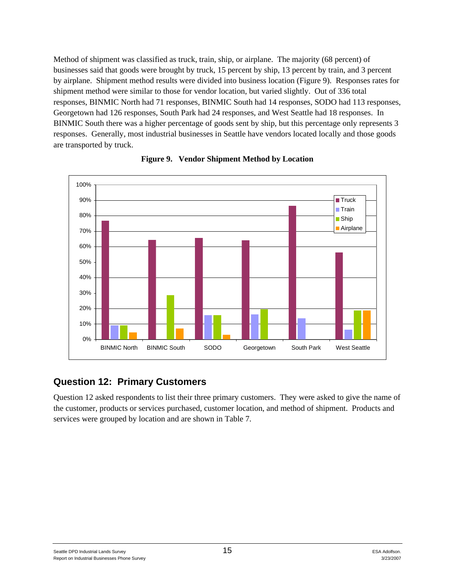Method of shipment was classified as truck, train, ship, or airplane. The majority (68 percent) of businesses said that goods were brought by truck, 15 percent by ship, 13 percent by train, and 3 percent by airplane. Shipment method results were divided into business location (Figure 9). Responses rates for shipment method were similar to those for vendor location, but varied slightly. Out of 336 total responses, BINMIC North had 71 responses, BINMIC South had 14 responses, SODO had 113 responses, Georgetown had 126 responses, South Park had 24 responses, and West Seattle had 18 responses. In BINMIC South there was a higher percentage of goods sent by ship, but this percentage only represents 3 responses. Generally, most industrial businesses in Seattle have vendors located locally and those goods are transported by truck.



#### **Figure 9. Vendor Shipment Method by Location**

#### **Question 12: Primary Customers**

Question 12 asked respondents to list their three primary customers. They were asked to give the name of the customer, products or services purchased, customer location, and method of shipment. Products and services were grouped by location and are shown in Table 7.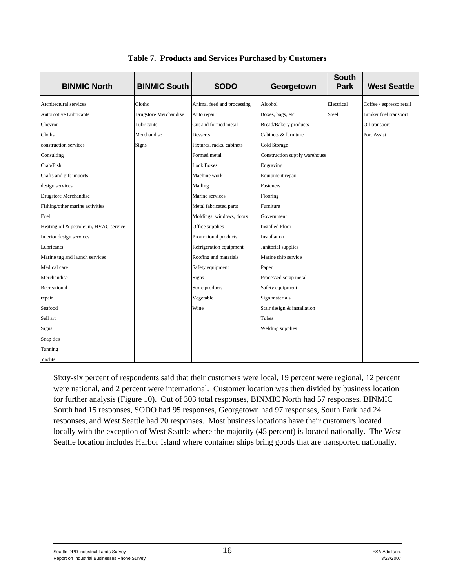| <b>BINMIC North</b>                   | <b>BINMIC South</b>   | <b>SODO</b>                | Georgetown                    | <b>South</b><br><b>Park</b> | <b>West Seattle</b>      |
|---------------------------------------|-----------------------|----------------------------|-------------------------------|-----------------------------|--------------------------|
| Architectural services                | Cloths                | Animal feed and processing | Alcohol                       | Electrical                  | Coffee / espresso retail |
| <b>Automotive Lubricants</b>          | Drugstore Merchandise | Auto repair                | Boxes, bags, etc.             | Steel                       | Bunker fuel transport    |
| Chevron                               | Lubricants            | Cut and formed metal       | <b>Bread/Bakery</b> products  |                             | Oil transport            |
| Cloths                                | Merchandise           | Desserts                   | Cabinets & furniture          |                             | Port Assist              |
| construction services                 | Signs                 | Fixtures, racks, cabinets  | Cold Storage                  |                             |                          |
| Consulting                            |                       | Formed metal               | Construction supply warehouse |                             |                          |
| Crab/Fish                             |                       | <b>Lock Boxes</b>          | Engraving                     |                             |                          |
| Crafts and gift imports               |                       | Machine work               | Equipment repair              |                             |                          |
| design services                       |                       | Mailing                    | Fasteners                     |                             |                          |
| <b>Drugstore Merchandise</b>          |                       | Marine services            | Flooring                      |                             |                          |
| Fishing/other marine activities       |                       | Metal fabricated parts     | Furniture                     |                             |                          |
| Fuel                                  |                       | Moldings, windows, doors   | Government                    |                             |                          |
| Heating oil & petroleum, HVAC service |                       | Office supplies            | <b>Installed Floor</b>        |                             |                          |
| Interior design services              |                       | Promotional products       | Installation                  |                             |                          |
| Lubricants                            |                       | Refrigeration equipment    | Janitorial supplies           |                             |                          |
| Marine tug and launch services        |                       | Roofing and materials      | Marine ship service           |                             |                          |
| Medical care                          |                       | Safety equipment           | Paper                         |                             |                          |
| Merchandise                           |                       | Signs                      | Processed scrap metal         |                             |                          |
| Recreational                          |                       | Store products             | Safety equipment              |                             |                          |
| repair                                |                       | Vegetable                  | Sign materials                |                             |                          |
| Seafood                               |                       | Wine                       | Stair design & installation   |                             |                          |
| Sell art                              |                       |                            | Tubes                         |                             |                          |
| Signs                                 |                       |                            | Welding supplies              |                             |                          |
| Snap ties                             |                       |                            |                               |                             |                          |
| Tanning                               |                       |                            |                               |                             |                          |
| Yachts                                |                       |                            |                               |                             |                          |

**Table 7. Products and Services Purchased by Customers** 

Sixty-six percent of respondents said that their customers were local, 19 percent were regional, 12 percent were national, and 2 percent were international. Customer location was then divided by business location for further analysis (Figure 10). Out of 303 total responses, BINMIC North had 57 responses, BINMIC South had 15 responses, SODO had 95 responses, Georgetown had 97 responses, South Park had 24 responses, and West Seattle had 20 responses. Most business locations have their customers located locally with the exception of West Seattle where the majority (45 percent) is located nationally. The West Seattle location includes Harbor Island where container ships bring goods that are transported nationally.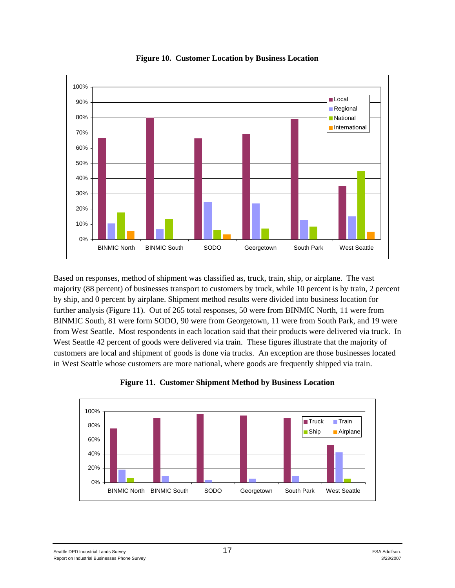

**Figure 10. Customer Location by Business Location** 

Based on responses, method of shipment was classified as, truck, train, ship, or airplane. The vast majority (88 percent) of businesses transport to customers by truck, while 10 percent is by train, 2 percent by ship, and 0 percent by airplane. Shipment method results were divided into business location for further analysis (Figure 11). Out of 265 total responses, 50 were from BINMIC North, 11 were from BINMIC South, 81 were form SODO, 90 were from Georgetown, 11 were from South Park, and 19 were from West Seattle. Most respondents in each location said that their products were delivered via truck. In West Seattle 42 percent of goods were delivered via train. These figures illustrate that the majority of customers are local and shipment of goods is done via trucks. An exception are those businesses located in West Seattle whose customers are more national, where goods are frequently shipped via train.



**Figure 11. Customer Shipment Method by Business Location**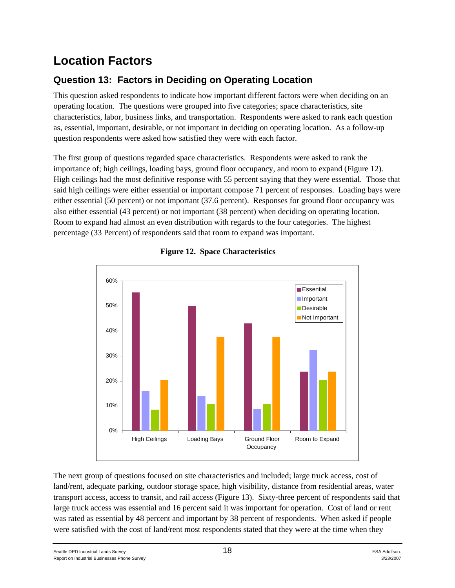## **Location Factors**

### **Question 13: Factors in Deciding on Operating Location**

This question asked respondents to indicate how important different factors were when deciding on an operating location. The questions were grouped into five categories; space characteristics, site characteristics, labor, business links, and transportation. Respondents were asked to rank each question as, essential, important, desirable, or not important in deciding on operating location. As a follow-up question respondents were asked how satisfied they were with each factor.

The first group of questions regarded space characteristics. Respondents were asked to rank the importance of; high ceilings, loading bays, ground floor occupancy, and room to expand (Figure 12). High ceilings had the most definitive response with 55 percent saying that they were essential. Those that said high ceilings were either essential or important compose 71 percent of responses. Loading bays were either essential (50 percent) or not important (37.6 percent). Responses for ground floor occupancy was also either essential (43 percent) or not important (38 percent) when deciding on operating location. Room to expand had almost an even distribution with regards to the four categories. The highest percentage (33 Percent) of respondents said that room to expand was important.



#### **Figure 12. Space Characteristics**

The next group of questions focused on site characteristics and included; large truck access, cost of land/rent, adequate parking, outdoor storage space, high visibility, distance from residential areas, water transport access, access to transit, and rail access (Figure 13). Sixty-three percent of respondents said that large truck access was essential and 16 percent said it was important for operation. Cost of land or rent was rated as essential by 48 percent and important by 38 percent of respondents. When asked if people were satisfied with the cost of land/rent most respondents stated that they were at the time when they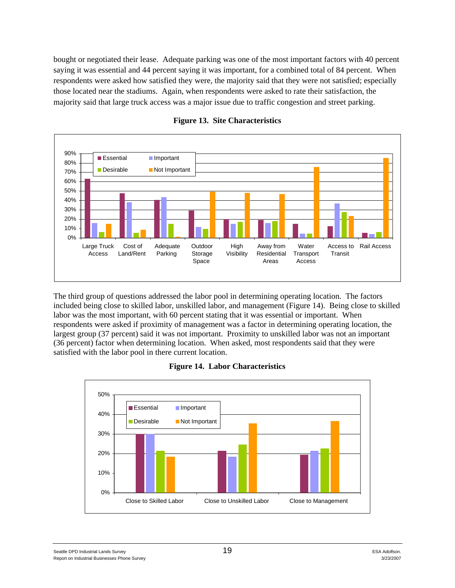bought or negotiated their lease. Adequate parking was one of the most important factors with 40 percent saying it was essential and 44 percent saying it was important, for a combined total of 84 percent. When respondents were asked how satisfied they were, the majority said that they were not satisfied; especially those located near the stadiums. Again, when respondents were asked to rate their satisfaction, the majority said that large truck access was a major issue due to traffic congestion and street parking.



#### **Figure 13. Site Characteristics**

The third group of questions addressed the labor pool in determining operating location. The factors included being close to skilled labor, unskilled labor, and management (Figure 14). Being close to skilled labor was the most important, with 60 percent stating that it was essential or important. When respondents were asked if proximity of management was a factor in determining operating location, the largest group (37 percent) said it was not important. Proximity to unskilled labor was not an important (36 percent) factor when determining location. When asked, most respondents said that they were satisfied with the labor pool in there current location.

#### **Figure 14. Labor Characteristics**

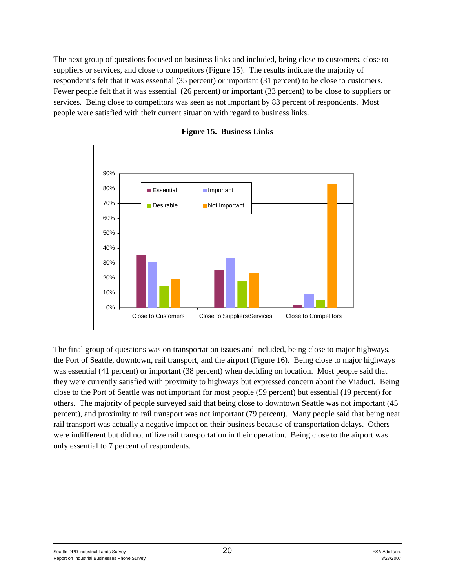The next group of questions focused on business links and included, being close to customers, close to suppliers or services, and close to competitors (Figure 15). The results indicate the majority of respondent's felt that it was essential (35 percent) or important (31 percent) to be close to customers. Fewer people felt that it was essential (26 percent) or important (33 percent) to be close to suppliers or services. Being close to competitors was seen as not important by 83 percent of respondents. Most people were satisfied with their current situation with regard to business links.



**Figure 15. Business Links** 

The final group of questions was on transportation issues and included, being close to major highways, the Port of Seattle, downtown, rail transport, and the airport (Figure 16). Being close to major highways was essential (41 percent) or important (38 percent) when deciding on location. Most people said that they were currently satisfied with proximity to highways but expressed concern about the Viaduct. Being close to the Port of Seattle was not important for most people (59 percent) but essential (19 percent) for others. The majority of people surveyed said that being close to downtown Seattle was not important (45 percent), and proximity to rail transport was not important (79 percent). Many people said that being near rail transport was actually a negative impact on their business because of transportation delays. Others were indifferent but did not utilize rail transportation in their operation. Being close to the airport was only essential to 7 percent of respondents.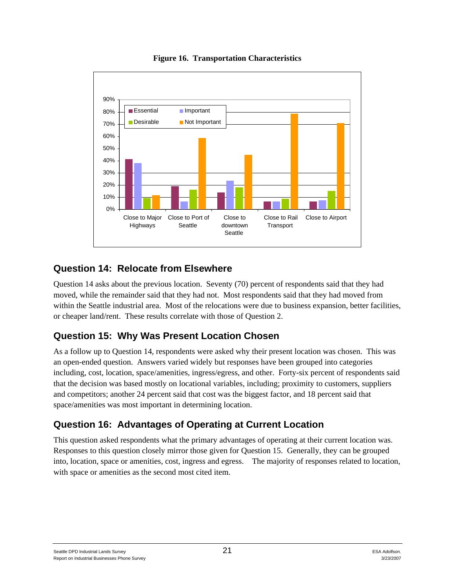

**Figure 16. Transportation Characteristics** 

### **Question 14: Relocate from Elsewhere**

Question 14 asks about the previous location. Seventy (70) percent of respondents said that they had moved, while the remainder said that they had not. Most respondents said that they had moved from within the Seattle industrial area. Most of the relocations were due to business expansion, better facilities, or cheaper land/rent. These results correlate with those of Question 2.

### **Question 15: Why Was Present Location Chosen**

As a follow up to Question 14, respondents were asked why their present location was chosen. This was an open-ended question. Answers varied widely but responses have been grouped into categories including, cost, location, space/amenities, ingress/egress, and other. Forty-six percent of respondents said that the decision was based mostly on locational variables, including; proximity to customers, suppliers and competitors; another 24 percent said that cost was the biggest factor, and 18 percent said that space/amenities was most important in determining location.

### **Question 16: Advantages of Operating at Current Location**

This question asked respondents what the primary advantages of operating at their current location was. Responses to this question closely mirror those given for Question 15. Generally, they can be grouped into, location, space or amenities, cost, ingress and egress. The majority of responses related to location, with space or amenities as the second most cited item.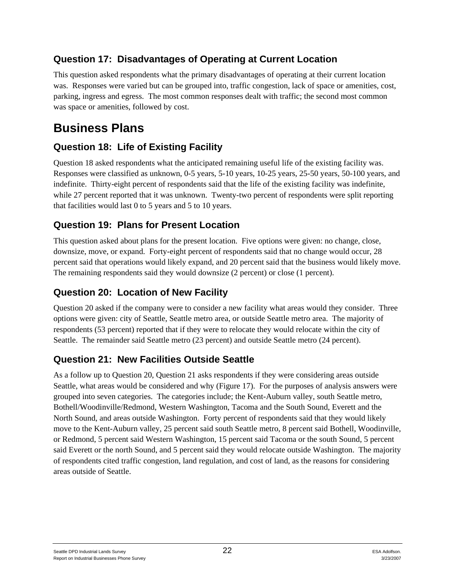### **Question 17: Disadvantages of Operating at Current Location**

This question asked respondents what the primary disadvantages of operating at their current location was. Responses were varied but can be grouped into, traffic congestion, lack of space or amenities, cost, parking, ingress and egress. The most common responses dealt with traffic; the second most common was space or amenities, followed by cost.

## **Business Plans**

### **Question 18: Life of Existing Facility**

Question 18 asked respondents what the anticipated remaining useful life of the existing facility was. Responses were classified as unknown, 0-5 years, 5-10 years, 10-25 years, 25-50 years, 50-100 years, and indefinite. Thirty-eight percent of respondents said that the life of the existing facility was indefinite, while 27 percent reported that it was unknown. Twenty-two percent of respondents were split reporting that facilities would last 0 to 5 years and 5 to 10 years.

### **Question 19: Plans for Present Location**

This question asked about plans for the present location. Five options were given: no change, close, downsize, move, or expand. Forty-eight percent of respondents said that no change would occur, 28 percent said that operations would likely expand, and 20 percent said that the business would likely move. The remaining respondents said they would downsize (2 percent) or close (1 percent).

### **Question 20: Location of New Facility**

Question 20 asked if the company were to consider a new facility what areas would they consider. Three options were given: city of Seattle, Seattle metro area, or outside Seattle metro area. The majority of respondents (53 percent) reported that if they were to relocate they would relocate within the city of Seattle. The remainder said Seattle metro (23 percent) and outside Seattle metro (24 percent).

### **Question 21: New Facilities Outside Seattle**

As a follow up to Question 20, Question 21 asks respondents if they were considering areas outside Seattle, what areas would be considered and why (Figure 17). For the purposes of analysis answers were grouped into seven categories. The categories include; the Kent-Auburn valley, south Seattle metro, Bothell/Woodinville/Redmond, Western Washington, Tacoma and the South Sound, Everett and the North Sound, and areas outside Washington. Forty percent of respondents said that they would likely move to the Kent-Auburn valley, 25 percent said south Seattle metro, 8 percent said Bothell, Woodinville, or Redmond, 5 percent said Western Washington, 15 percent said Tacoma or the south Sound, 5 percent said Everett or the north Sound, and 5 percent said they would relocate outside Washington. The majority of respondents cited traffic congestion, land regulation, and cost of land, as the reasons for considering areas outside of Seattle.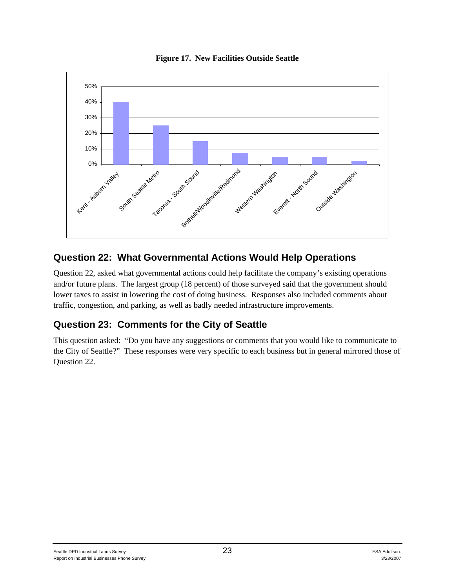



### **Question 22: What Governmental Actions Would Help Operations**

Question 22, asked what governmental actions could help facilitate the company's existing operations and/or future plans. The largest group (18 percent) of those surveyed said that the government should lower taxes to assist in lowering the cost of doing business. Responses also included comments about traffic, congestion, and parking, as well as badly needed infrastructure improvements.

### **Question 23: Comments for the City of Seattle**

This question asked: "Do you have any suggestions or comments that you would like to communicate to the City of Seattle?" These responses were very specific to each business but in general mirrored those of Question 22.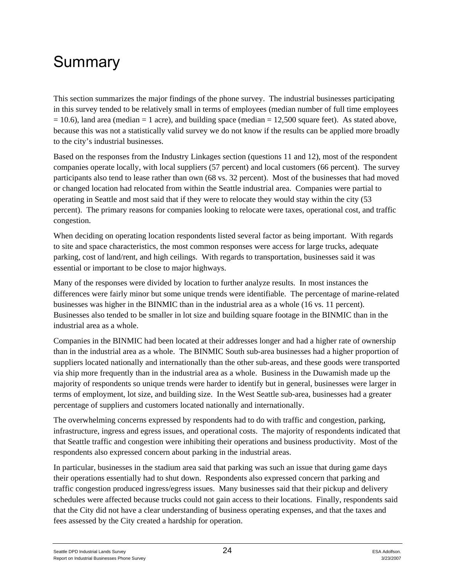# Summary

This section summarizes the major findings of the phone survey. The industrial businesses participating in this survey tended to be relatively small in terms of employees (median number of full time employees  $= 10.6$ ), land area (median  $= 1$  acre), and building space (median  $= 12,500$  square feet). As stated above, because this was not a statistically valid survey we do not know if the results can be applied more broadly to the city's industrial businesses.

Based on the responses from the Industry Linkages section (questions 11 and 12), most of the respondent companies operate locally, with local suppliers (57 percent) and local customers (66 percent). The survey participants also tend to lease rather than own (68 vs. 32 percent). Most of the businesses that had moved or changed location had relocated from within the Seattle industrial area. Companies were partial to operating in Seattle and most said that if they were to relocate they would stay within the city (53 percent). The primary reasons for companies looking to relocate were taxes, operational cost, and traffic congestion.

When deciding on operating location respondents listed several factor as being important. With regards to site and space characteristics, the most common responses were access for large trucks, adequate parking, cost of land/rent, and high ceilings. With regards to transportation, businesses said it was essential or important to be close to major highways.

Many of the responses were divided by location to further analyze results. In most instances the differences were fairly minor but some unique trends were identifiable. The percentage of marine-related businesses was higher in the BINMIC than in the industrial area as a whole (16 vs. 11 percent). Businesses also tended to be smaller in lot size and building square footage in the BINMIC than in the industrial area as a whole.

Companies in the BINMIC had been located at their addresses longer and had a higher rate of ownership than in the industrial area as a whole. The BINMIC South sub-area businesses had a higher proportion of suppliers located nationally and internationally than the other sub-areas, and these goods were transported via ship more frequently than in the industrial area as a whole. Business in the Duwamish made up the majority of respondents so unique trends were harder to identify but in general, businesses were larger in terms of employment, lot size, and building size. In the West Seattle sub-area, businesses had a greater percentage of suppliers and customers located nationally and internationally.

The overwhelming concerns expressed by respondents had to do with traffic and congestion, parking, infrastructure, ingress and egress issues, and operational costs. The majority of respondents indicated that that Seattle traffic and congestion were inhibiting their operations and business productivity. Most of the respondents also expressed concern about parking in the industrial areas.

In particular, businesses in the stadium area said that parking was such an issue that during game days their operations essentially had to shut down. Respondents also expressed concern that parking and traffic congestion produced ingress/egress issues. Many businesses said that their pickup and delivery schedules were affected because trucks could not gain access to their locations. Finally, respondents said that the City did not have a clear understanding of business operating expenses, and that the taxes and fees assessed by the City created a hardship for operation.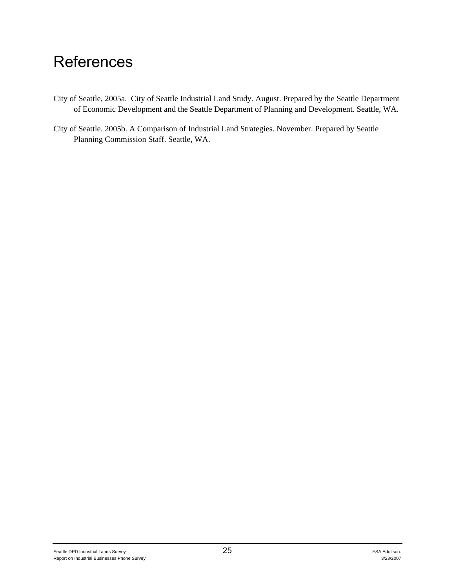# **References**

- City of Seattle, 2005a. City of Seattle Industrial Land Study*.* August. Prepared by the Seattle Department of Economic Development and the Seattle Department of Planning and Development. Seattle, WA.
- City of Seattle. 2005b. A Comparison of Industrial Land Strategies. November. Prepared by Seattle Planning Commission Staff. Seattle, WA.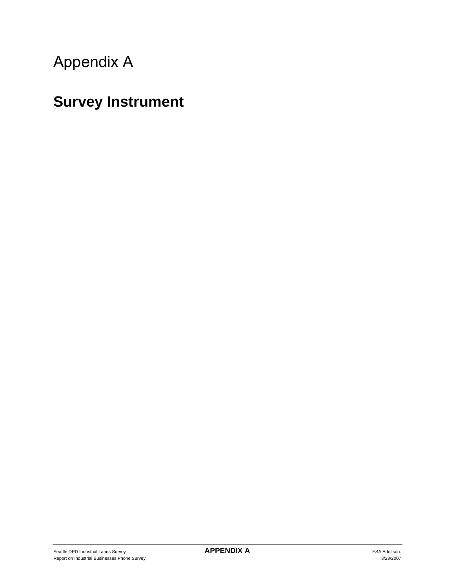# Appendix A

# **Survey Instrument**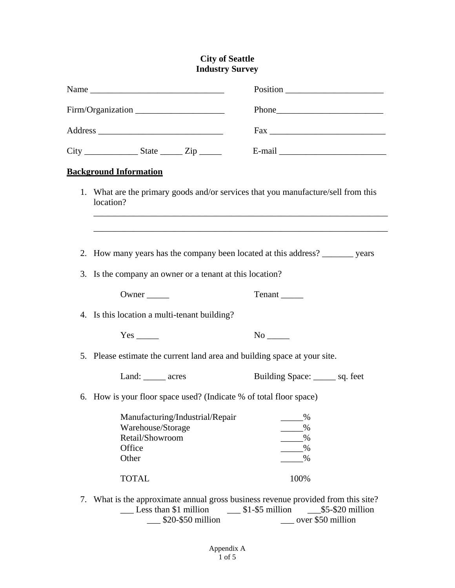#### **City of Seattle Industry Survey**

|  |                                                                                                            | $\text{Fax}$                                           |  |  |  |
|--|------------------------------------------------------------------------------------------------------------|--------------------------------------------------------|--|--|--|
|  |                                                                                                            |                                                        |  |  |  |
|  | <b>Background Information</b>                                                                              |                                                        |  |  |  |
|  | 1. What are the primary goods and/or services that you manufacture/sell from this<br>location?             |                                                        |  |  |  |
|  | 2. How many years has the company been located at this address? _______ years                              |                                                        |  |  |  |
|  | 3. Is the company an owner or a tenant at this location?                                                   |                                                        |  |  |  |
|  | Owner                                                                                                      |                                                        |  |  |  |
|  | 4. Is this location a multi-tenant building?                                                               |                                                        |  |  |  |
|  | $Yes$ <sub>_____</sub>                                                                                     |                                                        |  |  |  |
|  | 5. Please estimate the current land area and building space at your site.                                  |                                                        |  |  |  |
|  | Land: ______ acres                                                                                         | Building Space: _______ sq. feet                       |  |  |  |
|  | 6. How is your floor space used? (Indicate % of total floor space)                                         |                                                        |  |  |  |
|  | Manufacturing/Industrial/Repair<br>Warehouse/Storage<br>Retail/Showroom<br>Office<br>Other                 | $\%$<br>$\%$<br>$\%$<br>$\%$<br>$\%$                   |  |  |  |
|  | <b>TOTAL</b>                                                                                               | 100%                                                   |  |  |  |
|  | 7. What is the approximate annual gross business revenue provided from this site?<br>Less than \$1 million | $\frac{\$1-\$5\text{ million}}{2}$<br>\$5-\$20 million |  |  |  |

\_\_\_ \$20-\$50 million \_\_\_ over \$50 million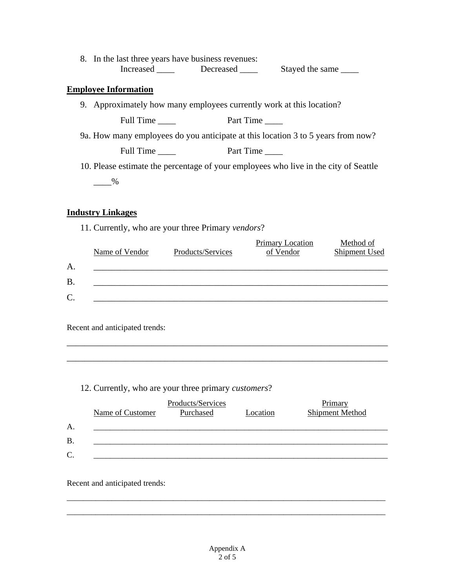| 8. In the last three years have business revenues: |           |                 |
|----------------------------------------------------|-----------|-----------------|
| Increased                                          | Decreased | Stayed the same |
| <b>Employee Information</b>                        |           |                 |
|                                                    |           |                 |

9. Approximately how many employees currently work at this location?

Full Time \_\_\_\_ Part Time \_\_\_\_

9a. How many employees do you anticipate at this location 3 to 5 years from now?

Full Time \_\_\_\_ Part Time \_\_\_\_

10. Please estimate the percentage of your employees who live in the city of Seattle  $-$  %

#### **Industry Linkages**

11. Currently, who are your three Primary *vendors*?

|           | Name of Vendor | Products/Services | Primary Location<br>of Vendor | Method of<br>Shipment Used |
|-----------|----------------|-------------------|-------------------------------|----------------------------|
| A.        |                |                   |                               |                            |
| <b>B.</b> |                |                   |                               |                            |
| $C$ .     |                |                   |                               |                            |

\_\_\_\_\_\_\_\_\_\_\_\_\_\_\_\_\_\_\_\_\_\_\_\_\_\_\_\_\_\_\_\_\_\_\_\_\_\_\_\_\_\_\_\_\_\_\_\_\_\_\_\_\_\_\_\_\_\_\_\_\_\_\_\_\_\_\_\_\_\_\_\_

\_\_\_\_\_\_\_\_\_\_\_\_\_\_\_\_\_\_\_\_\_\_\_\_\_\_\_\_\_\_\_\_\_\_\_\_\_\_\_\_\_\_\_\_\_\_\_\_\_\_\_\_\_\_\_\_\_\_\_\_\_\_\_\_\_\_\_\_\_\_\_\_

Recent and anticipated trends:

#### 12. Currently, who are your three primary *customers*?

|           | Name of Customer | Products/Services<br>Purchased | Location | Primary<br><b>Shipment Method</b> |
|-----------|------------------|--------------------------------|----------|-----------------------------------|
| А.        |                  |                                |          |                                   |
| <b>B.</b> |                  |                                |          |                                   |
| C.        |                  |                                |          |                                   |

Recent and anticipated trends:

\_\_\_\_\_\_\_\_\_\_\_\_\_\_\_\_\_\_\_\_\_\_\_\_\_\_\_\_\_\_\_\_\_\_\_\_\_\_\_\_\_\_\_\_\_\_\_\_\_\_\_\_\_\_\_\_\_\_\_\_\_\_\_\_\_\_\_\_\_\_\_\_\_\_\_\_\_\_ \_\_\_\_\_\_\_\_\_\_\_\_\_\_\_\_\_\_\_\_\_\_\_\_\_\_\_\_\_\_\_\_\_\_\_\_\_\_\_\_\_\_\_\_\_\_\_\_\_\_\_\_\_\_\_\_\_\_\_\_\_\_\_\_\_\_\_\_\_\_\_\_\_\_\_\_\_\_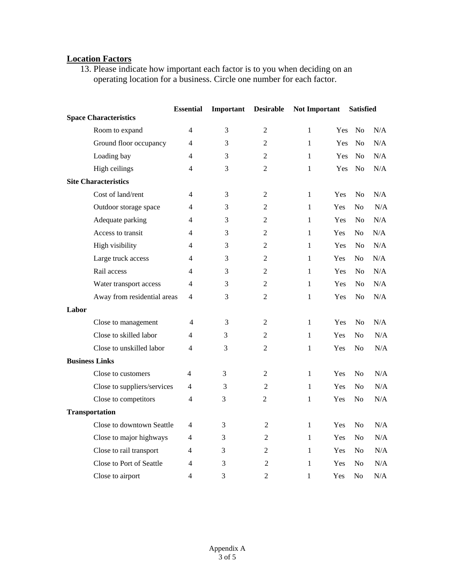#### **Location Factors**

13. Please indicate how important each factor is to you when deciding on an operating location for a business. Circle one number for each factor.

|                       |                              |                | Important | <b>Desirable</b> | <b>Not Important</b> |     | <b>Satisfied</b> |     |
|-----------------------|------------------------------|----------------|-----------|------------------|----------------------|-----|------------------|-----|
|                       | <b>Space Characteristics</b> |                |           |                  |                      |     |                  |     |
|                       | Room to expand               | 4              | 3         | $\overline{2}$   | 1                    | Yes | No               | N/A |
|                       | Ground floor occupancy       | 4              | 3         | $\mathfrak{2}$   | 1                    | Yes | N <sub>o</sub>   | N/A |
|                       | Loading bay                  | 4              | 3         | $\overline{2}$   | 1                    | Yes | N <sub>o</sub>   | N/A |
|                       | High ceilings                | $\overline{4}$ | 3         | $\overline{2}$   | $\mathbf{1}$         | Yes | N <sub>o</sub>   | N/A |
|                       | <b>Site Characteristics</b>  |                |           |                  |                      |     |                  |     |
|                       | Cost of land/rent            | 4              | 3         | 2                | 1                    | Yes | N <sub>0</sub>   | N/A |
|                       | Outdoor storage space        | 4              | 3         | 2                | 1                    | Yes | No               | N/A |
|                       | Adequate parking             | 4              | 3         | $\mathfrak{2}$   | $\mathbf{1}$         | Yes | $\rm No$         | N/A |
|                       | Access to transit            | 4              | 3         | $\overline{2}$   | 1                    | Yes | N <sub>0</sub>   | N/A |
|                       | High visibility              | $\overline{4}$ | 3         | $\overline{2}$   | $\mathbf{1}$         | Yes | N <sub>o</sub>   | N/A |
|                       | Large truck access           | 4              | 3         | $\overline{2}$   | 1                    | Yes | N <sub>0</sub>   | N/A |
|                       | Rail access                  | 4              | 3         | $\overline{2}$   | $\mathbf{1}$         | Yes | N <sub>0</sub>   | N/A |
|                       | Water transport access       | 4              | 3         | $\overline{2}$   | 1                    | Yes | No               | N/A |
|                       | Away from residential areas  | $\overline{4}$ | 3         | $\overline{2}$   | $\mathbf{1}$         | Yes | N <sub>o</sub>   | N/A |
| Labor                 |                              |                |           |                  |                      |     |                  |     |
|                       | Close to management          | 4              | 3         | 2                | 1                    | Yes | No               | N/A |
|                       | Close to skilled labor       | 4              | 3         | $\overline{2}$   | 1                    | Yes | N <sub>0</sub>   | N/A |
|                       | Close to unskilled labor     | 4              | 3         | 2                | $\mathbf{1}$         | Yes | N <sub>o</sub>   | N/A |
| <b>Business Links</b> |                              |                |           |                  |                      |     |                  |     |
|                       | Close to customers           | 4              | 3         | 2                | 1                    | Yes | N <sub>o</sub>   | N/A |
|                       | Close to suppliers/services  | 4              | 3         | $\overline{2}$   | $\mathbf{1}$         | Yes | No               | N/A |
|                       | Close to competitors         | 4              | 3         | $\overline{2}$   | $\mathbf{1}$         | Yes | N <sub>o</sub>   | N/A |
|                       | <b>Transportation</b>        |                |           |                  |                      |     |                  |     |
|                       | Close to downtown Seattle    | 4              | 3         | $\overline{2}$   | $\mathbf{1}$         | Yes | N <sub>0</sub>   | N/A |
|                       | Close to major highways      | 4              | 3         | $\overline{2}$   | $\mathbf{1}$         | Yes | N <sub>o</sub>   | N/A |
|                       | Close to rail transport      | 4              | 3         | $\boldsymbol{2}$ | $\mathbf{1}$         | Yes | No               | N/A |
|                       | Close to Port of Seattle     | 4              | 3         | 2                | 1                    | Yes | No               | N/A |
|                       | Close to airport             | 4              | 3         | $\overline{2}$   | 1                    | Yes | No               | N/A |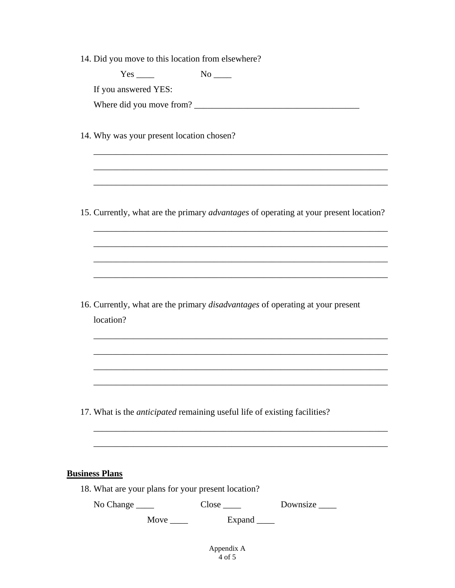|  |  |  |  |  |  | 14. Did you move to this location from elsewhere? |
|--|--|--|--|--|--|---------------------------------------------------|
|--|--|--|--|--|--|---------------------------------------------------|

|                       | $No$ <sub>____</sub>                                                                                                  |  |
|-----------------------|-----------------------------------------------------------------------------------------------------------------------|--|
| If you answered YES:  |                                                                                                                       |  |
|                       |                                                                                                                       |  |
|                       | 14. Why was your present location chosen?                                                                             |  |
|                       |                                                                                                                       |  |
|                       | 15. Currently, what are the primary <i>advantages</i> of operating at your present location?                          |  |
|                       | <u> 1989 - Johann Stoff, deutscher Stoff, der Stoff, der Stoff, der Stoff, der Stoff, der Stoff, der Stoff, der S</u> |  |
|                       | <u> 1989 - Johann Harry Harry Harry Harry Harry Harry Harry Harry Harry Harry Harry Harry Harry Harry Harry Harry</u> |  |
|                       |                                                                                                                       |  |
|                       |                                                                                                                       |  |
| location?             | 16. Currently, what are the primary disadvantages of operating at your present                                        |  |
|                       |                                                                                                                       |  |
|                       |                                                                                                                       |  |
|                       |                                                                                                                       |  |
|                       | 17. What is the <i>anticipated</i> remaining useful life of existing facilities?                                      |  |
|                       |                                                                                                                       |  |
|                       |                                                                                                                       |  |
| <b>Business Plans</b> |                                                                                                                       |  |
|                       | 18. What are your plans for your present location?                                                                    |  |

Move \_\_\_\_\_ Expand \_\_\_\_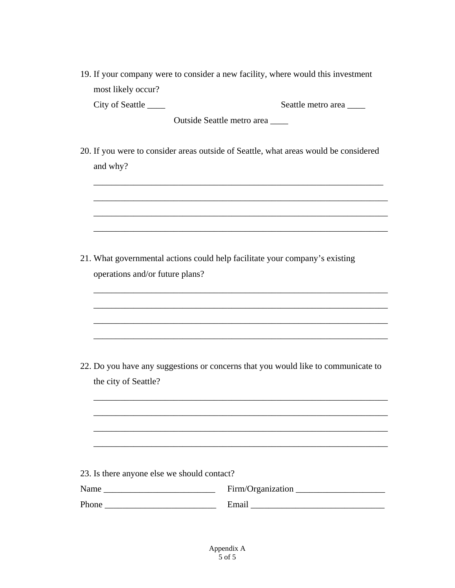| 19. If your company were to consider a new facility, where would this investment |  |
|----------------------------------------------------------------------------------|--|
| most likely occur?                                                               |  |

City of Seattle \_\_\_\_ Seattle metro area \_\_\_\_

Outside Seattle metro area \_\_\_\_

20. If you were to consider areas outside of Seattle, what areas would be considered and why?

\_\_\_\_\_\_\_\_\_\_\_\_\_\_\_\_\_\_\_\_\_\_\_\_\_\_\_\_\_\_\_\_\_\_\_\_\_\_\_\_\_\_\_\_\_\_\_\_\_\_\_\_\_\_\_\_\_\_\_\_\_\_\_\_\_

\_\_\_\_\_\_\_\_\_\_\_\_\_\_\_\_\_\_\_\_\_\_\_\_\_\_\_\_\_\_\_\_\_\_\_\_\_\_\_\_\_\_\_\_\_\_\_\_\_\_\_\_\_\_\_\_\_\_\_\_\_\_\_\_\_\_

\_\_\_\_\_\_\_\_\_\_\_\_\_\_\_\_\_\_\_\_\_\_\_\_\_\_\_\_\_\_\_\_\_\_\_\_\_\_\_\_\_\_\_\_\_\_\_\_\_\_\_\_\_\_\_\_\_\_\_\_\_\_\_\_\_\_

\_\_\_\_\_\_\_\_\_\_\_\_\_\_\_\_\_\_\_\_\_\_\_\_\_\_\_\_\_\_\_\_\_\_\_\_\_\_\_\_\_\_\_\_\_\_\_\_\_\_\_\_\_\_\_\_\_\_\_\_\_\_\_\_\_\_

\_\_\_\_\_\_\_\_\_\_\_\_\_\_\_\_\_\_\_\_\_\_\_\_\_\_\_\_\_\_\_\_\_\_\_\_\_\_\_\_\_\_\_\_\_\_\_\_\_\_\_\_\_\_\_\_\_\_\_\_\_\_\_\_\_\_

\_\_\_\_\_\_\_\_\_\_\_\_\_\_\_\_\_\_\_\_\_\_\_\_\_\_\_\_\_\_\_\_\_\_\_\_\_\_\_\_\_\_\_\_\_\_\_\_\_\_\_\_\_\_\_\_\_\_\_\_\_\_\_\_\_\_

\_\_\_\_\_\_\_\_\_\_\_\_\_\_\_\_\_\_\_\_\_\_\_\_\_\_\_\_\_\_\_\_\_\_\_\_\_\_\_\_\_\_\_\_\_\_\_\_\_\_\_\_\_\_\_\_\_\_\_\_\_\_\_\_\_\_

\_\_\_\_\_\_\_\_\_\_\_\_\_\_\_\_\_\_\_\_\_\_\_\_\_\_\_\_\_\_\_\_\_\_\_\_\_\_\_\_\_\_\_\_\_\_\_\_\_\_\_\_\_\_\_\_\_\_\_\_\_\_\_\_\_\_

\_\_\_\_\_\_\_\_\_\_\_\_\_\_\_\_\_\_\_\_\_\_\_\_\_\_\_\_\_\_\_\_\_\_\_\_\_\_\_\_\_\_\_\_\_\_\_\_\_\_\_\_\_\_\_\_\_\_\_\_\_\_\_\_\_\_

\_\_\_\_\_\_\_\_\_\_\_\_\_\_\_\_\_\_\_\_\_\_\_\_\_\_\_\_\_\_\_\_\_\_\_\_\_\_\_\_\_\_\_\_\_\_\_\_\_\_\_\_\_\_\_\_\_\_\_\_\_\_\_\_\_\_

\_\_\_\_\_\_\_\_\_\_\_\_\_\_\_\_\_\_\_\_\_\_\_\_\_\_\_\_\_\_\_\_\_\_\_\_\_\_\_\_\_\_\_\_\_\_\_\_\_\_\_\_\_\_\_\_\_\_\_\_\_\_\_\_\_\_

\_\_\_\_\_\_\_\_\_\_\_\_\_\_\_\_\_\_\_\_\_\_\_\_\_\_\_\_\_\_\_\_\_\_\_\_\_\_\_\_\_\_\_\_\_\_\_\_\_\_\_\_\_\_\_\_\_\_\_\_\_\_\_\_\_\_

21. What governmental actions could help facilitate your company's existing operations and/or future plans?

22. Do you have any suggestions or concerns that you would like to communicate to the city of Seattle?

|  |  |  | 23. Is there anyone else we should contact? |
|--|--|--|---------------------------------------------|
|  |  |  |                                             |

Name \_\_\_\_\_\_\_\_\_\_\_\_\_\_\_\_\_\_\_\_\_\_\_\_\_ Firm/Organization \_\_\_\_\_\_\_\_\_\_\_\_\_\_\_\_\_\_\_\_

Phone \_\_\_\_\_\_\_\_\_\_\_\_\_\_\_\_\_\_\_\_\_\_\_\_\_ Email \_\_\_\_\_\_\_\_\_\_\_\_\_\_\_\_\_\_\_\_\_\_\_\_\_\_\_\_\_\_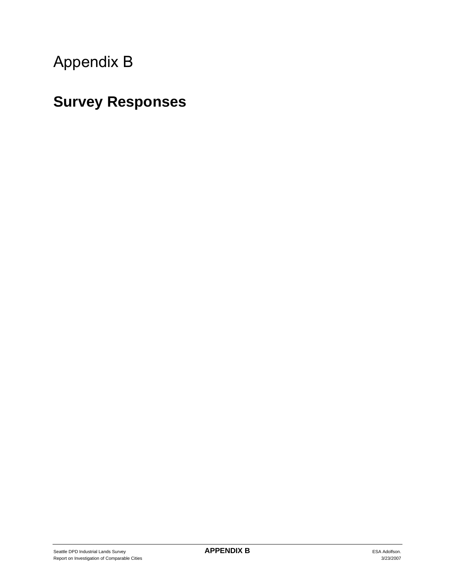# Appendix B

# **Survey Responses**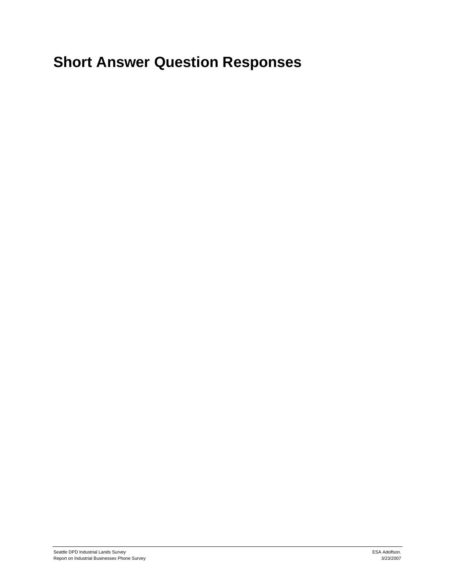# **Short Answer Question Responses**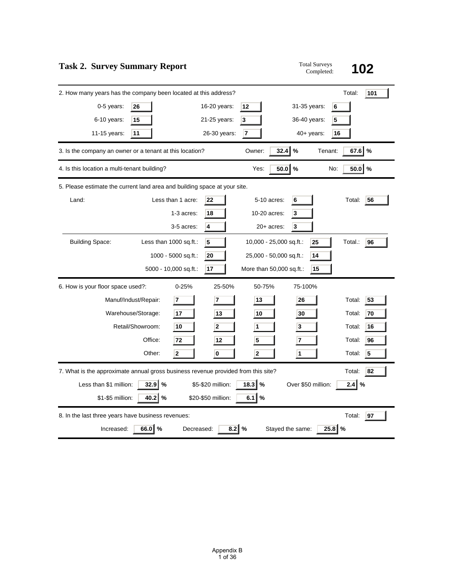| <b>Task 2. Survey Summary Report</b>                                                                                                                                                                                                            | <b>Total Surveys</b><br>Completed:     | 102                                                                         |
|-------------------------------------------------------------------------------------------------------------------------------------------------------------------------------------------------------------------------------------------------|----------------------------------------|-----------------------------------------------------------------------------|
| 2. How many years has the company been located at this address?<br>0-5 years:<br>16-20 years:<br>12<br>26<br>$6-10$ years:<br>15<br>3<br>21-25 years:                                                                                           | 31-35 years:<br>6<br>36-40 years:<br>5 | Total:<br>101                                                               |
| 11<br>7<br>11-15 years:<br>26-30 years:                                                                                                                                                                                                         | $40+$ years:<br>16                     |                                                                             |
| 32.4<br>3. Is the company an owner or a tenant at this location?<br>Owner:                                                                                                                                                                      | $\%$<br>Tenant:                        | %<br>67.6                                                                   |
| 50.0<br>Yes:<br>4. Is this location a multi-tenant building?                                                                                                                                                                                    | %<br>No:                               | 50.0<br>%                                                                   |
| 5. Please estimate the current land area and building space at your site.                                                                                                                                                                       |                                        |                                                                             |
| Less than 1 acre:<br>5-10 acres:<br>Land:<br>22<br>10-20 acres:<br>1-3 acres:<br>18<br>3-5 acres:<br>4<br>$20+$ acres:                                                                                                                          | 6<br>3<br>3                            | Total:<br>56                                                                |
| <b>Building Space:</b><br>Less than 1000 sq.ft.:<br>5<br>10,000 - 25,000 sq.ft.:<br>1000 - 5000 sq.ft.:<br>25,000 - 50,000 sq.ft.:<br>20<br>5000 - 10,000 sq.ft.:<br>17<br>More than 50,000 sq.ft.:                                             | 25<br>14<br>15                         | Total.:<br>96                                                               |
| $0 - 25%$<br>6. How is your floor space used?:<br>25-50%<br>50-75%                                                                                                                                                                              | 75-100%                                |                                                                             |
| Manuf/Indust/Repair:<br>$\overline{7}$<br>$\overline{7}$<br>13<br>13<br>10<br>Warehouse/Storage:<br>17<br>Retail/Showroom:<br>10<br>$\mathbf{2}$<br>1<br>Office:<br>72<br>5<br>12<br>$\overline{2}$<br>$\mathbf{0}$<br>$\overline{2}$<br>Other: | 26<br>30<br>3<br>7<br>1                | 53<br>Total:<br>70<br>Total:<br>16<br>Total:<br>96<br>Total:<br>5<br>Total: |
| 7. What is the approximate annual gross business revenue provided from this site?                                                                                                                                                               |                                        | 82<br>Total:                                                                |
| Less than \$1 million:<br>32.9<br>$18.3$ %<br>%<br>\$5-\$20 million:<br>\$1-\$5 million:<br>$40.2$ %<br>\$20-\$50 million:<br>6.1 $\sqrt{6}$                                                                                                    | Over \$50 million:                     | $2.4$ $\%$                                                                  |
| 8. In the last three years have business revenues:<br>66.0 %<br>$\frac{0}{0}$<br>Increased:<br>Decreased:<br>8.2<br>Stayed the same:                                                                                                            | 25.8                                   | Total:<br>97<br>%                                                           |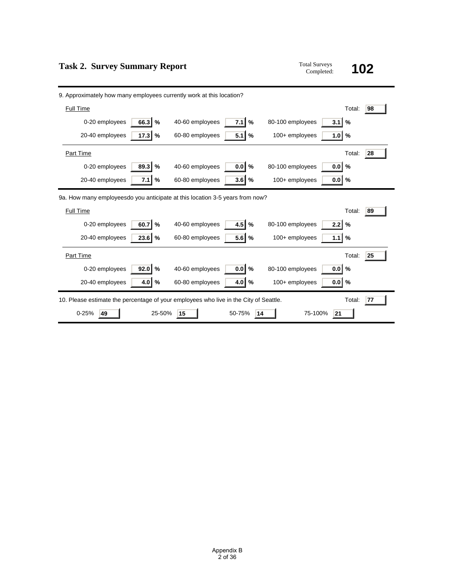| <b>Task 2. Survey Summary Report</b> | <b>Total Surveys</b> |
|--------------------------------------|----------------------|
|                                      | $C = 1.11$           |

| <b>Total Surveys</b> |     |
|----------------------|-----|
| Completed:           | 102 |

| 9. Approximately how many employees currently work at this location?                  |                                |                                          |
|---------------------------------------------------------------------------------------|--------------------------------|------------------------------------------|
| Full Time                                                                             |                                | Total:<br>98                             |
| $66.3$ %<br>0-20 employees                                                            | $\%$<br>7.1<br>40-60 employees | %<br>3.1<br>80-100 employees             |
| $17.3$ %<br>20-40 employees                                                           | $5.1$ %<br>60-80 employees     | 1.0<br>$\frac{9}{6}$<br>$100+$ employees |
| Part Time                                                                             |                                | 28<br>Total:                             |
| %<br>89.3<br>0-20 employees                                                           | $0.0$ %<br>40-60 employees     | $\%$<br>80-100 employees<br>0.0          |
| 7.1<br>20-40 employees<br>%                                                           | $3.6$ %<br>60-80 employees     | $100+$ employees<br>0.0<br>%             |
| 9a. How many employeesdo you anticipate at this location 3-5 years from now?          |                                |                                          |
| Full Time                                                                             |                                | Total:<br>89                             |
| 0-20 employees<br>$60.7$ %                                                            | $4.5$ %<br>40-60 employees     | $\frac{0}{0}$<br>80-100 employees<br>2.2 |
| 20-40 employees<br>$23.6$ %                                                           | $5.6$ %<br>60-80 employees     | $\frac{9}{6}$<br>100+ employees<br>1.1   |
| Part Time                                                                             |                                | Total:<br>25                             |
| 0-20 employees<br>$92.0$ %                                                            | $0.0$ %<br>40-60 employees     | 80-100 employees<br>%<br>0.0             |
| 20-40 employees<br>$4.0$ %                                                            | 60-80 employees<br>$4.0$ %     | $\frac{9}{6}$<br>100+ employees<br>0.0   |
| 10. Please estimate the percentage of your employees who live in the City of Seattle. |                                | Total:<br>77                             |
| $0 - 25%$<br>25-50%<br>49                                                             | 50-75%<br>15<br>14             | 75-100%<br>21                            |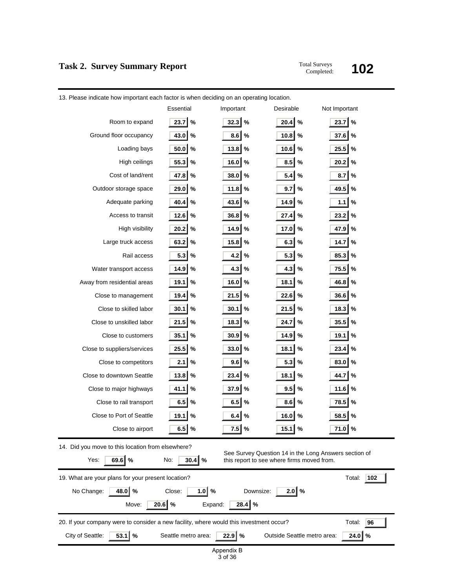# **Task 2. Survey Summary Report** Total Surveys Completed:

# Completed: **102**

| Essential<br>Desirable<br>Not Important<br>Important<br>23.7<br>20.4<br>$\%$<br>23.7<br>$\%$<br>$\%$<br>32.3<br>$\%$<br>Room to expand    |     |  |  |  |
|-------------------------------------------------------------------------------------------------------------------------------------------|-----|--|--|--|
|                                                                                                                                           |     |  |  |  |
|                                                                                                                                           |     |  |  |  |
| $\%$<br>Ground floor occupancy<br>43.0<br>$\%$<br>8.6<br>10.8<br>$\%$<br>37.6<br>%                                                        |     |  |  |  |
| 50.0<br>$\%$<br>$\%$<br>%<br>25.5<br>$\%$<br>Loading bays<br>13.8<br>10.6                                                                 |     |  |  |  |
| 55.3<br>8.5<br>$\%$<br>16.0<br>$\%$<br>$\%$<br>20.2<br>%<br>High ceilings                                                                 |     |  |  |  |
| Cost of land/rent<br>47.8<br>$\%$<br>$\%$<br>5.4<br>$\%$<br>8.7<br>$\%$<br>38.0                                                           |     |  |  |  |
| Outdoor storage space<br>29.0<br>$\%$<br>11.8<br>$\%$<br>9.7<br>$\%$<br>49.5<br>%                                                         |     |  |  |  |
| Adequate parking<br>40.4<br>$\%$<br>$\%$<br>$\%$<br>$\%$<br>43.6<br>14.9<br>1.1                                                           |     |  |  |  |
| Access to transit<br>$12.6$<br>$\%$<br>36.8<br>$\%$<br>27.4<br>%<br>23.2<br>%                                                             |     |  |  |  |
| High visibility<br>20.2<br>$\%$<br>$\%$<br>%<br>47.9<br>$\%$<br>14.9<br>17.0                                                              |     |  |  |  |
| Large truck access<br>63.2<br>$\%$<br>15.8<br>$\%$<br>6.3<br>$\%$<br>14.7<br>%                                                            |     |  |  |  |
| Rail access<br>5.3<br>$\%$<br>4.2<br>$\%$<br>5.3<br>$\%$<br>85.3<br>$\%$                                                                  |     |  |  |  |
| 4.3<br>75.5<br>Water transport access<br>14.9<br>$\%$<br>4.3<br>$\%$<br>%<br>%                                                            |     |  |  |  |
| Away from residential areas<br>19.1<br>$\%$<br>16.0<br>$\%$<br>18.1<br>%<br>46.8<br>$\%$                                                  |     |  |  |  |
| 21.5<br>22.6<br>19.4<br>$\%$<br>$\%$<br>%<br>36.6<br>%<br>Close to management                                                             |     |  |  |  |
| Close to skilled labor<br>30.1<br>$\%$<br>30.1<br>$\%$<br>21.5<br>%<br>18.3<br>$\%$                                                       |     |  |  |  |
| 35.5<br>Close to unskilled labor<br>21.5<br>$\%$<br>18.3<br>$\%$<br>24.7<br>%<br>%                                                        |     |  |  |  |
| 35.1<br>$\%$<br>$\%$<br>14.9<br>$\%$<br>19.1<br>$\%$<br>Close to customers<br>30.9                                                        |     |  |  |  |
| 25.5<br>23.4<br>$\%$<br>33.0<br>$\%$<br>18.1<br>%<br>%<br>Close to suppliers/services                                                     |     |  |  |  |
| Close to competitors<br>2.1<br>$\%$<br>9.6<br>$\%$<br>5.3<br>$\%$<br>83.0<br>$\%$                                                         |     |  |  |  |
| Close to downtown Seattle<br>13.8<br>$\%$<br>23.4<br>$\%$<br>18.1<br>%<br>44.7<br>$\%$                                                    |     |  |  |  |
| Close to major highways<br>41.1<br>$\%$<br>37.9<br>$\%$<br>9.5<br>$\%$<br>11.6<br>$\%$                                                    |     |  |  |  |
| 6.5<br>6.5<br>78.5<br>Close to rail transport<br>$\%$<br>$\%$<br>8.6<br>$\%$<br>%                                                         |     |  |  |  |
| Close to Port of Seattle<br>19.1<br>$\%$<br>$\%$<br>16.0<br>$\%$<br>58.5<br>$\%$<br>6.4                                                   |     |  |  |  |
| $\%$<br>Close to airport<br>6.5<br>%<br>7.5<br>%<br>15.1<br>%<br>71.0                                                                     |     |  |  |  |
| 14. Did you move to this location from elsewhere?                                                                                         |     |  |  |  |
| See Survey Question 14 in the Long Answers section of<br>69.6 %<br>Yes:<br>No:<br>30.4<br>%<br>this report to see where firms moved from. |     |  |  |  |
| 19. What are your plans for your present location?<br>Total:                                                                              | 102 |  |  |  |
| 48.0<br>$\%$<br>$1.0$ %<br>$2.0$ %<br>Downsize:<br>No Change:<br>Close:                                                                   |     |  |  |  |
| $20.6$ %<br>$28.4$ %<br>Move:<br>Expand:                                                                                                  |     |  |  |  |
| 20. If your company were to consider a new facility, where would this investment occur?<br>Total:<br>96                                   |     |  |  |  |
| 53.1<br>$\%$<br>$22.9$ %<br>24.0<br>$\%$<br>City of Seattle:<br>Seattle metro area:<br>Outside Seattle metro area:                        |     |  |  |  |
| Appendix B<br>3 of 36                                                                                                                     |     |  |  |  |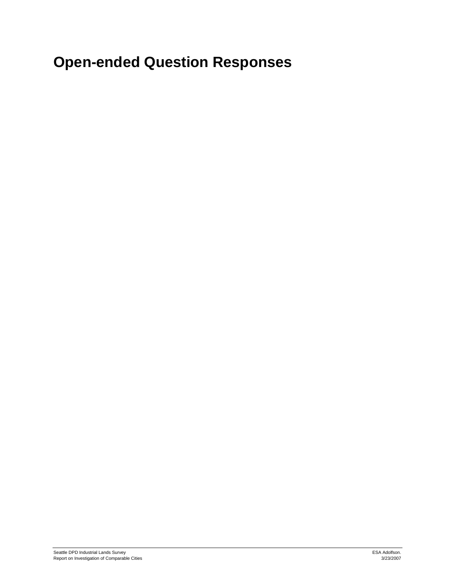# **Open-ended Question Responses**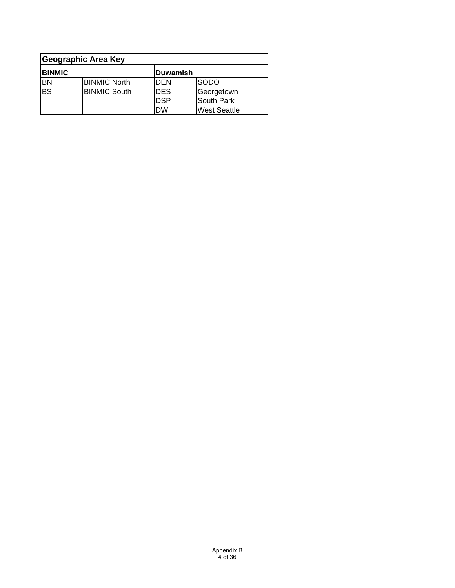| Geographic Area Key       |                     |            |                     |
|---------------------------|---------------------|------------|---------------------|
| <b>BINMIC</b><br>Duwamish |                     |            |                     |
| <b>BN</b>                 | <b>BINMIC North</b> | <b>DEN</b> | <b>SODO</b>         |
| <b>BS</b>                 | <b>BINMIC South</b> | <b>DES</b> | Georgetown          |
|                           |                     | <b>DSP</b> | South Park          |
|                           |                     | <b>DW</b>  | <b>West Seattle</b> |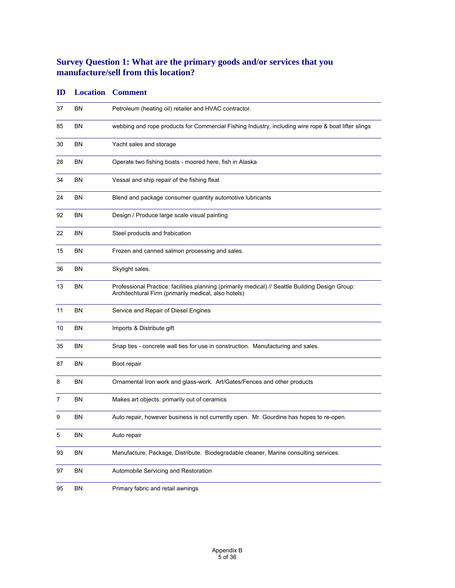# **Survey Question 1: What are the primary goods and/or services that you manufacture/sell from this location?**

| ID |           | <b>Location Comment</b>                                                                                                                                  |
|----|-----------|----------------------------------------------------------------------------------------------------------------------------------------------------------|
| 37 | ΒN        | Petroleum (heating oil) retailer and HVAC contractor.                                                                                                    |
| 85 | ΒN        | webbing and rope products for Commercial Fishing Industry, including wire rope & boat lifter slings                                                      |
| 30 | ΒN        | Yacht sales and storage                                                                                                                                  |
| 28 | ΒN        | Operate two fishing boats - moored here, fish in Alaska                                                                                                  |
| 34 | BN        | Vessal and ship repair of the fishing fleat                                                                                                              |
| 24 | BN        | Blend and package consumer quantity automotive lubricants                                                                                                |
| 92 | BN        | Design / Produce large scale visual painting                                                                                                             |
| 22 | ΒN        | Steel products and frabication                                                                                                                           |
| 15 | BN        | Frozen and canned salmon processing and sales.                                                                                                           |
| 36 | ΒN        | Skylight sales.                                                                                                                                          |
| 13 | ΒN        | Professional Practice: facilities planning (primarily medical) // Seattle Building Design Group:<br>Architechtural Firm (primarily medical, also hotels) |
| 11 | BN        | Service and Repair of Diesel Engines                                                                                                                     |
| 10 | ΒN        | Imports & Distribute gift                                                                                                                                |
| 35 | ΒN        | Snap ties - concrete wall ties for use in construction. Manufacturing and sales.                                                                         |
| 87 | ΒN        | Boot repair                                                                                                                                              |
| 8  | ΒN        | Ornamental Iron work and glass-work. Art/Gates/Fences and other products                                                                                 |
| 7  | ΒN        | Makes art objects: primarily out of ceramics                                                                                                             |
| 9  | ΒN        | Auto repair, however business is not currently open. Mr. Gourdine has hopes to re-open.                                                                  |
| 5  | <b>BN</b> | Auto repair                                                                                                                                              |
| 93 | <b>BN</b> | Manufacture, Package, Distribute. Biodegradable cleaner, Marine consulting services.                                                                     |
| 97 | <b>BN</b> | Automobile Servicing and Restoration                                                                                                                     |
| 95 | <b>BN</b> | Primary fabric and retail awnings                                                                                                                        |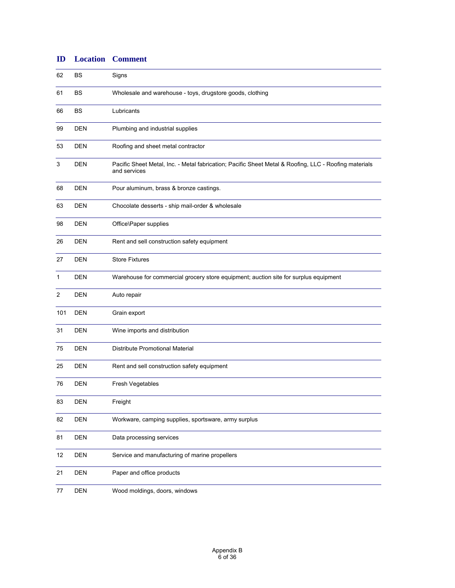| 62  | BS         | Signs                                                                                                                 |
|-----|------------|-----------------------------------------------------------------------------------------------------------------------|
| 61  | BS         | Wholesale and warehouse - toys, drugstore goods, clothing                                                             |
| 66  | BS         | Lubricants                                                                                                            |
| 99  | <b>DEN</b> | Plumbing and industrial supplies                                                                                      |
| 53  | <b>DEN</b> | Roofing and sheet metal contractor                                                                                    |
| 3   | <b>DEN</b> | Pacific Sheet Metal, Inc. - Metal fabrication; Pacific Sheet Metal & Roofing, LLC - Roofing materials<br>and services |
| 68  | <b>DEN</b> | Pour aluminum, brass & bronze castings.                                                                               |
| 63  | <b>DEN</b> | Chocolate desserts - ship mail-order & wholesale                                                                      |
| 98  | <b>DEN</b> | Office\Paper supplies                                                                                                 |
| 26  | <b>DEN</b> | Rent and sell construction safety equipment                                                                           |
| 27  | <b>DEN</b> | <b>Store Fixtures</b>                                                                                                 |
| 1   | <b>DEN</b> | Warehouse for commercial grocery store equipment; auction site for surplus equipment                                  |
| 2   | <b>DEN</b> | Auto repair                                                                                                           |
| 101 | <b>DEN</b> | Grain export                                                                                                          |
| 31  | <b>DEN</b> | Wine imports and distribution                                                                                         |
| 75  | <b>DEN</b> | Distribute Promotional Material                                                                                       |
| 25  | <b>DEN</b> | Rent and sell construction safety equipment                                                                           |
| 76  | <b>DEN</b> | Fresh Vegetables                                                                                                      |
| 83  | DEN        | Freight                                                                                                               |
| 82  | <b>DEN</b> | Workware, camping supplies, sportsware, army surplus                                                                  |
| 81  | <b>DEN</b> | Data processing services                                                                                              |
| 12  | <b>DEN</b> | Service and manufacturing of marine propellers                                                                        |
| 21  | <b>DEN</b> | Paper and office products                                                                                             |
| 77  | <b>DEN</b> | Wood moldings, doors, windows                                                                                         |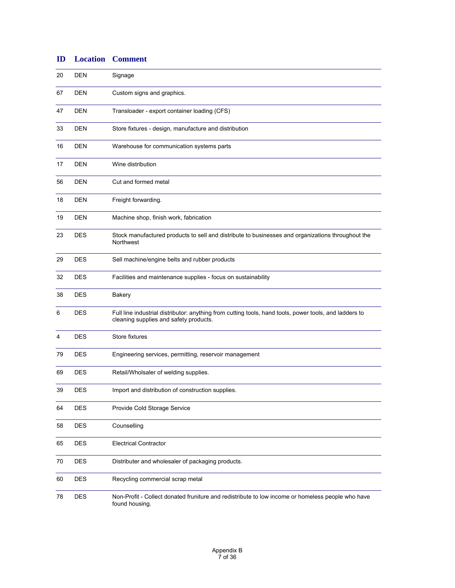| ID | <b>Location</b> | <b>Comment</b>                                                                                                                                   |
|----|-----------------|--------------------------------------------------------------------------------------------------------------------------------------------------|
| 20 | <b>DEN</b>      | Signage                                                                                                                                          |
| 67 | <b>DEN</b>      | Custom signs and graphics.                                                                                                                       |
| 47 | <b>DEN</b>      | Transloader - export container loading (CFS)                                                                                                     |
| 33 | <b>DEN</b>      | Store fixtures - design, manufacture and distribution                                                                                            |
| 16 | <b>DEN</b>      | Warehouse for communication systems parts                                                                                                        |
| 17 | <b>DEN</b>      | Wine distribution                                                                                                                                |
| 56 | <b>DEN</b>      | Cut and formed metal                                                                                                                             |
| 18 | <b>DEN</b>      | Freight forwarding.                                                                                                                              |
| 19 | <b>DEN</b>      | Machine shop, finish work, fabrication                                                                                                           |
| 23 | <b>DES</b>      | Stock manufactured products to sell and distribute to businesses and organizations throughout the<br>Northwest                                   |
| 29 | <b>DES</b>      | Sell machine/engine belts and rubber products                                                                                                    |
| 32 | <b>DES</b>      | Facilities and maintenance supplies - focus on sustainability                                                                                    |
| 38 | <b>DES</b>      | Bakery                                                                                                                                           |
| 6  | <b>DES</b>      | Full line industrial distributor: anything from cutting tools, hand tools, power tools, and ladders to<br>cleaning supplies and safety products. |
| 4  | <b>DES</b>      | Store fixtures                                                                                                                                   |
| 79 | <b>DES</b>      | Engineering services, permitting, reservoir management                                                                                           |
| 69 | DES             | Retail/Wholsaler of welding supplies.                                                                                                            |
| 39 | DES             | Import and distribution of construction supplies.                                                                                                |
| 64 | <b>DES</b>      | Provide Cold Storage Service                                                                                                                     |
| 58 | <b>DES</b>      | Counselling                                                                                                                                      |
| 65 | <b>DES</b>      | <b>Electrical Contractor</b>                                                                                                                     |
| 70 | <b>DES</b>      | Distributer and wholesaler of packaging products.                                                                                                |
| 60 | <b>DES</b>      | Recycling commercial scrap metal                                                                                                                 |
| 78 | <b>DES</b>      | Non-Profit - Collect donated fruniture and redistribute to low income or homeless people who have<br>found housing.                              |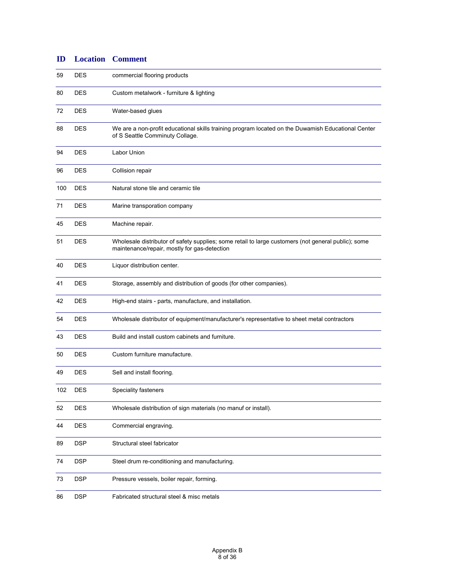| 59  | <b>DES</b> | commercial flooring products                                                                                                                        |
|-----|------------|-----------------------------------------------------------------------------------------------------------------------------------------------------|
| 80  | <b>DES</b> | Custom metalwork - furniture & lighting                                                                                                             |
| 72  | <b>DES</b> | Water-based glues                                                                                                                                   |
| 88  | <b>DES</b> | We are a non-profit educational skills training program located on the Duwamish Educational Center<br>of S Seattle Comminuty Collage.               |
| 94  | <b>DES</b> | Labor Union                                                                                                                                         |
| 96  | <b>DES</b> | Collision repair                                                                                                                                    |
| 100 | <b>DES</b> | Natural stone tile and ceramic tile                                                                                                                 |
| 71  | <b>DES</b> | Marine transporation company                                                                                                                        |
| 45  | <b>DES</b> | Machine repair.                                                                                                                                     |
| 51  | <b>DES</b> | Wholesale distributor of safety supplies; some retail to large customers (not general public); some<br>maintenance/repair, mostly for gas-detection |
| 40  | <b>DES</b> | Liquor distribution center.                                                                                                                         |
| 41  | <b>DES</b> | Storage, assembly and distribution of goods (for other companies).                                                                                  |
| 42  | <b>DES</b> | High-end stairs - parts, manufacture, and installation.                                                                                             |
| 54  | <b>DES</b> | Wholesale distributor of equipment/manufacturer's representative to sheet metal contractors                                                         |
| 43  | <b>DES</b> | Build and install custom cabinets and furniture.                                                                                                    |
| 50  | <b>DES</b> | Custom furniture manufacture.                                                                                                                       |
| 49  | <b>DES</b> | Sell and install flooring.                                                                                                                          |
| 102 | <b>DES</b> | Speciality fasteners                                                                                                                                |
| 52  | <b>DES</b> | Wholesale distribution of sign materials (no manuf or install).                                                                                     |
| 44  | <b>DES</b> | Commercial engraving.                                                                                                                               |
| 89  | <b>DSP</b> | Structural steel fabricator                                                                                                                         |
| 74  | <b>DSP</b> | Steel drum re-conditioning and manufacturing.                                                                                                       |
| 73  | <b>DSP</b> | Pressure vessels, boiler repair, forming.                                                                                                           |
| 86  | <b>DSP</b> | Fabricated structural steel & misc metals                                                                                                           |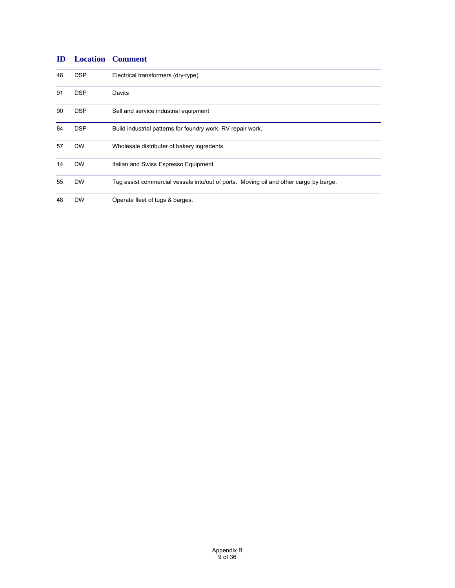| 46 | <b>DSP</b> | Electrical transformers (dry-type)                                                    |
|----|------------|---------------------------------------------------------------------------------------|
| 91 | <b>DSP</b> | Davits                                                                                |
| 90 | <b>DSP</b> | Sell and service industrial equipment                                                 |
| 84 | <b>DSP</b> | Build industrial patterns for foundry work, RV repair work.                           |
| 57 | <b>DW</b>  | Wholesale distributer of bakery ingredents                                            |
| 14 | <b>DW</b>  | Italian and Swiss Espresso Equipment                                                  |
| 55 | <b>DW</b>  | Tug assist commercial vessals into/out of ports. Moving oil and other cargo by barge. |
| 48 | <b>DW</b>  | Operate fleet of tugs & barges.                                                       |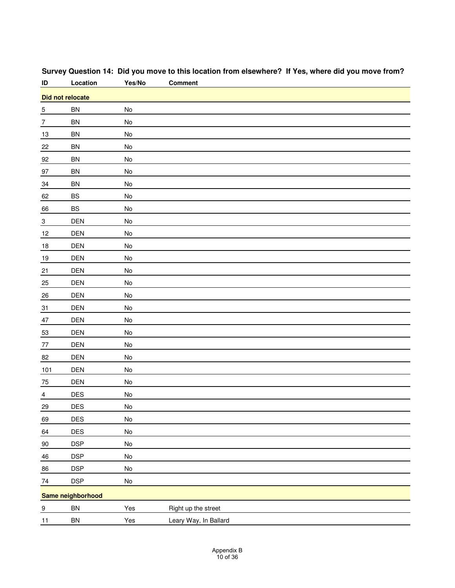| ID                | Location                | Yes/No                       | <b>Comment</b>        |  |  |
|-------------------|-------------------------|------------------------------|-----------------------|--|--|
|                   | <b>Did not relocate</b> |                              |                       |  |  |
| $\frac{5}{1}$     | <b>BN</b>               | No                           |                       |  |  |
| $\overline{7}$    | <b>BN</b>               | No                           |                       |  |  |
| 13                | <b>BN</b>               | No                           |                       |  |  |
| $\frac{22}{2}$    | BN                      | No                           |                       |  |  |
| 92                | <b>BN</b>               | No                           |                       |  |  |
| 97                | BN                      | No                           |                       |  |  |
| $\frac{34}{5}$    | <b>BN</b>               | No                           |                       |  |  |
| 62                | BS                      | No                           |                       |  |  |
| 66                | BS                      | No                           |                       |  |  |
| $\frac{3}{2}$     | <b>DEN</b>              | No                           |                       |  |  |
| 12                | DEN                     | No                           |                       |  |  |
| 18                | <b>DEN</b>              | No                           |                       |  |  |
| <u>19</u>         | DEN                     | $\operatorname{\mathsf{No}}$ |                       |  |  |
| $\overline{21}$   | <b>DEN</b>              | No                           |                       |  |  |
| $\frac{25}{5}$    | DEN                     | No                           |                       |  |  |
| $26\,$            | DEN                     | No                           |                       |  |  |
| $\frac{31}{1}$    | <b>DEN</b>              | No                           |                       |  |  |
| $47\,$            | DEN                     | No                           |                       |  |  |
| 53                | DEN                     | No                           |                       |  |  |
| $77$              | DEN                     | No                           |                       |  |  |
| 82                | <b>DEN</b>              | No                           |                       |  |  |
| $\underline{101}$ | DEN                     | No                           |                       |  |  |
| 75                | <b>DEN</b>              | No                           |                       |  |  |
| $\frac{4}{1}$     | DES                     | No                           |                       |  |  |
| 29                | <b>DES</b>              | No                           |                       |  |  |
| 69                | DES                     | $\mathsf{No}$                |                       |  |  |
| 64                | DES                     | $\operatorname{\mathsf{No}}$ |                       |  |  |
| 90                | <b>DSP</b>              | $\mathsf{No}$                |                       |  |  |
| 46                | <b>DSP</b>              | $\operatorname{\mathsf{No}}$ |                       |  |  |
| 86                | <b>DSP</b>              | $\operatorname{\mathsf{No}}$ |                       |  |  |
| $74\,$            | <b>DSP</b>              | $\operatorname{\mathsf{No}}$ |                       |  |  |
|                   | Same neighborhood       |                              |                       |  |  |
| $\frac{9}{2}$     | ${\sf BN}$              | Yes                          | Right up the street   |  |  |
| 11                | ${\sf BN}$              | Yes                          | Leary Way, In Ballard |  |  |
|                   |                         |                              |                       |  |  |

# **Survey Question 14: Did you move to this location from elsewhere? If Yes, where did you move from?**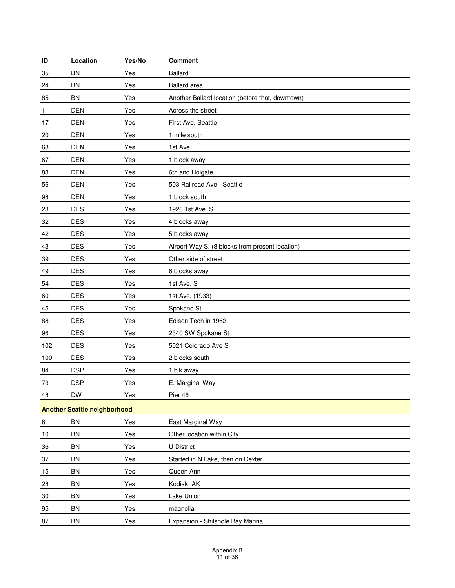| ID  | Location                            | Yes/No | <b>Comment</b>                                   |
|-----|-------------------------------------|--------|--------------------------------------------------|
| 35  | <b>BN</b>                           | Yes    | <b>Ballard</b>                                   |
| 24  | <b>BN</b>                           | Yes    | <b>Ballard</b> area                              |
| 85  | BN                                  | Yes    | Another Ballard location (before that, downtown) |
| 1   | <b>DEN</b>                          | Yes    | Across the street                                |
| 17  | <b>DEN</b>                          | Yes    | First Ave, Seattle                               |
| 20  | <b>DEN</b>                          | Yes    | 1 mile south                                     |
| 68  | <b>DEN</b>                          | Yes    | 1st Ave.                                         |
| 67  | <b>DEN</b>                          | Yes    | 1 block away                                     |
| 83  | <b>DEN</b>                          | Yes    | 6th and Holgate                                  |
| 56  | <b>DEN</b>                          | Yes    | 503 Railroad Ave - Seattle                       |
| 98  | <b>DEN</b>                          | Yes    | 1 block south                                    |
| 23  | <b>DES</b>                          | Yes    | 1926 1st Ave. S                                  |
| 32  | <b>DES</b>                          | Yes    | 4 blocks away                                    |
| 42  | <b>DES</b>                          | Yes    | 5 blocks away                                    |
| 43  | <b>DES</b>                          | Yes    | Airport Way S. (8 blocks from present location)  |
| 39  | <b>DES</b>                          | Yes    | Other side of street                             |
| 49  | <b>DES</b>                          | Yes    | 6 blocks away                                    |
| 54  | <b>DES</b>                          | Yes    | 1st Ave. S                                       |
| 60  | <b>DES</b>                          | Yes    | 1st Ave. (1933)                                  |
| 45  | <b>DES</b>                          | Yes    | Spokane St.                                      |
| 88  | <b>DES</b>                          | Yes    | Edison Tech in 1962                              |
| 96  | <b>DES</b>                          | Yes    | 2340 SW Spokane St                               |
| 102 | <b>DES</b>                          | Yes    | 5021 Colorado Ave S                              |
| 100 | <b>DES</b>                          | Yes    | 2 blocks south                                   |
| 84  | <b>DSP</b>                          | Yes    | 1 blk away                                       |
| 73  | <b>DSP</b>                          | Yes    | E. Marginal Way                                  |
| 48  | <b>DW</b>                           | Yes    | Pier 46                                          |
|     | <b>Another Seattle neighborhood</b> |        |                                                  |
| 8   | <b>BN</b>                           | Yes    | East Marginal Way                                |
| 10  | <b>BN</b>                           | Yes    | Other location within City                       |
| 36  | <b>BN</b>                           | Yes    | <b>U</b> District                                |
| 37  | BN                                  | Yes    | Started in N.Lake, then on Dexter                |
| 15  | BN                                  | Yes    | Queen Ann                                        |
| 28  | <b>BN</b>                           | Yes    | Kodiak, AK                                       |
| 30  | BN                                  | Yes    | Lake Union                                       |
| 95  | BN                                  | Yes    | magnolia                                         |
| 87  | BN                                  | Yes    | Expansion - Shilshole Bay Marina                 |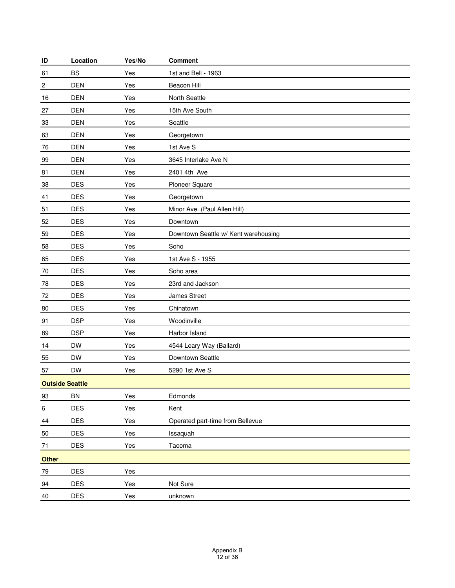| ID                     | Location   | Yes/No | <b>Comment</b>                       |
|------------------------|------------|--------|--------------------------------------|
| 61                     | <b>BS</b>  | Yes    | 1st and Bell - 1963                  |
| $\sqrt{2}$             | <b>DEN</b> | Yes    | Beacon Hill                          |
| 16                     | <b>DEN</b> | Yes    | North Seattle                        |
| 27                     | <b>DEN</b> | Yes    | 15th Ave South                       |
| 33                     | <b>DEN</b> | Yes    | Seattle                              |
| 63                     | <b>DEN</b> | Yes    | Georgetown                           |
| 76                     | <b>DEN</b> | Yes    | 1st Ave S                            |
| 99                     | <b>DEN</b> | Yes    | 3645 Interlake Ave N                 |
| 81                     | <b>DEN</b> | Yes    | 2401 4th Ave                         |
| 38                     | <b>DES</b> | Yes    | Pioneer Square                       |
| 41                     | <b>DES</b> | Yes    | Georgetown                           |
| 51                     | <b>DES</b> | Yes    | Minor Ave. (Paul Allen Hill)         |
| 52                     | <b>DES</b> | Yes    | Downtown                             |
| 59                     | <b>DES</b> | Yes    | Downtown Seattle w/ Kent warehousing |
| 58                     | <b>DES</b> | Yes    | Soho                                 |
| 65                     | <b>DES</b> | Yes    | 1st Ave S - 1955                     |
| 70                     | <b>DES</b> | Yes    | Soho area                            |
| 78                     | <b>DES</b> | Yes    | 23rd and Jackson                     |
| 72                     | <b>DES</b> | Yes    | James Street                         |
| 80                     | <b>DES</b> | Yes    | Chinatown                            |
| 91                     | <b>DSP</b> | Yes    | Woodinville                          |
| 89                     | <b>DSP</b> | Yes    | Harbor Island                        |
| 14                     | <b>DW</b>  | Yes    | 4544 Leary Way (Ballard)             |
| 55                     | <b>DW</b>  | Yes    | Downtown Seattle                     |
| 57                     | <b>DW</b>  | Yes    | 5290 1st Ave S                       |
| <b>Outside Seattle</b> |            |        |                                      |
| 93                     | BN         | Yes    | Edmonds                              |
| $\,6\,$                | DES        | Yes    | Kent                                 |
| $44\,$                 | <b>DES</b> | Yes    | Operated part-time from Bellevue     |
| 50                     | DES        | Yes    | Issaquah                             |
| 71                     | <b>DES</b> | Yes    | Tacoma                               |
| Other                  |            |        |                                      |
| 79                     | DES        | Yes    |                                      |
| 94                     | DES        | Yes    | Not Sure                             |
| 40                     | <b>DES</b> | Yes    | unknown                              |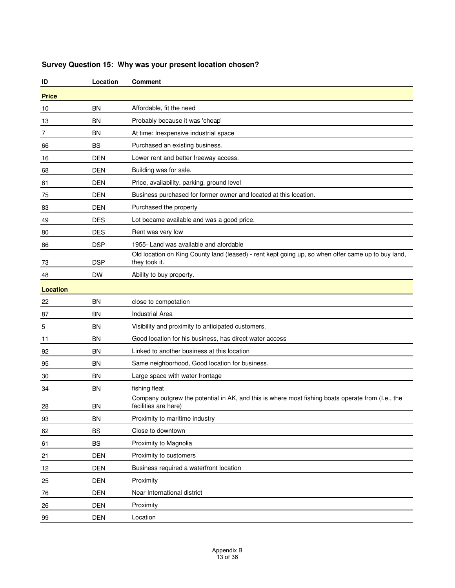| ID              | Location   | <b>Comment</b>                                                                                                            |
|-----------------|------------|---------------------------------------------------------------------------------------------------------------------------|
| <b>Price</b>    |            |                                                                                                                           |
| 10              | ΒN         | Affordable, fit the need                                                                                                  |
| 13              | ΒN         | Probably because it was 'cheap'                                                                                           |
| 7               | BN         | At time: Inexpensive industrial space                                                                                     |
| 66              | <b>BS</b>  | Purchased an existing business.                                                                                           |
| 16              | <b>DEN</b> | Lower rent and better freeway access.                                                                                     |
| 68              | DEN        | Building was for sale.                                                                                                    |
| 81              | <b>DEN</b> | Price, availability, parking, ground level                                                                                |
| 75              | DEN        | Business purchased for former owner and located at this location.                                                         |
| 83              | DEN        | Purchased the property                                                                                                    |
| 49              | DES        | Lot became available and was a good price.                                                                                |
| 80              | DES        | Rent was very low                                                                                                         |
| 86              | <b>DSP</b> | 1955- Land was available and afordable                                                                                    |
| 73              | <b>DSP</b> | Old location on King County land (leased) - rent kept going up, so when offer came up to buy land,<br>they took it.       |
| 48              | DW         | Ability to buy property.                                                                                                  |
| <b>Location</b> |            |                                                                                                                           |
| 22              | ΒN         | close to compotation                                                                                                      |
| 87              | ΒN         | <b>Industrial Area</b>                                                                                                    |
| 5               | ΒN         | Visibility and proximity to anticipated customers.                                                                        |
| 11              | ΒN         | Good location for his business, has direct water access                                                                   |
| 92              | ΒN         | Linked to another business at this location                                                                               |
| 95              | ΒN         | Same neighborhood, Good location for business.                                                                            |
| 30              | ΒN         | Large space with water frontage                                                                                           |
| 34              | <b>BN</b>  | fishing fleat                                                                                                             |
| 28              | <b>BN</b>  | Company outgrew the potential in AK, and this is where most fishing boats operate from (I.e., the<br>facilities are here) |
| 93              | <b>BN</b>  | Proximity to maritime industry                                                                                            |
| 62              | BS         | Close to downtown                                                                                                         |
| 61              | <b>BS</b>  | Proximity to Magnolia                                                                                                     |
| 21              | <b>DEN</b> | Proximity to customers                                                                                                    |
| 12              | <b>DEN</b> | Business required a waterfront location                                                                                   |
| 25              | <b>DEN</b> | Proximity                                                                                                                 |
| 76              | <b>DEN</b> | Near International district                                                                                               |
| 26              | <b>DEN</b> | Proximity                                                                                                                 |
| 99              | <b>DEN</b> | Location                                                                                                                  |

### **Survey Question 15: Why was your present location chosen?**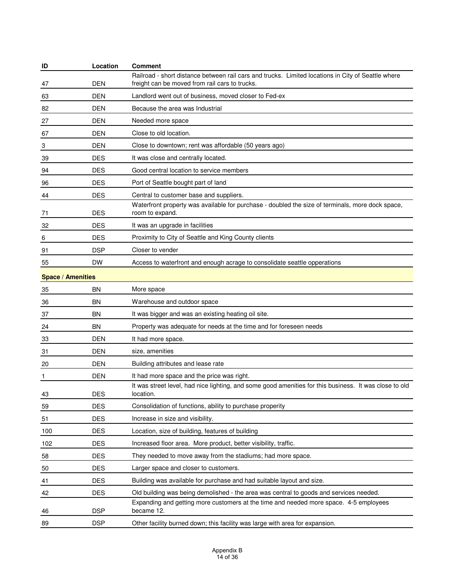| ID                       | Location   | Comment                                                                                                                                              |
|--------------------------|------------|------------------------------------------------------------------------------------------------------------------------------------------------------|
| 47                       | DEN        | Railroad - short distance between rail cars and trucks. Limited locations in City of Seattle where<br>freight can be moved from rail cars to trucks. |
| 63                       | <b>DEN</b> | Landlord went out of business, moved closer to Fed-ex                                                                                                |
| 82                       | <b>DEN</b> | Because the area was Industrial                                                                                                                      |
| 27                       | DEN        | Needed more space                                                                                                                                    |
| 67                       | <b>DEN</b> | Close to old location.                                                                                                                               |
| 3                        | <b>DEN</b> | Close to downtown; rent was affordable (50 years ago)                                                                                                |
| 39                       | <b>DES</b> | It was close and centrally located.                                                                                                                  |
| 94                       | <b>DES</b> | Good central location to service members                                                                                                             |
| 96                       | <b>DES</b> | Port of Seattle bought part of land                                                                                                                  |
| 44                       | <b>DES</b> | Central to customer base and suppliers.                                                                                                              |
| 71                       | <b>DES</b> | Waterfront property was available for purchase - doubled the size of terminals, more dock space,<br>room to expand.                                  |
| 32                       | <b>DES</b> | It was an upgrade in facilities                                                                                                                      |
| 6                        | <b>DES</b> | Proximity to City of Seattle and King County clients                                                                                                 |
| 91                       | <b>DSP</b> | Closer to vender                                                                                                                                     |
| 55                       | <b>DW</b>  | Access to waterfront and enough acrage to consolidate seattle opperations                                                                            |
| <b>Space / Amenities</b> |            |                                                                                                                                                      |
| 35                       | BN         | More space                                                                                                                                           |
| 36                       | BN         | Warehouse and outdoor space                                                                                                                          |
| 37                       | BN         | It was bigger and was an existing heating oil site.                                                                                                  |
| 24                       | BN         | Property was adequate for needs at the time and for foreseen needs                                                                                   |
| 33                       | <b>DEN</b> | It had more space.                                                                                                                                   |
| 31                       | DEN        | size, amenities                                                                                                                                      |
| 20                       | <b>DEN</b> | Building attributes and lease rate                                                                                                                   |
| 1                        | <b>DEN</b> | It had more space and the price was right.                                                                                                           |
| 43                       | <b>DES</b> | It was street level, had nice lighting, and some good amenities for this business. It was close to old<br>location.                                  |
| 59                       | <b>DES</b> | Consolidation of functions, ability to purchase properity                                                                                            |
| 51                       | <b>DES</b> | Increase in size and visibility.                                                                                                                     |
| 100                      | <b>DES</b> | Location, size of building, features of building                                                                                                     |
| 102                      | <b>DES</b> | Increased floor area. More product, better visibility, traffic.                                                                                      |
| 58                       | <b>DES</b> | They needed to move away from the stadiums; had more space.                                                                                          |
| 50                       | <b>DES</b> | Larger space and closer to customers.                                                                                                                |
| 41                       | <b>DES</b> | Building was available for purchase and had suitable layout and size.                                                                                |
| 42                       | <b>DES</b> | Old building was being demolished - the area was central to goods and services needed.                                                               |
| 46                       | <b>DSP</b> | Expanding and getting more customers at the time and needed more space. 4-5 employees<br>became 12.                                                  |
| 89                       | <b>DSP</b> | Other facility burned down; this facility was large with area for expansion.                                                                         |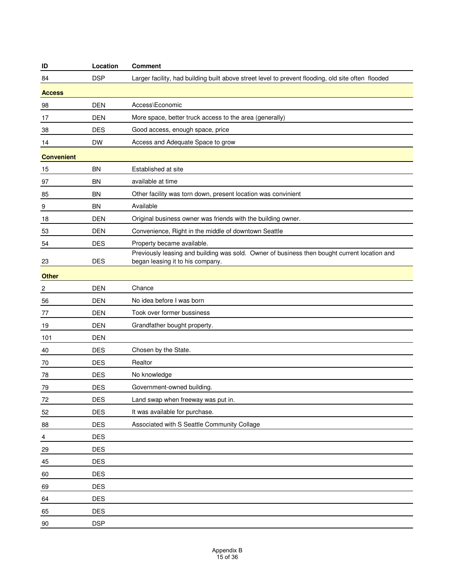| ID                      | Location   | <b>Comment</b>                                                                                                                   |
|-------------------------|------------|----------------------------------------------------------------------------------------------------------------------------------|
| 84                      | <b>DSP</b> | Larger facility, had building built above street level to prevent flooding, old site often flooded                               |
| <b>Access</b>           |            |                                                                                                                                  |
| 98                      | <b>DEN</b> | Access\Economic                                                                                                                  |
| 17                      | <b>DEN</b> | More space, better truck access to the area (generally)                                                                          |
| 38                      | <b>DES</b> | Good access, enough space, price                                                                                                 |
| 14                      | <b>DW</b>  | Access and Adequate Space to grow                                                                                                |
| <b>Convenient</b>       |            |                                                                                                                                  |
| 15                      | <b>BN</b>  | Established at site                                                                                                              |
| 97                      | BN         | available at time                                                                                                                |
| 85                      | <b>BN</b>  | Other facility was torn down, present location was convinient                                                                    |
| 9                       | <b>BN</b>  | Available                                                                                                                        |
| 18                      | <b>DEN</b> | Original business owner was friends with the building owner.                                                                     |
| 53                      | <b>DEN</b> | Convenience, Right in the middle of downtown Seattle                                                                             |
| 54                      | <b>DES</b> | Property became available.                                                                                                       |
|                         | <b>DES</b> | Previously leasing and building was sold. Owner of business then bought current location and<br>began leasing it to his company. |
| 23<br><b>Other</b>      |            |                                                                                                                                  |
|                         | <b>DEN</b> | Chance                                                                                                                           |
| 2                       | <b>DEN</b> | No idea before I was born                                                                                                        |
| 56<br>77                | <b>DEN</b> | Took over former bussiness                                                                                                       |
|                         | <b>DEN</b> | Grandfather bought property.                                                                                                     |
| 19<br>101               | <b>DEN</b> |                                                                                                                                  |
|                         | <b>DES</b> | Chosen by the State.                                                                                                             |
| 40<br>70                | <b>DES</b> | Realtor                                                                                                                          |
| 78                      | <b>DES</b> | No knowledge                                                                                                                     |
| 79                      | <b>DES</b> | Government-owned building.                                                                                                       |
| 72                      | <b>DES</b> | Land swap when freeway was put in.                                                                                               |
| 52                      | <b>DES</b> | It was available for purchase.                                                                                                   |
| 88                      | <b>DES</b> | Associated with S Seattle Community Collage                                                                                      |
| $\overline{\mathbf{4}}$ | DES        |                                                                                                                                  |
| 29                      | <b>DES</b> |                                                                                                                                  |
| 45                      | <b>DES</b> |                                                                                                                                  |
| 60                      | <b>DES</b> |                                                                                                                                  |
| 69                      | DES        |                                                                                                                                  |
| 64                      | <b>DES</b> |                                                                                                                                  |
| 65                      | <b>DES</b> |                                                                                                                                  |
| 90                      | <b>DSP</b> |                                                                                                                                  |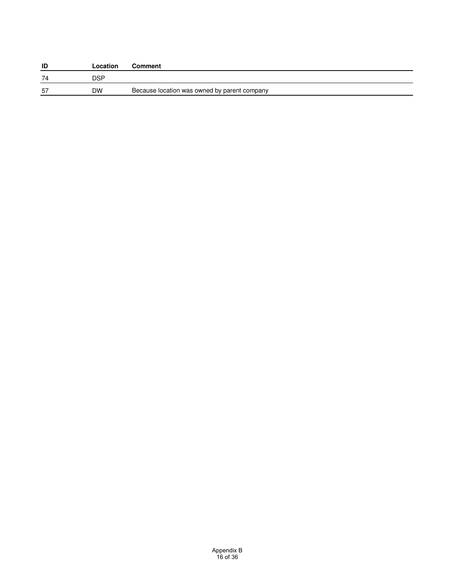| ID | Location | <b>Comment</b>                               |
|----|----------|----------------------------------------------|
| 74 | DSP.     |                                              |
| 57 | DW       | Because location was owned by parent company |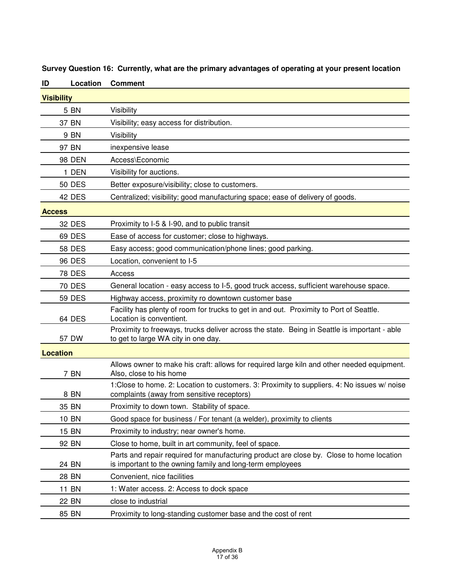| ID            | Location          | <b>Comment</b>                                                                                                                                        |  |  |  |
|---------------|-------------------|-------------------------------------------------------------------------------------------------------------------------------------------------------|--|--|--|
|               | <b>Visibility</b> |                                                                                                                                                       |  |  |  |
|               | 5 BN              | Visibility                                                                                                                                            |  |  |  |
|               | 37 BN             | Visibility; easy access for distribution.                                                                                                             |  |  |  |
|               | 9 BN              | Visibility                                                                                                                                            |  |  |  |
|               | 97 BN             | inexpensive lease                                                                                                                                     |  |  |  |
|               | <b>98 DEN</b>     | Access\Economic                                                                                                                                       |  |  |  |
|               | 1 DEN             | Visibility for auctions.                                                                                                                              |  |  |  |
|               | <b>50 DES</b>     | Better exposure/visibility; close to customers.                                                                                                       |  |  |  |
|               | 42 DES            | Centralized; visibility; good manufacturing space; ease of delivery of goods.                                                                         |  |  |  |
| <b>Access</b> |                   |                                                                                                                                                       |  |  |  |
|               | <b>32 DES</b>     | Proximity to I-5 & I-90, and to public transit                                                                                                        |  |  |  |
|               | <b>69 DES</b>     | Ease of access for customer; close to highways.                                                                                                       |  |  |  |
|               | <b>58 DES</b>     | Easy access; good communication/phone lines; good parking.                                                                                            |  |  |  |
|               | 96 DES            | Location, convenient to I-5                                                                                                                           |  |  |  |
|               | <b>78 DES</b>     | Access                                                                                                                                                |  |  |  |
|               | <b>70 DES</b>     | General location - easy access to I-5, good truck access, sufficient warehouse space.                                                                 |  |  |  |
|               | <b>59 DES</b>     | Highway access, proximity ro downtown customer base                                                                                                   |  |  |  |
|               | 64 DES            | Facility has plenty of room for trucks to get in and out. Proximity to Port of Seattle.<br>Location is conventient.                                   |  |  |  |
|               | 57 DW             | Proximity to freeways, trucks deliver across the state. Being in Seattle is important - able<br>to get to large WA city in one day.                   |  |  |  |
|               | <b>Location</b>   |                                                                                                                                                       |  |  |  |
|               | 7 BN              | Allows owner to make his craft: allows for required large kiln and other needed equipment.<br>Also, close to his home                                 |  |  |  |
|               | 8 BN              | 1:Close to home. 2: Location to customers. 3: Proximity to suppliers. 4: No issues w/ noise<br>complaints (away from sensitive receptors)             |  |  |  |
|               | 35 BN             | Proximity to down town. Stability of space.                                                                                                           |  |  |  |
|               | <b>10 BN</b>      | Good space for business / For tenant (a welder), proximity to clients                                                                                 |  |  |  |
|               | 15 BN             | Proximity to industry; near owner's home.                                                                                                             |  |  |  |
|               | 92 BN             | Close to home, built in art community, feel of space.                                                                                                 |  |  |  |
|               | 24 BN             | Parts and repair required for manufacturing product are close by. Close to home location<br>is important to the owning family and long-term employees |  |  |  |
|               | 28 BN             | Convenient, nice facilities                                                                                                                           |  |  |  |
|               | 11 BN             | 1: Water access. 2: Access to dock space                                                                                                              |  |  |  |
|               | <b>22 BN</b>      | close to industrial                                                                                                                                   |  |  |  |
|               | 85 BN             | Proximity to long-standing customer base and the cost of rent                                                                                         |  |  |  |

**Survey Question 16: Currently, what are the primary advantages of operating at your present location**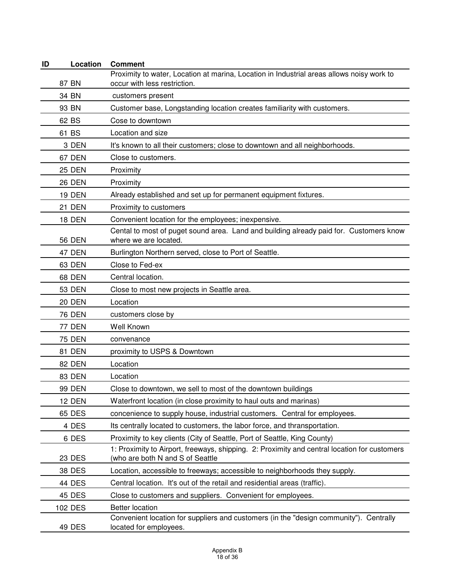| ID | Location      | <b>Comment</b>                                                                                                                   |
|----|---------------|----------------------------------------------------------------------------------------------------------------------------------|
|    | 87 BN         | Proximity to water, Location at marina, Location in Industrial areas allows noisy work to<br>occur with less restriction.        |
|    | 34 BN         | customers present                                                                                                                |
|    | 93 BN         | Customer base, Longstanding location creates familiarity with customers.                                                         |
|    | 62 BS         | Cose to downtown                                                                                                                 |
|    | 61 BS         | Location and size                                                                                                                |
|    | 3 DEN         | It's known to all their customers; close to downtown and all neighborhoods.                                                      |
|    | 67 DEN        | Close to customers.                                                                                                              |
|    | <b>25 DEN</b> | Proximity                                                                                                                        |
|    | <b>26 DEN</b> | Proximity                                                                                                                        |
|    | <b>19 DEN</b> | Already established and set up for permanent equipment fixtures.                                                                 |
|    | 21 DEN        | Proximity to customers                                                                                                           |
|    | <b>18 DEN</b> | Convenient location for the employees; inexpensive.                                                                              |
|    | <b>56 DEN</b> | Cental to most of puget sound area. Land and building already paid for. Customers know<br>where we are located.                  |
|    | 47 DEN        | Burlington Northern served, close to Port of Seattle.                                                                            |
|    | 63 DEN        | Close to Fed-ex                                                                                                                  |
|    | <b>68 DEN</b> | Central location.                                                                                                                |
|    | <b>53 DEN</b> | Close to most new projects in Seattle area.                                                                                      |
|    | <b>20 DEN</b> | Location                                                                                                                         |
|    | <b>76 DEN</b> | customers close by                                                                                                               |
|    | <b>77 DEN</b> | Well Known                                                                                                                       |
|    | <b>75 DEN</b> | convenance                                                                                                                       |
|    | 81 DEN        | proximity to USPS & Downtown                                                                                                     |
|    | 82 DEN        | Location                                                                                                                         |
|    | <b>83 DEN</b> | Location                                                                                                                         |
|    | <b>99 DEN</b> | Close to downtown, we sell to most of the downtown buildings                                                                     |
|    | 12 DEN        | Waterfront location (in close proximity to haul outs and marinas)                                                                |
|    | <b>65 DES</b> | concenience to supply house, industrial customers. Central for employees.                                                        |
|    | 4 DES         | Its centrally located to customers, the labor force, and thransportation.                                                        |
|    | 6 DES         | Proximity to key clients (City of Seattle, Port of Seattle, King County)                                                         |
|    | <b>23 DES</b> | 1: Proximity to Airport, freeways, shipping. 2: Proximity and central location for customers<br>(who are both N and S of Seattle |
|    | 38 DES        | Location, accessible to freeways; accessible to neighborhoods they supply.                                                       |
|    | 44 DES        | Central location. It's out of the retail and residential areas (traffic).                                                        |
|    | 45 DES        | Close to customers and suppliers. Convenient for employees.                                                                      |
|    | 102 DES       | <b>Better location</b>                                                                                                           |
|    | 49 DES        | Convenient location for suppliers and customers (in the "design community"). Centrally<br>located for employees.                 |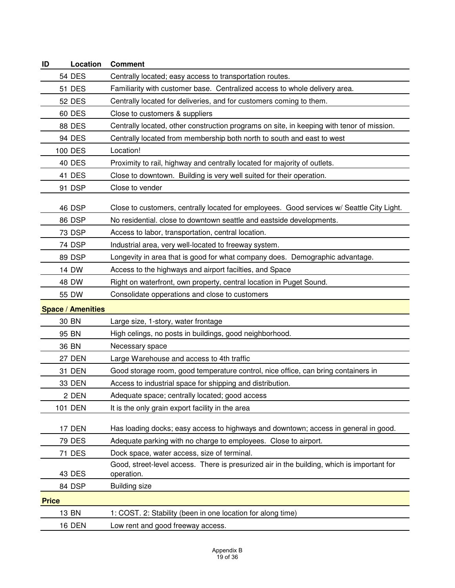| Location<br>ID           | <b>Comment</b>                                                                                           |
|--------------------------|----------------------------------------------------------------------------------------------------------|
| 54 DES                   | Centrally located; easy access to transportation routes.                                                 |
| <b>51 DES</b>            | Familiarity with customer base. Centralized access to whole delivery area.                               |
| <b>52 DES</b>            | Centrally located for deliveries, and for customers coming to them.                                      |
| 60 DES                   | Close to customers & suppliers                                                                           |
| <b>88 DES</b>            | Centrally located, other construction programs on site, in keeping with tenor of mission.                |
| 94 DES                   | Centrally located from membership both north to south and east to west                                   |
| <b>100 DES</b>           | Location!                                                                                                |
| <b>40 DES</b>            | Proximity to rail, highway and centrally located for majority of outlets.                                |
| 41 DES                   | Close to downtown. Building is very well suited for their operation.                                     |
| 91 DSP                   | Close to vender                                                                                          |
| 46 DSP                   | Close to customers, centrally located for employees. Good services w/ Seattle City Light.                |
| 86 DSP                   | No residential. close to downtown seattle and eastside developments.                                     |
| 73 DSP                   | Access to labor, transportation, central location.                                                       |
| 74 DSP                   | Industrial area, very well-located to freeway system.                                                    |
| 89 DSP                   | Longevity in area that is good for what company does. Demographic advantage.                             |
| 14 DW                    | Access to the highways and airport facilties, and Space                                                  |
| 48 DW                    | Right on waterfront, own property, central location in Puget Sound.                                      |
| 55 DW                    | Consolidate opperations and close to customers                                                           |
| <b>Space / Amenities</b> |                                                                                                          |
| 30 BN                    | Large size, 1-story, water frontage                                                                      |
| 95 BN                    | High celings, no posts in buildings, good neighborhood.                                                  |
| 36 BN                    | Necessary space                                                                                          |
| 27 DEN                   | Large Warehouse and access to 4th traffic                                                                |
| 31 DEN                   | Good storage room, good temperature control, nice office, can bring containers in                        |
| 33 DEN                   | Access to industrial space for shipping and distribution.                                                |
| 2 DEN                    | Adequate space; centrally located; good access                                                           |
| <b>101 DEN</b>           | It is the only grain export facility in the area                                                         |
|                          |                                                                                                          |
| 17 DEN                   | Has loading docks; easy access to highways and downtown; access in general in good.                      |
| <b>79 DES</b>            | Adequate parking with no charge to employees. Close to airport.                                          |
| 71 DES                   | Dock space, water access, size of terminal.                                                              |
| 43 DES                   | Good, street-level access. There is presurized air in the building, which is important for<br>operation. |
| 84 DSP                   | <b>Building size</b>                                                                                     |
| <b>Price</b>             |                                                                                                          |
| 13 BN                    | 1: COST. 2: Stability (been in one location for along time)                                              |
| <b>16 DEN</b>            | Low rent and good freeway access.                                                                        |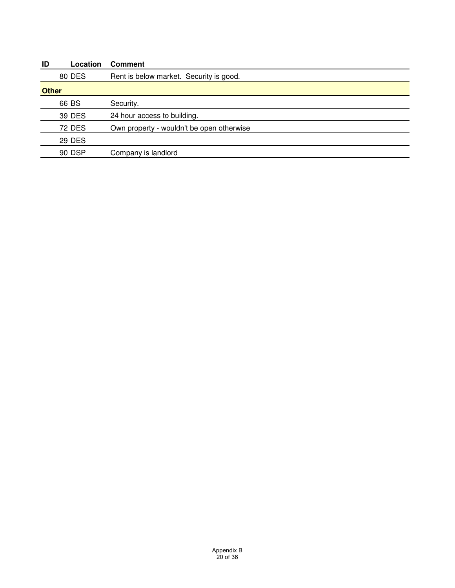| ID           | Location      | <b>Comment</b>                            |
|--------------|---------------|-------------------------------------------|
|              | <b>80 DES</b> | Rent is below market. Security is good.   |
| <b>Other</b> |               |                                           |
|              | 66 BS         | Security.                                 |
|              | 39 DES        | 24 hour access to building.               |
|              | <b>72 DES</b> | Own property - wouldn't be open otherwise |
|              | <b>29 DES</b> |                                           |
|              | 90 DSP        | Company is landlord                       |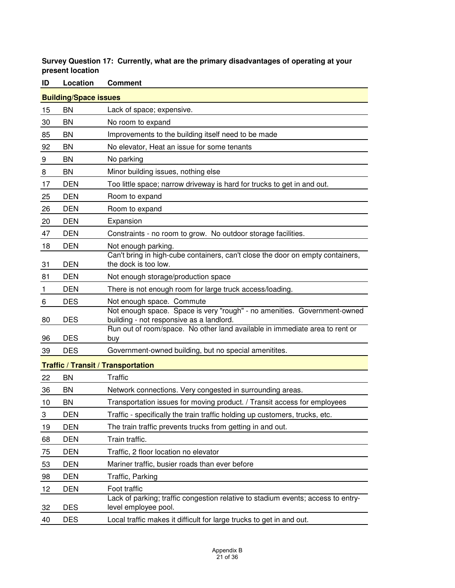## **Survey Question 17: Currently, what are the primary disadvantages of operating at your present location**

| <b>Building/Space issues</b> |            |                                                                                                                      |  |  |
|------------------------------|------------|----------------------------------------------------------------------------------------------------------------------|--|--|
| 15                           | <b>BN</b>  | Lack of space; expensive.                                                                                            |  |  |
| 30                           | BN         | No room to expand                                                                                                    |  |  |
| 85                           | BN         | Improvements to the building itself need to be made                                                                  |  |  |
| 92                           | BN         | No elevator, Heat an issue for some tenants                                                                          |  |  |
| 9                            | <b>BN</b>  | No parking                                                                                                           |  |  |
| 8                            | <b>BN</b>  | Minor building issues, nothing else                                                                                  |  |  |
| 17                           | <b>DEN</b> | Too little space; narrow driveway is hard for trucks to get in and out.                                              |  |  |
| 25                           | <b>DEN</b> | Room to expand                                                                                                       |  |  |
| 26                           | <b>DEN</b> | Room to expand                                                                                                       |  |  |
| 20                           | <b>DEN</b> | Expansion                                                                                                            |  |  |
| 47                           | <b>DEN</b> | Constraints - no room to grow. No outdoor storage facilities.                                                        |  |  |
| 18                           | <b>DEN</b> | Not enough parking.                                                                                                  |  |  |
| 31                           | <b>DEN</b> | Can't bring in high-cube containers, can't close the door on empty containers,<br>the dock is too low.               |  |  |
| 81                           | <b>DEN</b> | Not enough storage/production space                                                                                  |  |  |
| 1                            | <b>DEN</b> | There is not enough room for large truck access/loading.                                                             |  |  |
| 6                            | <b>DES</b> | Not enough space. Commute                                                                                            |  |  |
| 80                           | <b>DES</b> | Not enough space. Space is very "rough" - no amenities. Government-owned<br>building - not responsive as a landlord. |  |  |
| 96                           | <b>DES</b> | Run out of room/space. No other land available in immediate area to rent or<br>buy                                   |  |  |
| 39                           | <b>DES</b> | Government-owned building, but no special amenitites.                                                                |  |  |
|                              |            | <b>Traffic / Transit / Transportation</b>                                                                            |  |  |
| 22                           | <b>BN</b>  | <b>Traffic</b>                                                                                                       |  |  |
| 36                           | BN         | Network connections. Very congested in surrounding areas.                                                            |  |  |
| 10                           | <b>BN</b>  | Transportation issues for moving product. / Transit access for employees                                             |  |  |
| 3                            | <b>DEN</b> | Traffic - specifically the train traffic holding up customers, trucks, etc.                                          |  |  |
| 19                           | <b>DEN</b> | The train traffic prevents trucks from getting in and out.                                                           |  |  |
| 68                           | <b>DEN</b> | Train traffic.                                                                                                       |  |  |
| 75                           | <b>DEN</b> | Traffic, 2 floor location no elevator                                                                                |  |  |
| 53                           | <b>DEN</b> | Mariner traffic, busier roads than ever before                                                                       |  |  |
| 98                           | <b>DEN</b> | Traffic, Parking                                                                                                     |  |  |
| 12                           | <b>DEN</b> | Foot traffic                                                                                                         |  |  |
| 32                           | <b>DES</b> | Lack of parking; traffic congestion relative to stadium events; access to entry-<br>level employee pool.             |  |  |
| 40                           | <b>DES</b> | Local traffic makes it difficult for large trucks to get in and out.                                                 |  |  |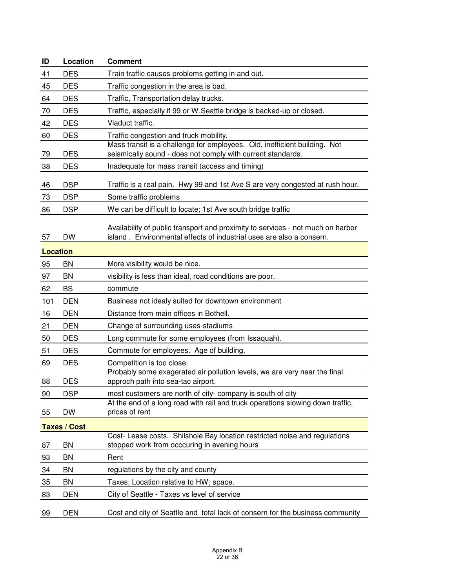| ID              | Location            | <b>Comment</b>                                                                                                                                          |
|-----------------|---------------------|---------------------------------------------------------------------------------------------------------------------------------------------------------|
| 41              | <b>DES</b>          | Train traffic causes problems getting in and out.                                                                                                       |
| 45              | <b>DES</b>          | Traffic congestion in the area is bad.                                                                                                                  |
| 64              | <b>DES</b>          | Traffic, Transportation delay trucks.                                                                                                                   |
| 70              | <b>DES</b>          | Traffic, especially if 99 or W. Seattle bridge is backed-up or closed.                                                                                  |
| 42              | <b>DES</b>          | Viaduct traffic.                                                                                                                                        |
| 60              | <b>DES</b>          | Traffic congestion and truck mobility.                                                                                                                  |
| 79              | <b>DES</b>          | Mass transit is a challenge for employees. Old, inefficient building. Not<br>seismically sound - does not comply with current standards.                |
| 38              | <b>DES</b>          | Inadequate for mass transit (access and timing)                                                                                                         |
| 46              | <b>DSP</b>          | Traffic is a real pain. Hwy 99 and 1st Ave S are very congested at rush hour.                                                                           |
| 73              | <b>DSP</b>          | Some traffic problems                                                                                                                                   |
| 86              | <b>DSP</b>          | We can be difficult to locate; 1st Ave south bridge traffic                                                                                             |
| 57              | <b>DW</b>           | Availability of public transport and proximity to services - not much on harbor<br>island. Environmental effects of industrial uses are also a consern. |
| <b>Location</b> |                     |                                                                                                                                                         |
| 95              | <b>BN</b>           | More visibility would be nice.                                                                                                                          |
| 97              | <b>BN</b>           | visibility is less than ideal, road conditions are poor.                                                                                                |
| 62              | <b>BS</b>           | commute                                                                                                                                                 |
| 101             | <b>DEN</b>          | Business not idealy suited for downtown environment                                                                                                     |
| 16              | <b>DEN</b>          | Distance from main offices in Bothell.                                                                                                                  |
| 21              | <b>DEN</b>          | Change of surrounding uses-stadiums                                                                                                                     |
| 50              | <b>DES</b>          | Long commute for some employees (from Issaquah).                                                                                                        |
| 51              | <b>DES</b>          | Commute for employees. Age of building.                                                                                                                 |
| 69              | <b>DES</b>          | Competition is too close.                                                                                                                               |
| 88              | <b>DES</b>          | Probably some exagerated air pollution levels, we are very near the final<br>approch path into sea-tac airport.                                         |
| 90              | <b>DSP</b>          | most customers are north of city- company is south of city                                                                                              |
| 55              | <b>DW</b>           | At the end of a long road with rail and truck operations slowing down traffic,<br>prices of rent                                                        |
|                 | <b>Taxes / Cost</b> |                                                                                                                                                         |
| 87              | <b>BN</b>           | Cost- Lease costs. Shilshole Bay location restricted noise and regulations<br>stopped work from occcuring in evening hours                              |
| 93              | <b>BN</b>           | Rent                                                                                                                                                    |
| 34              | <b>BN</b>           | regulations by the city and county                                                                                                                      |
| 35              | <b>BN</b>           | Taxes; Location relative to HW; space.                                                                                                                  |
| 83              | <b>DEN</b>          | City of Seattle - Taxes vs level of service                                                                                                             |
| 99              | <b>DEN</b>          | Cost and city of Seattle and total lack of consern for the business community                                                                           |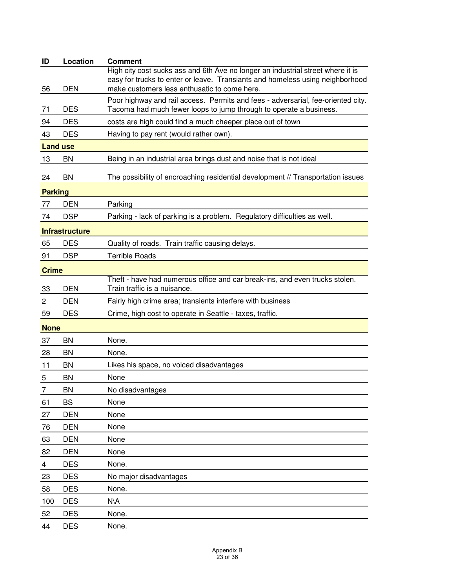| ID              | Location              | <b>Comment</b>                                                                                                                                                                                                   |
|-----------------|-----------------------|------------------------------------------------------------------------------------------------------------------------------------------------------------------------------------------------------------------|
| 56              | <b>DEN</b>            | High city cost sucks ass and 6th Ave no longer an industrial street where it is<br>easy for trucks to enter or leave. Transiants and homeless using neighborhood<br>make customers less enthusatic to come here. |
|                 |                       | Poor highway and rail access. Permits and fees - adversarial, fee-oriented city.                                                                                                                                 |
| 71              | <b>DES</b>            | Tacoma had much fewer loops to jump through to operate a business.                                                                                                                                               |
| 94              | <b>DES</b>            | costs are high could find a much cheeper place out of town                                                                                                                                                       |
| 43              | <b>DES</b>            | Having to pay rent (would rather own).                                                                                                                                                                           |
| <b>Land use</b> |                       |                                                                                                                                                                                                                  |
| 13              | BN                    | Being in an industrial area brings dust and noise that is not ideal                                                                                                                                              |
| 24              | BN                    | The possibility of encroaching residential development // Transportation issues                                                                                                                                  |
| <b>Parking</b>  |                       |                                                                                                                                                                                                                  |
| 77              | <b>DEN</b>            | Parking                                                                                                                                                                                                          |
| 74              | <b>DSP</b>            | Parking - lack of parking is a problem. Regulatory difficulties as well.                                                                                                                                         |
|                 | <b>Infrastructure</b> |                                                                                                                                                                                                                  |
| 65              | <b>DES</b>            | Quality of roads. Train traffic causing delays.                                                                                                                                                                  |
| 91              | <b>DSP</b>            | <b>Terrible Roads</b>                                                                                                                                                                                            |
| <b>Crime</b>    |                       |                                                                                                                                                                                                                  |
|                 |                       | Theft - have had numerous office and car break-ins, and even trucks stolen.                                                                                                                                      |
| 33              | <b>DEN</b>            | Train traffic is a nuisance.                                                                                                                                                                                     |
| 2               | <b>DEN</b>            | Fairly high crime area; transients interfere with business                                                                                                                                                       |
| 59              | <b>DES</b>            | Crime, high cost to operate in Seattle - taxes, traffic.                                                                                                                                                         |
| <b>None</b>     |                       |                                                                                                                                                                                                                  |
| 37              | BN                    | None.                                                                                                                                                                                                            |
| 28              | BN                    | None.                                                                                                                                                                                                            |
| 11              | BN                    | Likes his space, no voiced disadvantages                                                                                                                                                                         |
| 5               | BN                    | None                                                                                                                                                                                                             |
| 7               | BN                    | No disadvantages                                                                                                                                                                                                 |
| 61              | <b>BS</b>             | None                                                                                                                                                                                                             |
| 27              | <b>DEN</b>            | None                                                                                                                                                                                                             |
| 76              | <b>DEN</b>            | None                                                                                                                                                                                                             |
| 63              | <b>DEN</b>            | None                                                                                                                                                                                                             |
| 82              | <b>DEN</b>            | None                                                                                                                                                                                                             |
| 4               | <b>DES</b>            | None.                                                                                                                                                                                                            |
| 23              | <b>DES</b>            | No major disadvantages                                                                                                                                                                                           |
| 58              | <b>DES</b>            | None.                                                                                                                                                                                                            |
| 100             | <b>DES</b>            | N\A                                                                                                                                                                                                              |
| 52              | <b>DES</b>            | None.                                                                                                                                                                                                            |
| 44              | <b>DES</b>            | None.                                                                                                                                                                                                            |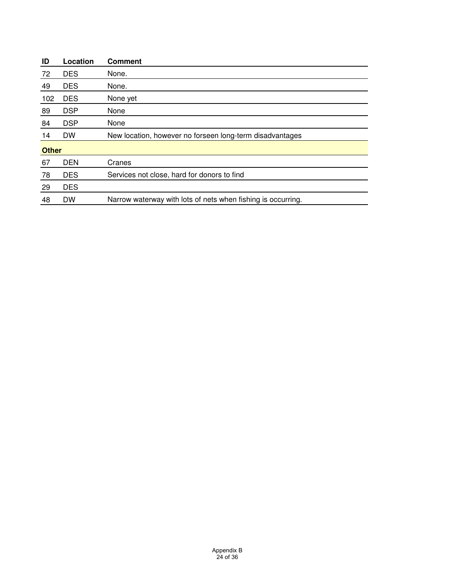|            | <b>Comment</b>                                               |
|------------|--------------------------------------------------------------|
| <b>DES</b> | None.                                                        |
| <b>DES</b> | None.                                                        |
| <b>DES</b> | None yet                                                     |
| <b>DSP</b> | None                                                         |
| <b>DSP</b> | None                                                         |
| DW         | New location, however no forseen long-term disadvantages     |
|            |                                                              |
| <b>DEN</b> | Cranes                                                       |
| <b>DES</b> | Services not close, hard for donors to find                  |
| <b>DES</b> |                                                              |
| <b>DW</b>  | Narrow waterway with lots of nets when fishing is occurring. |
|            | Location                                                     |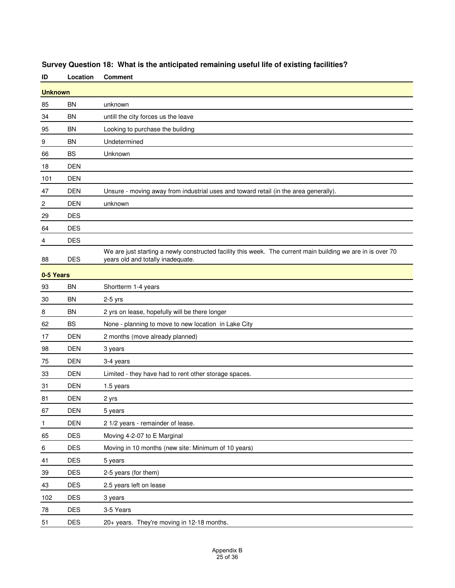| ID             | Location       | <b>Comment</b>                                                                                                                                   |  |
|----------------|----------------|--------------------------------------------------------------------------------------------------------------------------------------------------|--|
|                | <b>Unknown</b> |                                                                                                                                                  |  |
| 85             | BN             | unknown                                                                                                                                          |  |
| 34             | <b>BN</b>      | untill the city forces us the leave                                                                                                              |  |
| 95             | <b>BN</b>      | Looking to purchase the building                                                                                                                 |  |
| 9              | <b>BN</b>      | Undetermined                                                                                                                                     |  |
| 66             | <b>BS</b>      | Unknown                                                                                                                                          |  |
| 18             | <b>DEN</b>     |                                                                                                                                                  |  |
| 101            | <b>DEN</b>     |                                                                                                                                                  |  |
| 47             | <b>DEN</b>     | Unsure - moving away from industrial uses and toward retail (in the area generally).                                                             |  |
| $\overline{c}$ | <b>DEN</b>     | unknown                                                                                                                                          |  |
| 29             | <b>DES</b>     |                                                                                                                                                  |  |
| 64             | <b>DES</b>     |                                                                                                                                                  |  |
| 4              | <b>DES</b>     |                                                                                                                                                  |  |
| 88             | <b>DES</b>     | We are just starting a newly constructed facility this week. The current main building we are in is over 70<br>years old and totally inadequate. |  |
| 0-5 Years      |                |                                                                                                                                                  |  |
| 93             | <b>BN</b>      | Shortterm 1-4 years                                                                                                                              |  |
| 30             | <b>BN</b>      | $2-5$ yrs                                                                                                                                        |  |
| 8              | <b>BN</b>      | 2 yrs on lease, hopefully will be there longer                                                                                                   |  |
| 62             | <b>BS</b>      | None - planning to move to new location in Lake City                                                                                             |  |
| 17             | <b>DEN</b>     | 2 months (move already planned)                                                                                                                  |  |
| 98             | <b>DEN</b>     | 3 years                                                                                                                                          |  |
| 75             | <b>DEN</b>     | 3-4 years                                                                                                                                        |  |
| 33             | <b>DEN</b>     | Limited - they have had to rent other storage spaces.                                                                                            |  |
| 31             | <b>DEN</b>     | 1.5 years                                                                                                                                        |  |
| 81             | <b>DEN</b>     | 2 yrs                                                                                                                                            |  |
| 67             | <b>DEN</b>     | 5 years                                                                                                                                          |  |
| $\mathbf{1}$   | DEN            | 2 1/2 years - remainder of lease.                                                                                                                |  |
| 65             | <b>DES</b>     | Moving 4-2-07 to E Marginal                                                                                                                      |  |
| $\,6$          | <b>DES</b>     | Moving in 10 months (new site: Minimum of 10 years)                                                                                              |  |
| 41             | <b>DES</b>     | 5 years                                                                                                                                          |  |
| 39             | <b>DES</b>     | 2-5 years (for them)                                                                                                                             |  |
| 43             | <b>DES</b>     | 2.5 years left on lease                                                                                                                          |  |
| 102            | <b>DES</b>     | 3 years                                                                                                                                          |  |
| 78             | <b>DES</b>     | 3-5 Years                                                                                                                                        |  |
| 51             | DES            | 20+ years. They're moving in 12-18 months.                                                                                                       |  |

# **Survey Question 18: What is the anticipated remaining useful life of existing facilities?**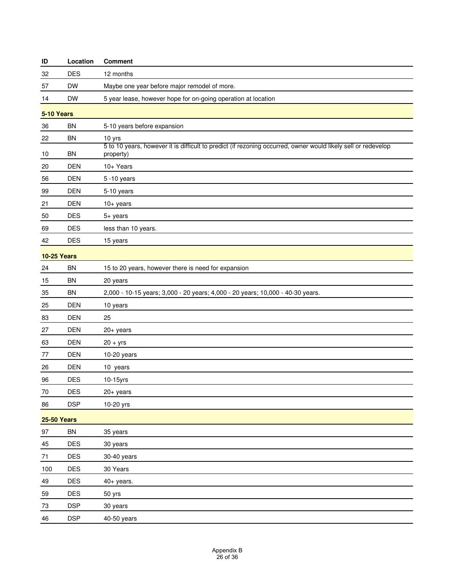| ID                 | Location   | <b>Comment</b>                                                                                                             |  |
|--------------------|------------|----------------------------------------------------------------------------------------------------------------------------|--|
| 32                 | <b>DES</b> | 12 months                                                                                                                  |  |
| 57                 | DW         | Maybe one year before major remodel of more.                                                                               |  |
| 14                 | <b>DW</b>  | 5 year lease, however hope for on-going operation at location                                                              |  |
| 5-10 Years         |            |                                                                                                                            |  |
| 36                 | <b>BN</b>  | 5-10 years before expansion                                                                                                |  |
| 22                 | <b>BN</b>  | 10 yrs                                                                                                                     |  |
| 10                 | BN         | 5 to 10 years, however it is difficult to predict (if rezoning occurred, owner would likely sell or redevelop<br>property) |  |
| 20                 | <b>DEN</b> | 10+ Years                                                                                                                  |  |
| 56                 | <b>DEN</b> | 5 - 10 years                                                                                                               |  |
| 99                 | <b>DEN</b> | 5-10 years                                                                                                                 |  |
| 21                 | <b>DEN</b> | $10+$ years                                                                                                                |  |
| 50                 | <b>DES</b> | 5+ years                                                                                                                   |  |
| 69                 | <b>DES</b> | less than 10 years.                                                                                                        |  |
| 42                 | <b>DES</b> | 15 years                                                                                                                   |  |
| <b>10-25 Years</b> |            |                                                                                                                            |  |
| 24                 | <b>BN</b>  | 15 to 20 years, however there is need for expansion                                                                        |  |
| 15                 | <b>BN</b>  | 20 years                                                                                                                   |  |
| 35                 | <b>BN</b>  | 2,000 - 10-15 years; 3,000 - 20 years; 4,000 - 20 years; 10,000 - 40-30 years.                                             |  |
| 25                 | <b>DEN</b> | 10 years                                                                                                                   |  |
| 83                 | <b>DEN</b> | 25                                                                                                                         |  |
| 27                 | DEN        | $20+$ years                                                                                                                |  |
| 63                 | <b>DEN</b> | $20 + yrs$                                                                                                                 |  |
| 77                 | <b>DEN</b> | 10-20 years                                                                                                                |  |
| 26                 | DEN        | 10 years                                                                                                                   |  |
| 96                 | <b>DES</b> | 10-15yrs                                                                                                                   |  |
| $70\,$             | DES        | $20 + years$                                                                                                               |  |
| 86                 | <b>DSP</b> | 10-20 yrs                                                                                                                  |  |
| <b>25-50 Years</b> |            |                                                                                                                            |  |
| 97                 | BN         | 35 years                                                                                                                   |  |
| 45                 | DES        | 30 years                                                                                                                   |  |
| $71$               | DES        | 30-40 years                                                                                                                |  |
| 100                | DES        | 30 Years                                                                                                                   |  |
| 49                 | DES        | $40+$ years.                                                                                                               |  |
| 59                 | DES        | 50 yrs                                                                                                                     |  |
| 73                 | <b>DSP</b> | 30 years                                                                                                                   |  |
| 46                 | <b>DSP</b> | 40-50 years                                                                                                                |  |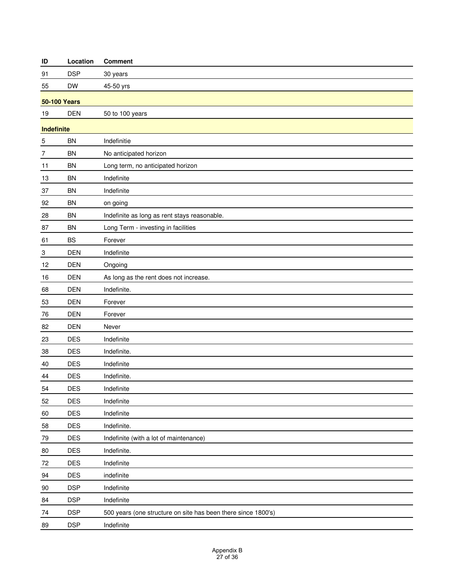| ID                        | Location            | <b>Comment</b>                                                |  |
|---------------------------|---------------------|---------------------------------------------------------------|--|
| 91                        | <b>DSP</b>          | 30 years                                                      |  |
| 55                        | <b>DW</b>           | 45-50 yrs                                                     |  |
|                           | <b>50-100 Years</b> |                                                               |  |
| 19                        | <b>DEN</b>          | 50 to 100 years                                               |  |
| Indefinite                |                     |                                                               |  |
| 5                         | <b>BN</b>           | Indefinitie                                                   |  |
| 7                         | <b>BN</b>           | No anticipated horizon                                        |  |
| 11                        | <b>BN</b>           | Long term, no anticipated horizon                             |  |
| 13                        | <b>BN</b>           | Indefinite                                                    |  |
| 37                        | <b>BN</b>           | Indefinite                                                    |  |
| 92                        | <b>BN</b>           | on going                                                      |  |
| 28                        | <b>BN</b>           | Indefinite as long as rent stays reasonable.                  |  |
| 87                        | <b>BN</b>           | Long Term - investing in facilities                           |  |
| 61                        | <b>BS</b>           | Forever                                                       |  |
| $\ensuremath{\mathsf{3}}$ | <b>DEN</b>          | Indefinite                                                    |  |
| 12                        | <b>DEN</b>          | Ongoing                                                       |  |
| 16                        | <b>DEN</b>          | As long as the rent does not increase.                        |  |
| 68                        | <b>DEN</b>          | Indefinite.                                                   |  |
| 53                        | <b>DEN</b>          | Forever                                                       |  |
| 76                        | <b>DEN</b>          | Forever                                                       |  |
| 82                        | <b>DEN</b>          | Never                                                         |  |
| 23                        | <b>DES</b>          | Indefinite                                                    |  |
| 38                        | <b>DES</b>          | Indefinite.                                                   |  |
| 40                        | <b>DES</b>          | Indefinite                                                    |  |
| 44                        | <b>DES</b>          | Indefinite.                                                   |  |
| 54                        | DES                 | Indefinite                                                    |  |
| 52                        | <b>DES</b>          | Indefinite                                                    |  |
| 60                        | DES                 | Indefinite                                                    |  |
| 58                        | DES                 | Indefinite.                                                   |  |
| 79                        | <b>DES</b>          | Indefinite (with a lot of maintenance)                        |  |
| 80                        | <b>DES</b>          | Indefinite.                                                   |  |
| 72                        | DES                 | Indefinite                                                    |  |
| 94                        | DES                 | indefinite                                                    |  |
| 90                        | <b>DSP</b>          | Indefinite                                                    |  |
| 84                        | <b>DSP</b>          | Indefinite                                                    |  |
| 74                        | <b>DSP</b>          | 500 years (one structure on site has been there since 1800's) |  |
| 89                        | <b>DSP</b>          | Indefinite                                                    |  |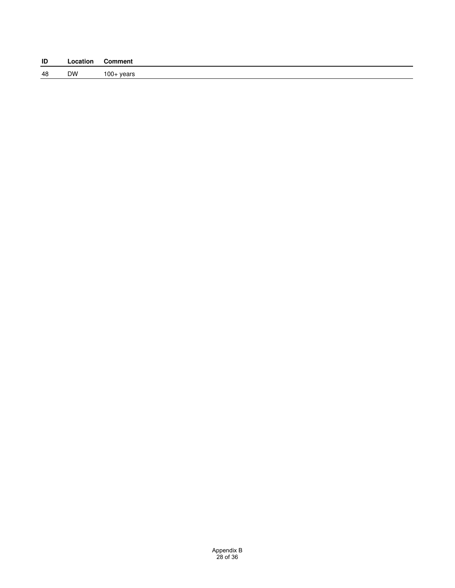| ID | Location | <b>Comment</b> |
|----|----------|----------------|
| 48 | DW       | $100+$ years   |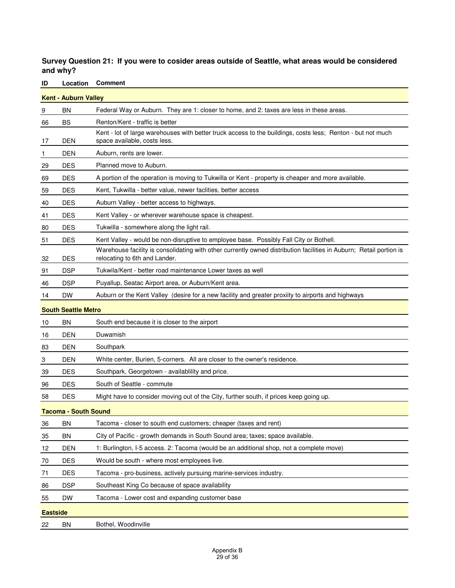**Survey Question 21: If you were to cosider areas outside of Seattle, what areas would be considered and why?**

|                 | <b>Kent - Auburn Valley</b> |                                                                                                                                                      |
|-----------------|-----------------------------|------------------------------------------------------------------------------------------------------------------------------------------------------|
| 9               | BN                          | Federal Way or Auburn. They are 1: closer to home, and 2: taxes are less in these areas.                                                             |
| 66              | BS                          | Renton/Kent - traffic is better                                                                                                                      |
| 17              | <b>DEN</b>                  | Kent - lot of large warehouses with better truck access to the buildings, costs less; Renton - but not much<br>space available, costs less.          |
| 1               | <b>DEN</b>                  | Auburn, rents are lower.                                                                                                                             |
| 29              | <b>DES</b>                  | Planned move to Auburn.                                                                                                                              |
| 69              | <b>DES</b>                  | A portion of the operation is moving to Tukwilla or Kent - property is cheaper and more available.                                                   |
| 59              | <b>DES</b>                  | Kent, Tukwilla - better value, newer faclities, better access                                                                                        |
| 40              | <b>DES</b>                  | Auburn Valley - better access to highways.                                                                                                           |
| 41              | <b>DES</b>                  | Kent Valley - or wherever warehouse space is cheapest.                                                                                               |
| 80              | <b>DES</b>                  | Tukwilla - somewhere along the light rail.                                                                                                           |
| 51              | <b>DES</b>                  | Kent Valley - would be non-disruptive to employee base. Possibly Fall City or Bothell.                                                               |
| 32              | <b>DES</b>                  | Warehouse facility is consolidating with other currently owned distribution facilities in Auburn; Retail portion is<br>relocating to 6th and Lander. |
| 91              | <b>DSP</b>                  | Tukwila/Kent - better road maintenance Lower taxes as well                                                                                           |
| 46              | <b>DSP</b>                  | Puyallup, Seatac Airport area, or Auburn/Kent area.                                                                                                  |
| 14              | <b>DW</b>                   | Auburn or the Kent Valley (desire for a new facility and greater proxiity to airports and highways                                                   |
|                 | <b>South Seattle Metro</b>  |                                                                                                                                                      |
| 10              | <b>BN</b>                   | South end because it is closer to the airport                                                                                                        |
| 16              | <b>DEN</b>                  | Duwamish                                                                                                                                             |
| 83              | <b>DEN</b>                  | Southpark                                                                                                                                            |
| 3               | <b>DEN</b>                  | White center, Burien, 5-corners. All are closer to the owner's residence.                                                                            |
| 39              | <b>DES</b>                  | Southpark, Georgetown - availabiliity and price.                                                                                                     |
| 96              | <b>DES</b>                  | South of Seattle - commute                                                                                                                           |
| 58              | <b>DES</b>                  | Might have to consider moving out of the City, further south, if prices keep going up.                                                               |
|                 | <b>Tacoma - South Sound</b> |                                                                                                                                                      |
| 36              | BN                          | Tacoma - closer to south end customers; cheaper (taxes and rent)                                                                                     |
| 35              | <b>BN</b>                   | City of Pacific - growth demands in South Sound area; taxes; space available.                                                                        |
| 12              | <b>DEN</b>                  | 1: Burlington, I-5 access. 2: Tacoma (would be an additional shop, not a complete move)                                                              |
| 70              | <b>DES</b>                  | Would be south - where most employees live.                                                                                                          |
| 71              | <b>DES</b>                  | Tacoma - pro-business, actively pursuing marine-services industry.                                                                                   |
| 86              | <b>DSP</b>                  | Southeast King Co because of space availability                                                                                                      |
| 55              | DW                          | Tacoma - Lower cost and expanding customer base                                                                                                      |
| <b>Eastside</b> |                             |                                                                                                                                                      |
| 22              | BN                          | Bothel, Woodinville                                                                                                                                  |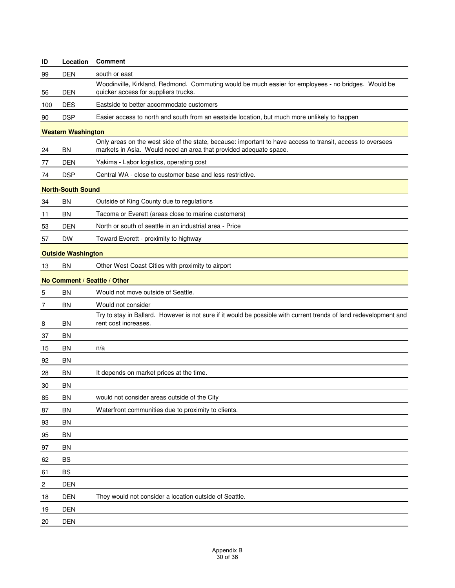| ID             | Location                  | <b>Comment</b>                                                                                                                                                                  |
|----------------|---------------------------|---------------------------------------------------------------------------------------------------------------------------------------------------------------------------------|
| 99             | <b>DEN</b>                | south or east                                                                                                                                                                   |
| 56             | DEN                       | Woodinville, Kirkland, Redmond. Commuting would be much easier for employees - no bridges. Would be<br>quicker access for suppliers trucks.                                     |
| 100            | <b>DES</b>                | Eastside to better accommodate customers                                                                                                                                        |
| 90             | <b>DSP</b>                | Easier access to north and south from an eastside location, but much more unlikely to happen                                                                                    |
|                | <b>Western Washington</b> |                                                                                                                                                                                 |
| 24             | <b>BN</b>                 | Only areas on the west side of the state, because: important to have access to transit, access to oversees<br>markets in Asia. Would need an area that provided adequate space. |
| 77             | <b>DEN</b>                | Yakima - Labor logistics, operating cost                                                                                                                                        |
| 74             | <b>DSP</b>                | Central WA - close to customer base and less restrictive.                                                                                                                       |
|                | <b>North-South Sound</b>  |                                                                                                                                                                                 |
| 34             | <b>BN</b>                 | Outside of King County due to regulations                                                                                                                                       |
| 11             | BN                        | Tacoma or Everett (areas close to marine customers)                                                                                                                             |
| 53             | <b>DEN</b>                | North or south of seattle in an industrial area - Price                                                                                                                         |
| 57             | <b>DW</b>                 | Toward Everett - proximity to highway                                                                                                                                           |
|                | <b>Outside Washington</b> |                                                                                                                                                                                 |
| 13             | <b>BN</b>                 | Other West Coast Cities with proximity to airport                                                                                                                               |
|                |                           | No Comment / Seattle / Other                                                                                                                                                    |
| 5              | BN                        | Would not move outside of Seattle.                                                                                                                                              |
| 7              | BN                        | Would not consider                                                                                                                                                              |
| 8              | BN                        | Try to stay in Ballard. However is not sure if it would be possible with current trends of land redevelopment and<br>rent cost increases.                                       |
| 37             | <b>BN</b>                 |                                                                                                                                                                                 |
| 15             | <b>BN</b>                 | n/a                                                                                                                                                                             |
| 92             | BN                        |                                                                                                                                                                                 |
| 28             | BN                        | It depends on market prices at the time.                                                                                                                                        |
| 30             | BN                        |                                                                                                                                                                                 |
| 85             | <b>BN</b>                 | would not consider areas outside of the City                                                                                                                                    |
| 87             | <b>BN</b>                 | Waterfront communities due to proximity to clients.                                                                                                                             |
| 93             | <b>BN</b>                 |                                                                                                                                                                                 |
| 95             | <b>BN</b>                 |                                                                                                                                                                                 |
| 97             | <b>BN</b>                 |                                                                                                                                                                                 |
| 62             | <b>BS</b>                 |                                                                                                                                                                                 |
| 61             | <b>BS</b>                 |                                                                                                                                                                                 |
| $\overline{c}$ | <b>DEN</b>                |                                                                                                                                                                                 |
| 18             | DEN                       | They would not consider a location outside of Seattle.                                                                                                                          |
| 19             | <b>DEN</b>                |                                                                                                                                                                                 |
| 20             | <b>DEN</b>                |                                                                                                                                                                                 |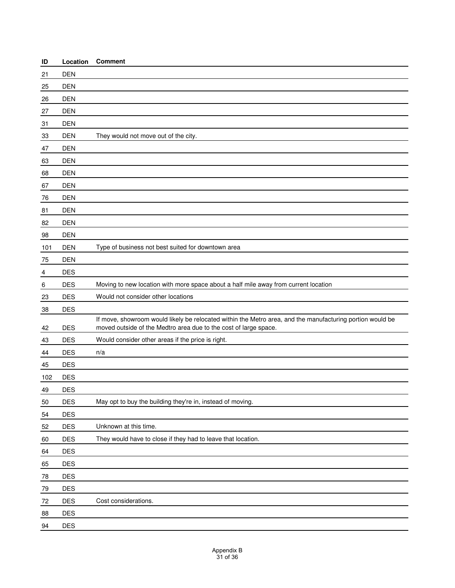| ID  | Location   | <b>Comment</b>                                                                                                                                                                |
|-----|------------|-------------------------------------------------------------------------------------------------------------------------------------------------------------------------------|
| 21  | <b>DEN</b> |                                                                                                                                                                               |
| 25  | <b>DEN</b> |                                                                                                                                                                               |
| 26  | <b>DEN</b> |                                                                                                                                                                               |
| 27  | <b>DEN</b> |                                                                                                                                                                               |
| 31  | <b>DEN</b> |                                                                                                                                                                               |
| 33  | <b>DEN</b> | They would not move out of the city.                                                                                                                                          |
| 47  | <b>DEN</b> |                                                                                                                                                                               |
| 63  | <b>DEN</b> |                                                                                                                                                                               |
| 68  | <b>DEN</b> |                                                                                                                                                                               |
| 67  | <b>DEN</b> |                                                                                                                                                                               |
| 76  | <b>DEN</b> |                                                                                                                                                                               |
| 81  | <b>DEN</b> |                                                                                                                                                                               |
| 82  | <b>DEN</b> |                                                                                                                                                                               |
| 98  | <b>DEN</b> |                                                                                                                                                                               |
| 101 | <b>DEN</b> | Type of business not best suited for downtown area                                                                                                                            |
| 75  | <b>DEN</b> |                                                                                                                                                                               |
| 4   | <b>DES</b> |                                                                                                                                                                               |
| 6   | <b>DES</b> | Moving to new location with more space about a half mile away from current location                                                                                           |
| 23  | <b>DES</b> | Would not consider other locations                                                                                                                                            |
| 38  | <b>DES</b> |                                                                                                                                                                               |
| 42  | <b>DES</b> | If move, showroom would likely be relocated within the Metro area, and the manufacturing portion would be<br>moved outside of the Medtro area due to the cost of large space. |
| 43  | <b>DES</b> | Would consider other areas if the price is right.                                                                                                                             |
| 44  | <b>DES</b> | n/a                                                                                                                                                                           |
| 45  | <b>DES</b> |                                                                                                                                                                               |
| 102 | <b>DES</b> |                                                                                                                                                                               |
| 49  | <b>DES</b> |                                                                                                                                                                               |
| 50  | <b>DES</b> | May opt to buy the building they're in, instead of moving.                                                                                                                    |
| 54  | DES        |                                                                                                                                                                               |
| 52  | <b>DES</b> | Unknown at this time.                                                                                                                                                         |
| 60  | DES        | They would have to close if they had to leave that location.                                                                                                                  |
| 64  | DES        |                                                                                                                                                                               |
| 65  | DES        |                                                                                                                                                                               |
| 78  | <b>DES</b> |                                                                                                                                                                               |
| 79  | DES        |                                                                                                                                                                               |
| 72  | DES        | Cost considerations.                                                                                                                                                          |
| 88  | DES        |                                                                                                                                                                               |
| 94  | <b>DES</b> |                                                                                                                                                                               |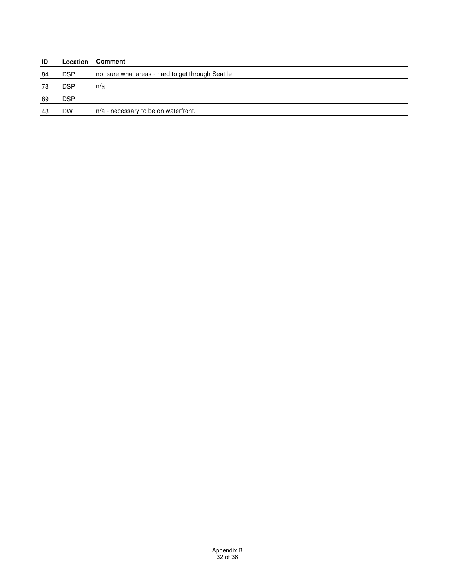| ID  | Location   | <b>Comment</b>                                    |
|-----|------------|---------------------------------------------------|
| 84  | <b>DSP</b> | not sure what areas - hard to get through Seattle |
| 73  | <b>DSP</b> | n/a                                               |
| -89 | <b>DSP</b> |                                                   |
| 48  | <b>DW</b>  | n/a - necessary to be on waterfront.              |
|     |            |                                                   |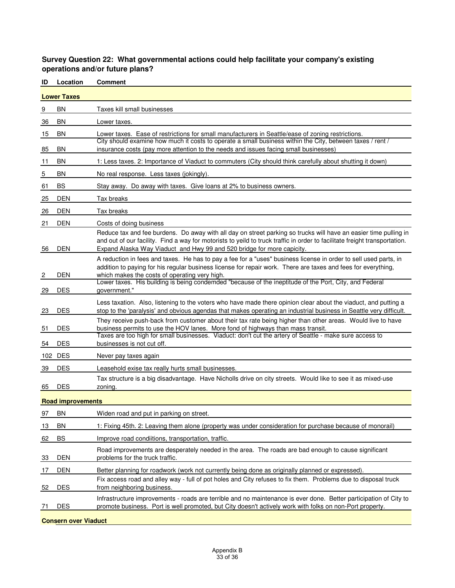#### **Survey Question 22: What governmental actions could help facilitate your company's existing operations and/or future plans?**

| ID                 | Location                 | <b>Comment</b>                                                                                                                                                                                                                                                                                                           |  |
|--------------------|--------------------------|--------------------------------------------------------------------------------------------------------------------------------------------------------------------------------------------------------------------------------------------------------------------------------------------------------------------------|--|
| <b>Lower Taxes</b> |                          |                                                                                                                                                                                                                                                                                                                          |  |
| 9                  | ΒN                       | Taxes kill small businesses                                                                                                                                                                                                                                                                                              |  |
| 36                 | ΒN                       | Lower taxes.                                                                                                                                                                                                                                                                                                             |  |
| 15                 | BN                       | Lower taxes. Ease of restrictions for small manufacturers in Seattle/ease of zoning restrictions.                                                                                                                                                                                                                        |  |
| 85                 | ΒN                       | City should examine how much it costs to operate a small business within the City, between taxes / rent /<br>insurance costs (pay more attention to the needs and issues facing small businesses)                                                                                                                        |  |
| 11                 | ΒN                       | 1: Less taxes. 2: Importance of Viaduct to commuters (City should think carefully about shutting it down)                                                                                                                                                                                                                |  |
| 5                  | ΒN                       | No real response. Less taxes (jokingly).                                                                                                                                                                                                                                                                                 |  |
| 61                 | <b>BS</b>                | Stay away. Do away with taxes. Give loans at 2% to business owners.                                                                                                                                                                                                                                                      |  |
| 25                 | DEN                      | Tax breaks                                                                                                                                                                                                                                                                                                               |  |
| 26                 | <b>DEN</b>               | Tax breaks                                                                                                                                                                                                                                                                                                               |  |
| 21                 | DEN                      | Costs of doing business                                                                                                                                                                                                                                                                                                  |  |
| 56                 | <b>DEN</b>               | Reduce tax and fee burdens. Do away with all day on street parking so trucks will have an easier time pulling in<br>and out of our facility. Find a way for motorists to yeild to truck traffic in order to facilitate freight transportation.<br>Expand Alaska Way Viaduct and Hwy 99 and 520 bridge for more capicity. |  |
| 2                  | DEN                      | A reduction in fees and taxes. He has to pay a fee for a "uses" business license in order to sell used parts, in<br>addition to paying for his regular business license for repair work. There are taxes and fees for everything,<br>which makes the costs of operating very high.                                       |  |
| 29                 | <b>DES</b>               | Lower taxes. His building is being condemded "because of the ineptitude of the Port, City, and Federal<br>government."                                                                                                                                                                                                   |  |
| 23                 | <b>DES</b>               | Less taxation. Also, listening to the voters who have made there opinion clear about the viaduct, and putting a<br>stop to the 'paralysis' and obvious agendas that makes operating an industrial business in Seattle very difficult.                                                                                    |  |
| 51                 | <b>DES</b>               | They receive push-back from customer about their tax rate being higher than other areas. Would live to have<br>business permits to use the HOV lanes. More fond of highways than mass transit.<br>Taxes are too high for small businesses. Viaduct: don't cut the artery of Seattle - make sure access to                |  |
| 54                 | <b>DES</b>               | businesses is not cut off.                                                                                                                                                                                                                                                                                               |  |
|                    | 102 DES                  | Never pay taxes again                                                                                                                                                                                                                                                                                                    |  |
| 39                 | <b>DES</b>               | Leasehold exise tax really hurts small businesses.                                                                                                                                                                                                                                                                       |  |
| 65                 | <b>DES</b>               | Tax structure is a big disadvantage. Have Nicholls drive on city streets. Would like to see it as mixed-use<br>zoning.                                                                                                                                                                                                   |  |
|                    | <b>Road improvements</b> |                                                                                                                                                                                                                                                                                                                          |  |
| 97                 | BN                       | Widen road and put in parking on street.                                                                                                                                                                                                                                                                                 |  |
| 13                 | <b>BN</b>                | 1: Fixing 45th. 2: Leaving them alone (property was under consideration for purchase because of monorail)                                                                                                                                                                                                                |  |
| 62                 | BS                       | Improve road condiitions, transportation, traffic.                                                                                                                                                                                                                                                                       |  |
| 33                 | <b>DEN</b>               | Road improvements are desperately needed in the area. The roads are bad enough to cause significant<br>problems for the truck traffic.                                                                                                                                                                                   |  |
| 17                 | DEN                      | Better planning for roadwork (work not currently being done as originally planned or expressed).                                                                                                                                                                                                                         |  |
| 52                 | <b>DES</b>               | Fix access road and alley way - full of pot holes and City refuses to fix them. Problems due to disposal truck<br>from neighboring business.                                                                                                                                                                             |  |
| 71                 | <b>DES</b>               | Infrastructure improvements - roads are terrible and no maintenance is ever done. Better participation of City to<br>promote business. Port is well promoted, but City doesn't actively work with folks on non-Port property.                                                                                            |  |
|                    |                          |                                                                                                                                                                                                                                                                                                                          |  |

#### **Consern over Viaduct Conservation Conservation**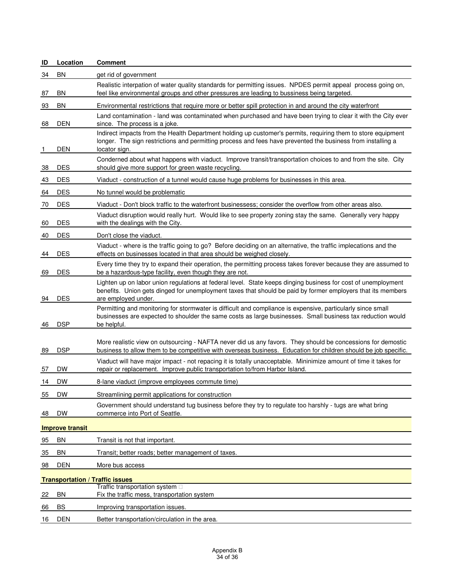| ID                                     | Location               | <b>Comment</b>                                                                                                                                                                                                                                      |  |  |  |
|----------------------------------------|------------------------|-----------------------------------------------------------------------------------------------------------------------------------------------------------------------------------------------------------------------------------------------------|--|--|--|
| 34                                     | BN                     | get rid of government                                                                                                                                                                                                                               |  |  |  |
| 87                                     | BN                     | Realistic interpation of water quality standards for permitting issues. NPDES permit appeal process going on,<br>feel like environmental groups and other pressures are leading to bussiness being targeted.                                        |  |  |  |
| 93                                     | <b>BN</b>              | Environmental restrictions that require more or better spill protection in and around the city waterfront                                                                                                                                           |  |  |  |
|                                        |                        | Land contamination - land was contaminated when purchased and have been trying to clear it with the City ever                                                                                                                                       |  |  |  |
| 68                                     | DEN                    | since. The process is a joke.<br>Indirect impacts from the Health Department holding up customer's permits, requiring them to store equipment                                                                                                       |  |  |  |
| 1                                      | DEN                    | longer. The sign restrictions and permitting process and fees have prevented the business from installing a<br>locator sign.                                                                                                                        |  |  |  |
| <u>38</u>                              | <b>DES</b>             | Conderned about what happens with viaduct. Improve transit/transportation choices to and from the site. City<br>should give more support for green waste recycling.                                                                                 |  |  |  |
| 43                                     | <b>DES</b>             | Viaduct - construction of a tunnel would cause huge problems for businesses in this area.                                                                                                                                                           |  |  |  |
| 64                                     | <b>DES</b>             | No tunnel would be problematic                                                                                                                                                                                                                      |  |  |  |
| 70                                     | <b>DES</b>             | Viaduct - Don't block traffic to the waterfront businessess; consider the overflow from other areas also.                                                                                                                                           |  |  |  |
| 60                                     | <b>DES</b>             | Viaduct disruption would really hurt. Would like to see property zoning stay the same. Generally very happy<br>with the dealings with the City.                                                                                                     |  |  |  |
| 40                                     | <b>DES</b>             | Don't close the viaduct.                                                                                                                                                                                                                            |  |  |  |
| 44                                     | <b>DES</b>             | Viaduct - where is the traffic going to go? Before deciding on an alternative, the traffic implecations and the<br>effects on businesses located in that area should be weighed closely.                                                            |  |  |  |
| 69                                     | <b>DES</b>             | Every time they try to expand their operation, the permitting process takes forever because they are assumed to<br>be a hazardous-type facility, even though they are not.                                                                          |  |  |  |
| 94                                     | <b>DES</b>             | Lighten up on labor union regulations at federal level. State keeps dinging business for cost of unemployment<br>benefits. Union gets dinged for unemployment taxes that should be paid by former employers that its members<br>are employed under. |  |  |  |
| 46                                     | <b>DSP</b>             | Permitting and monitoring for stormwater is difficult and compliance is expensive, particularly since small<br>businesses are expected to shoulder the same costs as large businesses. Small business tax reduction would<br>be helpful.            |  |  |  |
| 89                                     | <b>DSP</b>             | More realistic view on outsourcing - NAFTA never did us any favors. They should be concessions for demostic<br>business to allow them to be competitive with overseas business. Education for children should be job specific.                      |  |  |  |
| 57                                     | DW                     | Viaduct will have major impact - not repacing it is totally unacceptable. Mininimize amount of time it takes for<br>repair or replacement. Improve public transportation to/from Harbor Island.                                                     |  |  |  |
| 14                                     | <b>DW</b>              | 8-lane viaduct (improve employees commute time)                                                                                                                                                                                                     |  |  |  |
| 55                                     | <b>DW</b>              | Streamlining permit applications for construction                                                                                                                                                                                                   |  |  |  |
|                                        |                        | Government should understand tug business before they try to regulate too harshly - tugs are what bring                                                                                                                                             |  |  |  |
| 48                                     | <b>DW</b>              | commerce into Port of Seattle.                                                                                                                                                                                                                      |  |  |  |
|                                        | <b>Improve transit</b> |                                                                                                                                                                                                                                                     |  |  |  |
| 95                                     | BN                     | Transit is not that important.                                                                                                                                                                                                                      |  |  |  |
| 35                                     | BN                     | Transit; better roads; better management of taxes.                                                                                                                                                                                                  |  |  |  |
| 98                                     | <b>DEN</b>             | More bus access                                                                                                                                                                                                                                     |  |  |  |
| <b>Transportation / Traffic issues</b> |                        |                                                                                                                                                                                                                                                     |  |  |  |
| 22                                     | <b>BN</b>              | Traffic transportation system<br>Fix the traffic mess, transportation system                                                                                                                                                                        |  |  |  |
| 66                                     | BS                     | Improving transportation issues.                                                                                                                                                                                                                    |  |  |  |
| 16                                     | <b>DEN</b>             | Better transportation/circulation in the area.                                                                                                                                                                                                      |  |  |  |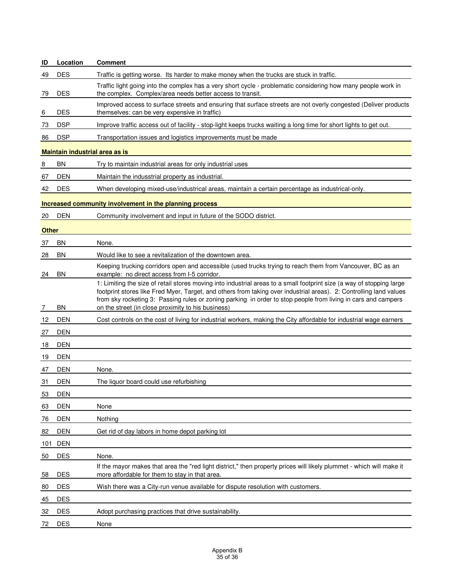| ID           | Location                       | <b>Comment</b>                                                                                                                                                                                                                                                                                                                                               |  |  |  |  |
|--------------|--------------------------------|--------------------------------------------------------------------------------------------------------------------------------------------------------------------------------------------------------------------------------------------------------------------------------------------------------------------------------------------------------------|--|--|--|--|
| 49           | <b>DES</b>                     | Traffic is getting worse. Its harder to make money when the trucks are stuck in traffic.                                                                                                                                                                                                                                                                     |  |  |  |  |
| 79           | <b>DES</b>                     | Traffic light going into the complex has a very short cycle - problematic considering how many people work in<br>the complex. Complex/area needs better access to transit.                                                                                                                                                                                   |  |  |  |  |
| <u>6</u>     | <b>DES</b>                     | Improved access to surface streets and ensuring that surface streets are not overly congested (Deliver products<br>themselves: can be very expensive in traffic)                                                                                                                                                                                             |  |  |  |  |
| 73           | <b>DSP</b>                     | Improve traffic access out of facility - stop-light keeps trucks waiting a long time for short lights to get out.                                                                                                                                                                                                                                            |  |  |  |  |
| 86           | <b>DSP</b>                     | Transportation issues and logistics improvements must be made                                                                                                                                                                                                                                                                                                |  |  |  |  |
|              | Maintain industrial area as is |                                                                                                                                                                                                                                                                                                                                                              |  |  |  |  |
| 8            | <b>BN</b>                      | Try to maintain industrial areas for only industrial uses                                                                                                                                                                                                                                                                                                    |  |  |  |  |
| 67           | <b>DEN</b>                     | Maintain the indusstrial property as industrial.                                                                                                                                                                                                                                                                                                             |  |  |  |  |
| 42           | <b>DES</b>                     | When developing mixed-use/industrical areas, maintain a certain percentage as industrical-only.                                                                                                                                                                                                                                                              |  |  |  |  |
|              |                                | Increased community involvement in the planning process                                                                                                                                                                                                                                                                                                      |  |  |  |  |
| 20           | <b>DEN</b>                     | Community involvement and input in future of the SODO district.                                                                                                                                                                                                                                                                                              |  |  |  |  |
| <b>Other</b> |                                |                                                                                                                                                                                                                                                                                                                                                              |  |  |  |  |
| 37           | ΒN                             | None.                                                                                                                                                                                                                                                                                                                                                        |  |  |  |  |
| 28           | <b>BN</b>                      | Would like to see a revitalization of the downtown area.                                                                                                                                                                                                                                                                                                     |  |  |  |  |
| 24           | <b>BN</b>                      | Keeping trucking corridors open and accessible (used trucks trying to reach them from Vancouver, BC as an<br>example: no direct access from I-5 corridor.                                                                                                                                                                                                    |  |  |  |  |
|              |                                | 1: Limiting the size of retail stores moving into industrial areas to a small footprint size (a way of stopping large<br>footprint stores like Fred Myer, Target, and others from taking over industrial areas). 2: Controlling land values<br>from sky rocketing 3: Passing rules or zoning parking in order to stop people from living in cars and campers |  |  |  |  |
|              | <b>BN</b>                      | on the street (in close proximity to his business)                                                                                                                                                                                                                                                                                                           |  |  |  |  |
| 12           | <b>DEN</b>                     | Cost controls on the cost of living for industrial workers, making the City affordable for industrial wage earners                                                                                                                                                                                                                                           |  |  |  |  |
| 27           | <b>DEN</b>                     |                                                                                                                                                                                                                                                                                                                                                              |  |  |  |  |
| 18           | <b>DEN</b>                     |                                                                                                                                                                                                                                                                                                                                                              |  |  |  |  |
| 19           | <b>DEN</b>                     |                                                                                                                                                                                                                                                                                                                                                              |  |  |  |  |
| 47           | <b>DEN</b>                     | None.                                                                                                                                                                                                                                                                                                                                                        |  |  |  |  |
| 31           | <b>DEN</b>                     | The liquor board could use refurbishing                                                                                                                                                                                                                                                                                                                      |  |  |  |  |
| 53           | <b>DEN</b>                     |                                                                                                                                                                                                                                                                                                                                                              |  |  |  |  |
| 63           | <b>DEN</b>                     | None                                                                                                                                                                                                                                                                                                                                                         |  |  |  |  |
| 76           | <b>DEN</b>                     | Nothing                                                                                                                                                                                                                                                                                                                                                      |  |  |  |  |
| 82           | <b>DEN</b>                     | Get rid of day labors in home depot parking lot                                                                                                                                                                                                                                                                                                              |  |  |  |  |
| 101          | <b>DEN</b>                     |                                                                                                                                                                                                                                                                                                                                                              |  |  |  |  |
| 50           | <b>DES</b>                     | None.                                                                                                                                                                                                                                                                                                                                                        |  |  |  |  |
| 58           | <b>DES</b>                     | If the mayor makes that area the "red light district," then property prices will likely plummet - which will make it<br>more affordable for them to stay in that area.                                                                                                                                                                                       |  |  |  |  |
| 80           | <b>DES</b>                     | Wish there was a City-run venue available for dispute resolution with customers.                                                                                                                                                                                                                                                                             |  |  |  |  |
| 45           | <b>DES</b>                     |                                                                                                                                                                                                                                                                                                                                                              |  |  |  |  |
| 32           | <b>DES</b>                     | Adopt purchasing practices that drive sustainability.                                                                                                                                                                                                                                                                                                        |  |  |  |  |
| 72           | <b>DES</b>                     | None                                                                                                                                                                                                                                                                                                                                                         |  |  |  |  |